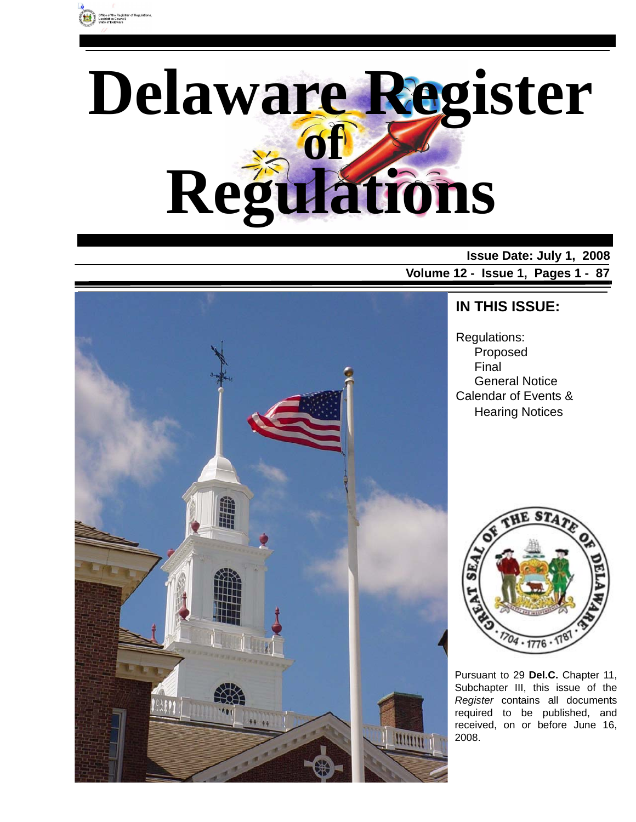

# **Delaware Register Regulations of**

#### **Issue Date: July 1, 2008 Volume 12 - Issue 1, Pages 1 - 87**



### **IN THIS ISSUE:**

Regulations: Proposed Final General Notice Calendar of Events & Hearing Notices



Pursuant to 29 **Del.C.** Chapter 11, Subchapter III, this issue of the *Register* contains all documents required to be published, and received, on or before June 16, 2008.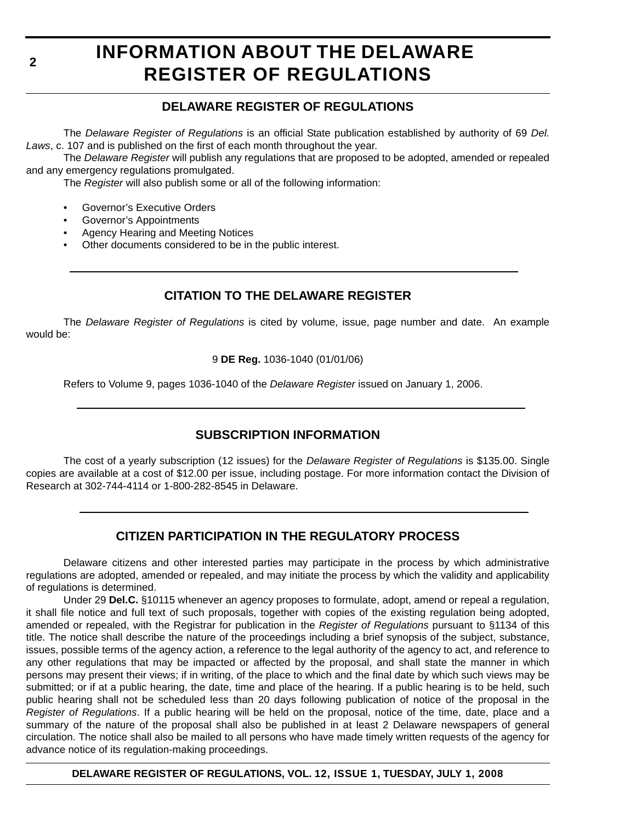### **INFORMATION ABOUT THE DELAWARE REGISTER OF REGULATIONS**

#### **DELAWARE REGISTER OF REGULATIONS**

The *Delaware Register of Regulations* is an official State publication established by authority of 69 *Del. Laws*, c. 107 and is published on the first of each month throughout the year.

The *Delaware Register* will publish any regulations that are proposed to be adopted, amended or repealed and any emergency regulations promulgated.

The *Register* will also publish some or all of the following information:

- Governor's Executive Orders
- Governor's Appointments
- Agency Hearing and Meeting Notices
- Other documents considered to be in the public interest.

#### **CITATION TO THE DELAWARE REGISTER**

The *Delaware Register of Regulations* is cited by volume, issue, page number and date. An example would be:

#### 9 **DE Reg.** 1036-1040 (01/01/06)

Refers to Volume 9, pages 1036-1040 of the *Delaware Register* issued on January 1, 2006.

#### **SUBSCRIPTION INFORMATION**

The cost of a yearly subscription (12 issues) for the *Delaware Register of Regulations* is \$135.00. Single copies are available at a cost of \$12.00 per issue, including postage. For more information contact the Division of Research at 302-744-4114 or 1-800-282-8545 in Delaware.

#### **CITIZEN PARTICIPATION IN THE REGULATORY PROCESS**

Delaware citizens and other interested parties may participate in the process by which administrative regulations are adopted, amended or repealed, and may initiate the process by which the validity and applicability of regulations is determined.

Under 29 **Del.C.** §10115 whenever an agency proposes to formulate, adopt, amend or repeal a regulation, it shall file notice and full text of such proposals, together with copies of the existing regulation being adopted, amended or repealed, with the Registrar for publication in the *Register of Regulations* pursuant to §1134 of this title. The notice shall describe the nature of the proceedings including a brief synopsis of the subject, substance, issues, possible terms of the agency action, a reference to the legal authority of the agency to act, and reference to any other regulations that may be impacted or affected by the proposal, and shall state the manner in which persons may present their views; if in writing, of the place to which and the final date by which such views may be submitted; or if at a public hearing, the date, time and place of the hearing. If a public hearing is to be held, such public hearing shall not be scheduled less than 20 days following publication of notice of the proposal in the *Register of Regulations*. If a public hearing will be held on the proposal, notice of the time, date, place and a summary of the nature of the proposal shall also be published in at least 2 Delaware newspapers of general circulation. The notice shall also be mailed to all persons who have made timely written requests of the agency for advance notice of its regulation-making proceedings.

**DELAWARE REGISTER OF REGULATIONS, VOL. 12, ISSUE 1, TUESDAY, JULY 1, 2008**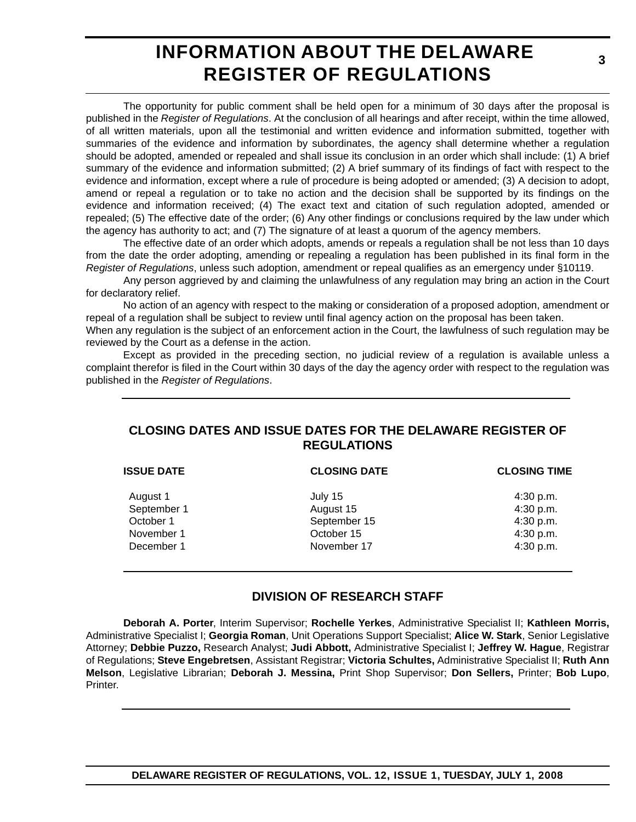### **INFORMATION ABOUT THE DELAWARE REGISTER OF REGULATIONS**

The opportunity for public comment shall be held open for a minimum of 30 days after the proposal is published in the *Register of Regulations*. At the conclusion of all hearings and after receipt, within the time allowed, of all written materials, upon all the testimonial and written evidence and information submitted, together with summaries of the evidence and information by subordinates, the agency shall determine whether a regulation should be adopted, amended or repealed and shall issue its conclusion in an order which shall include: (1) A brief summary of the evidence and information submitted; (2) A brief summary of its findings of fact with respect to the evidence and information, except where a rule of procedure is being adopted or amended; (3) A decision to adopt, amend or repeal a regulation or to take no action and the decision shall be supported by its findings on the evidence and information received; (4) The exact text and citation of such regulation adopted, amended or repealed; (5) The effective date of the order; (6) Any other findings or conclusions required by the law under which the agency has authority to act; and (7) The signature of at least a quorum of the agency members.

The effective date of an order which adopts, amends or repeals a regulation shall be not less than 10 days from the date the order adopting, amending or repealing a regulation has been published in its final form in the *Register of Regulations*, unless such adoption, amendment or repeal qualifies as an emergency under §10119.

Any person aggrieved by and claiming the unlawfulness of any regulation may bring an action in the Court for declaratory relief.

No action of an agency with respect to the making or consideration of a proposed adoption, amendment or repeal of a regulation shall be subject to review until final agency action on the proposal has been taken.

When any regulation is the subject of an enforcement action in the Court, the lawfulness of such regulation may be reviewed by the Court as a defense in the action.

Except as provided in the preceding section, no judicial review of a regulation is available unless a complaint therefor is filed in the Court within 30 days of the day the agency order with respect to the regulation was published in the *Register of Regulations*.

#### **CLOSING DATES AND ISSUE DATES FOR THE DELAWARE REGISTER OF REGULATIONS**

| <b>ISSUE DATE</b> | <b>CLOSING DATE</b> | <b>CLOSING TIME</b> |
|-------------------|---------------------|---------------------|
| August 1          | July 15             | 4:30 p.m.           |
| September 1       | August 15           | 4:30 p.m.           |
| October 1         | September 15        | 4:30 p.m.           |
| November 1        | October 15          | 4:30 p.m.           |
| December 1        | November 17         | 4:30 p.m.           |

#### **DIVISION OF RESEARCH STAFF**

**Deborah A. Porter**, Interim Supervisor; **Rochelle Yerkes**, Administrative Specialist II; **Kathleen Morris,**  Administrative Specialist I; **Georgia Roman**, Unit Operations Support Specialist; **Alice W. Stark**, Senior Legislative Attorney; **Debbie Puzzo,** Research Analyst; **Judi Abbott,** Administrative Specialist I; **Jeffrey W. Hague**, Registrar of Regulations; **Steve Engebretsen**, Assistant Registrar; **Victoria Schultes,** Administrative Specialist II; **Ruth Ann Melson**, Legislative Librarian; **Deborah J. Messina,** Print Shop Supervisor; **Don Sellers,** Printer; **Bob Lupo**, Printer.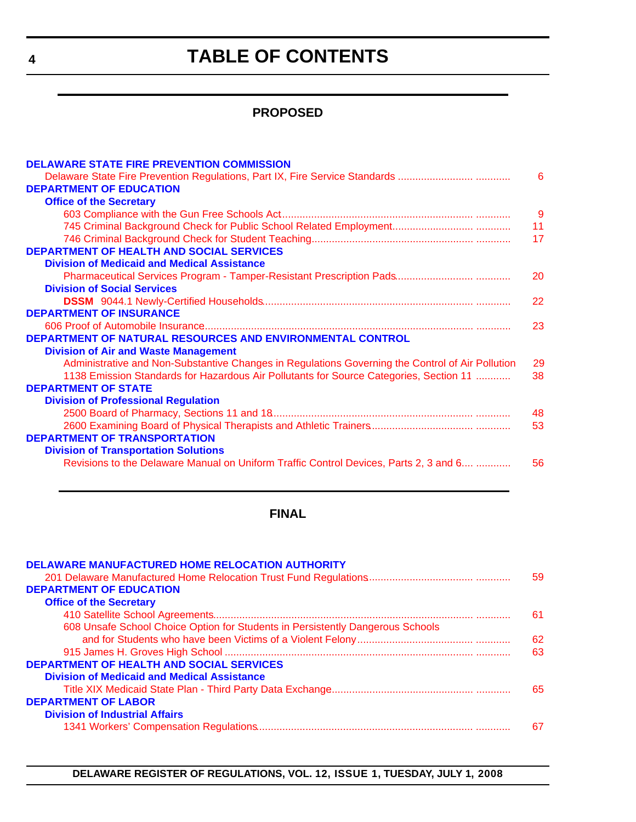### **TABLE OF CONTENTS**

#### **PROPOSED**

<span id="page-3-0"></span>

| <b>DELAWARE STATE FIRE PREVENTION COMMISSION</b>                                                 |                |
|--------------------------------------------------------------------------------------------------|----------------|
| Delaware State Fire Prevention Regulations, Part IX, Fire Service Standards                      | 6              |
| <b>DEPARTMENT OF EDUCATION</b>                                                                   |                |
| <b>Office of the Secretary</b>                                                                   |                |
|                                                                                                  | $\overline{9}$ |
|                                                                                                  | 11             |
|                                                                                                  | 17             |
| <b>DEPARTMENT OF HEALTH AND SOCIAL SERVICES</b>                                                  |                |
| <b>Division of Medicaid and Medical Assistance</b>                                               |                |
|                                                                                                  | 20             |
| <b>Division of Social Services</b>                                                               |                |
|                                                                                                  | 22             |
| <b>DEPARTMENT OF INSURANCE</b>                                                                   |                |
|                                                                                                  | 23             |
| DEPARTMENT OF NATURAL RESOURCES AND ENVIRONMENTAL CONTROL                                        |                |
| <b>Division of Air and Waste Management</b>                                                      |                |
| Administrative and Non-Substantive Changes in Regulations Governing the Control of Air Pollution | 29             |
| 1138 Emission Standards for Hazardous Air Pollutants for Source Categories, Section 11           | 38             |
| <b>DEPARTMENT OF STATE</b>                                                                       |                |
| <b>Division of Professional Regulation</b>                                                       |                |
|                                                                                                  | 48             |
|                                                                                                  | 53             |
| <b>DEPARTMENT OF TRANSPORTATION</b>                                                              |                |
| <b>Division of Transportation Solutions</b>                                                      |                |
| Revisions to the Delaware Manual on Uniform Traffic Control Devices, Parts 2, 3 and 6            | 56             |
|                                                                                                  |                |

#### **FINAL**

| <b>DELAWARE MANUFACTURED HOME RELOCATION AUTHORITY</b>                         |    |
|--------------------------------------------------------------------------------|----|
|                                                                                | 59 |
| <b>DEPARTMENT OF EDUCATION</b>                                                 |    |
| <b>Office of the Secretary</b>                                                 |    |
|                                                                                | 61 |
| 608 Unsafe School Choice Option for Students in Persistently Dangerous Schools |    |
|                                                                                | 62 |
|                                                                                | 63 |
| <b>DEPARTMENT OF HEALTH AND SOCIAL SERVICES</b>                                |    |
| <b>Division of Medicaid and Medical Assistance</b>                             |    |
|                                                                                | 65 |
| <b>DEPARTMENT OF LABOR</b>                                                     |    |
| <b>Division of Industrial Affairs</b>                                          |    |
|                                                                                | 67 |
|                                                                                |    |

**DELAWARE REGISTER OF REGULATIONS, VOL. 12, ISSUE 1, TUESDAY, JULY 1, 2008**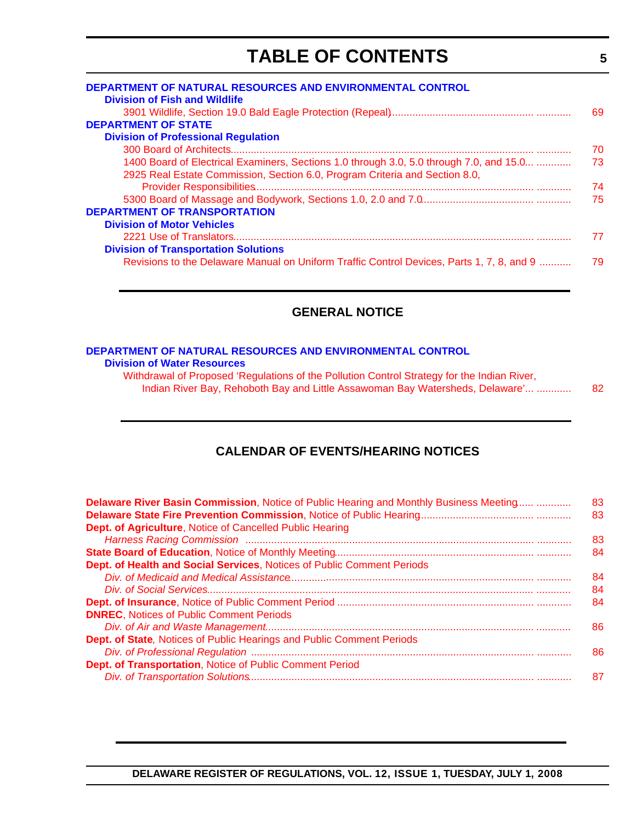### **TABLE OF CONTENTS**

| DEPARTMENT OF NATURAL RESOURCES AND ENVIRONMENTAL CONTROL                                 |    |
|-------------------------------------------------------------------------------------------|----|
| <b>Division of Fish and Wildlife</b>                                                      |    |
|                                                                                           | 69 |
| <b>DEPARTMENT OF STATE</b>                                                                |    |
| <b>Division of Professional Regulation</b>                                                |    |
|                                                                                           | 70 |
| 1400 Board of Electrical Examiners, Sections 1.0 through 3.0, 5.0 through 7.0, and 15.0   | 73 |
| 2925 Real Estate Commission, Section 6.0, Program Criteria and Section 8.0,               |    |
|                                                                                           | 74 |
|                                                                                           | 75 |
| <b>DEPARTMENT OF TRANSPORTATION</b>                                                       |    |
| <b>Division of Motor Vehicles</b>                                                         |    |
|                                                                                           | 77 |
| <b>Division of Transportation Solutions</b>                                               |    |
| Revisions to the Delaware Manual on Uniform Traffic Control Devices, Parts 1, 7, 8, and 9 | 79 |

#### **GENERAL NOTICE**

| DEPARTMENT OF NATURAL RESOURCES AND ENVIRONMENTAL CONTROL |  |
|-----------------------------------------------------------|--|
| <b>Division of Water Resources</b>                        |  |

Withdrawal of Proposed 'Regulations of the Pollution Control Strategy for the Indian River, Indian River Bay, Rehoboth Bay and Little Assawoman Bay Watersheds, Delaware'... .............................

#### **CALENDAR OF EVENTS/HEARING NOTICES**

| Delaware River Basin Commission, Notice of Public Hearing and Monthly Business Meeting | 83 |
|----------------------------------------------------------------------------------------|----|
|                                                                                        | 83 |
| Dept. of Agriculture, Notice of Cancelled Public Hearing                               |    |
|                                                                                        | 83 |
|                                                                                        | 84 |
| Dept. of Health and Social Services, Notices of Public Comment Periods                 |    |
|                                                                                        | 84 |
|                                                                                        | 84 |
|                                                                                        | 84 |
| <b>DNREC, Notices of Public Comment Periods</b>                                        |    |
|                                                                                        | 86 |
| Dept. of State, Notices of Public Hearings and Public Comment Periods                  |    |
|                                                                                        | 86 |
| Dept. of Transportation, Notice of Public Comment Period                               |    |
|                                                                                        | 87 |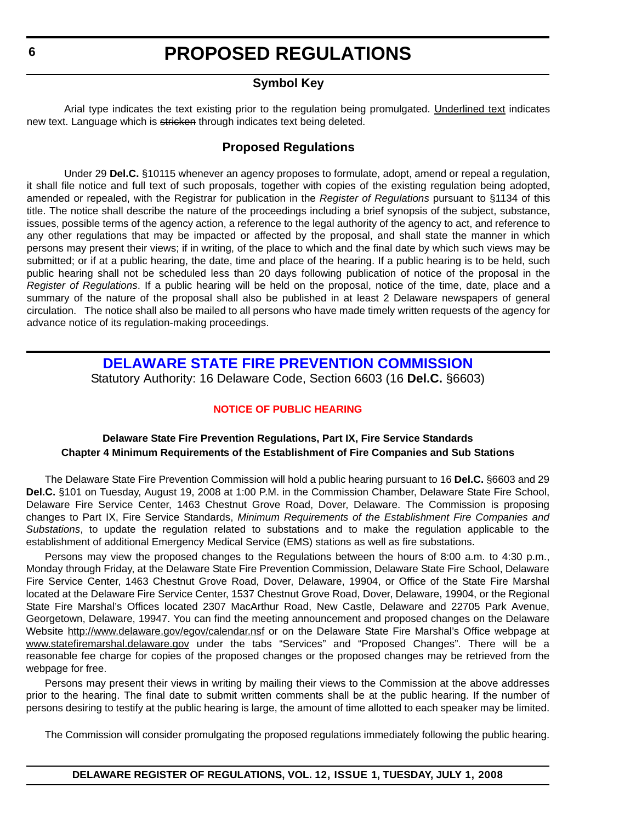#### **Symbol Key**

<span id="page-5-0"></span>Arial type indicates the text existing prior to the regulation being promulgated. Underlined text indicates new text. Language which is stricken through indicates text being deleted.

#### **Proposed Regulations**

Under 29 **Del.C.** §10115 whenever an agency proposes to formulate, adopt, amend or repeal a regulation, it shall file notice and full text of such proposals, together with copies of the existing regulation being adopted, amended or repealed, with the Registrar for publication in the *Register of Regulations* pursuant to §1134 of this title. The notice shall describe the nature of the proceedings including a brief synopsis of the subject, substance, issues, possible terms of the agency action, a reference to the legal authority of the agency to act, and reference to any other regulations that may be impacted or affected by the proposal, and shall state the manner in which persons may present their views; if in writing, of the place to which and the final date by which such views may be submitted; or if at a public hearing, the date, time and place of the hearing. If a public hearing is to be held, such public hearing shall not be scheduled less than 20 days following publication of notice of the proposal in the *Register of Regulations*. If a public hearing will be held on the proposal, notice of the time, date, place and a summary of the nature of the proposal shall also be published in at least 2 Delaware newspapers of general circulation. The notice shall also be mailed to all persons who have made timely written requests of the agency for advance notice of its regulation-making proceedings.

#### **[DELAWARE STATE FIRE PREVENTION COMMISSION](http://statefirecommission.delaware.gov/)** Statutory Authority: 16 Delaware Code, Section 6603 (16 **Del.C.** §6603)

#### **[NOTICE OF PUBLIC HEARING](#page-3-0)**

#### **Delaware State Fire Prevention Regulations, Part IX, Fire Service Standards Chapter 4 Minimum Requirements of the Establishment of Fire Companies and Sub Stations**

The Delaware State Fire Prevention Commission will hold a public hearing pursuant to 16 **Del.C.** §6603 and 29 **Del.C.** §101 on Tuesday, August 19, 2008 at 1:00 P.M. in the Commission Chamber, Delaware State Fire School, Delaware Fire Service Center, 1463 Chestnut Grove Road, Dover, Delaware. The Commission is proposing changes to Part IX, Fire Service Standards, *Minimum Requirements of the Establishment Fire Companies and Substations*, to update the regulation related to substations and to make the regulation applicable to the establishment of additional Emergency Medical Service (EMS) stations as well as fire substations.

Persons may view the proposed changes to the Regulations between the hours of 8:00 a.m. to 4:30 p.m., Monday through Friday, at the Delaware State Fire Prevention Commission, Delaware State Fire School, Delaware Fire Service Center, 1463 Chestnut Grove Road, Dover, Delaware, 19904, or Office of the State Fire Marshal located at the Delaware Fire Service Center, 1537 Chestnut Grove Road, Dover, Delaware, 19904, or the Regional State Fire Marshal's Offices located 2307 MacArthur Road, New Castle, Delaware and 22705 Park Avenue, Georgetown, Delaware, 19947. You can find the meeting announcement and proposed changes on the Delaware Website http://www.delaware.gov/egov/calendar.nsf or on the Delaware State Fire Marshal's Office webpage at www.statefiremarshal.delaware.gov under the tabs "Services" and "Proposed Changes". There will be a reasonable fee charge for copies of the proposed changes or the proposed changes may be retrieved from the webpage for free.

Persons may present their views in writing by mailing their views to the Commission at the above addresses prior to the hearing. The final date to submit written comments shall be at the public hearing. If the number of persons desiring to testify at the public hearing is large, the amount of time allotted to each speaker may be limited.

The Commission will consider promulgating the proposed regulations immediately following the public hearing.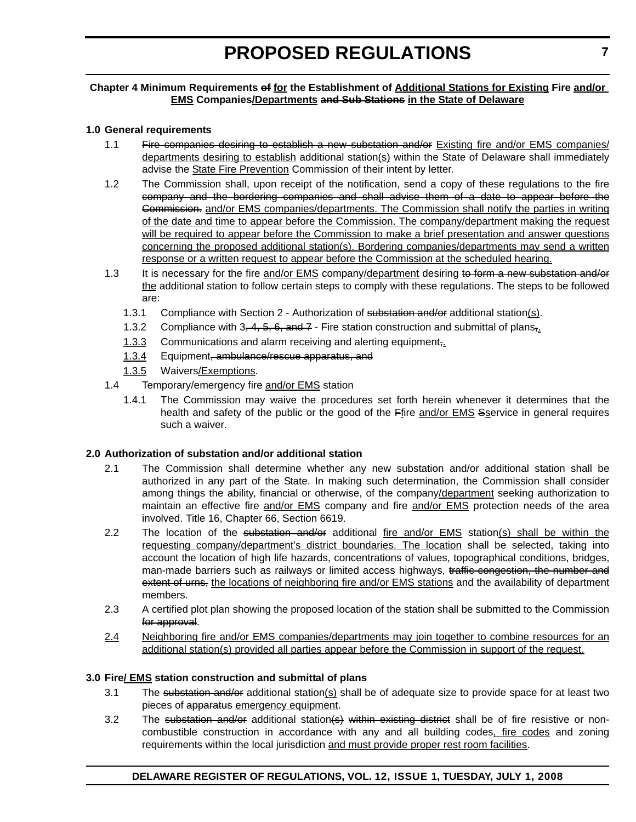#### **Chapter 4 Minimum Requirements of for the Establishment of Additional Stations for Existing Fire and/or EMS Companies/Departments and Sub Stations in the State of Delaware**

#### **1.0 General requirements**

- 1.1 Fire companies desiring to establish a new substation and/or Existing fire and/or EMS companies/ departments desiring to establish additional station(s) within the State of Delaware shall immediately advise the State Fire Prevention Commission of their intent by letter.
- 1.2 The Commission shall, upon receipt of the notification, send a copy of these regulations to the fire company and the bordering companies and shall advise them of a date to appear before the Commission. and/or EMS companies/departments. The Commission shall notify the parties in writing of the date and time to appear before the Commission. The company/department making the request will be required to appear before the Commission to make a brief presentation and answer questions concerning the proposed additional station(s). Bordering companies/departments may send a written response or a written request to appear before the Commission at the scheduled hearing.
- 1.3 It is necessary for the fire and/or EMS company/department desiring to form a new substation and/or the additional station to follow certain steps to comply with these regulations. The steps to be followed are:
	- 1.3.1 Compliance with Section 2 Authorization of substation and/or additional station(s).
	- 1.3.2 Compliance with  $3, 4, 5, 6,$  and  $7$  Fire station construction and submittal of plans,.
	- 1.3.3 Communications and alarm receiving and alerting equipment,
	- 1.3.4 Equipment, ambulance/rescue apparatus, and
	- 1.3.5 Waivers/Exemptions.
- 1.4 Temporary/emergency fire and/or EMS station
	- 1.4.1 The Commission may waive the procedures set forth herein whenever it determines that the health and safety of the public or the good of the Ffire and/or EMS Sservice in general requires such a waiver.

#### **2.0 Authorization of substation and/or additional station**

- 2.1 The Commission shall determine whether any new substation and/or additional station shall be authorized in any part of the State. In making such determination, the Commission shall consider among things the ability, financial or otherwise, of the company/department seeking authorization to maintain an effective fire and/or EMS company and fire and/or EMS protection needs of the area involved. Title 16, Chapter 66, Section 6619.
- 2.2 The location of the substation and/or additional fire and/or EMS station(s) shall be within the requesting company/department's district boundaries. The location shall be selected, taking into account the location of high life hazards, concentrations of values, topographical conditions, bridges, man-made barriers such as railways or limited access highways, traffic congestion, the number and extent of urns, the locations of neighboring fire and/or EMS stations and the availability of department members.
- 2.3 A certified plot plan showing the proposed location of the station shall be submitted to the Commission for approval.
- 2.4 Neighboring fire and/or EMS companies/departments may join together to combine resources for an additional station(s) provided all parties appear before the Commission in support of the request.

#### **3.0 Fire/ EMS station construction and submittal of plans**

- 3.1 The substation and/or additional station(s) shall be of adequate size to provide space for at least two pieces of apparatus emergency equipment.
- 3.2 The substation and/or additional station(s) within existing district shall be of fire resistive or noncombustible construction in accordance with any and all building codes, fire codes and zoning requirements within the local jurisdiction and must provide proper rest room facilities.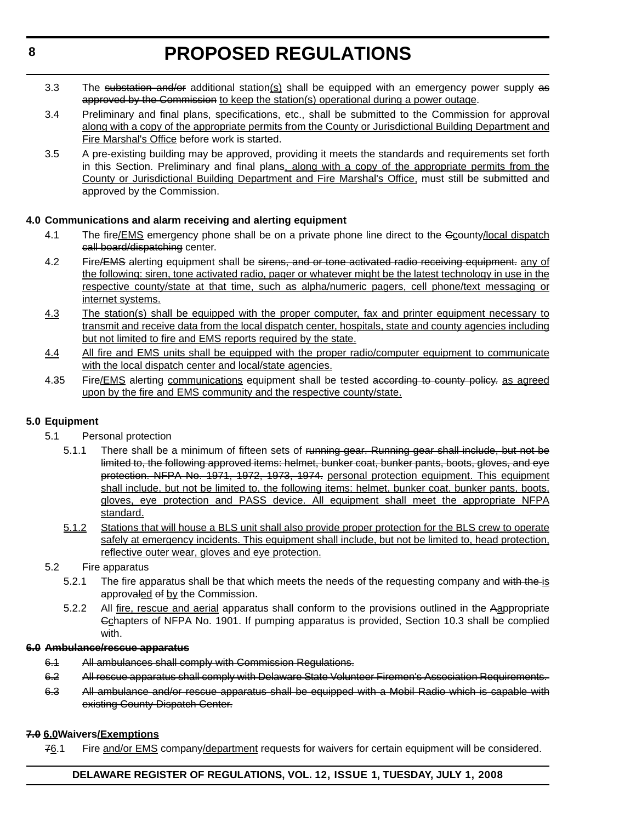- 3.3 The substation and/or additional station(s) shall be equipped with an emergency power supply as approved by the Commission to keep the station(s) operational during a power outage.
- 3.4 Preliminary and final plans, specifications, etc., shall be submitted to the Commission for approval along with a copy of the appropriate permits from the County or Jurisdictional Building Department and Fire Marshal's Office before work is started.
- 3.5 A pre-existing building may be approved, providing it meets the standards and requirements set forth in this Section. Preliminary and final plans, along with a copy of the appropriate permits from the County or Jurisdictional Building Department and Fire Marshal's Office, must still be submitted and approved by the Commission.

#### **4.0 Communications and alarm receiving and alerting equipment**

- 4.1 The fire/EMS emergency phone shall be on a private phone line direct to the Gcounty/local dispatch call board/dispatching center.
- 4.2 Fire/EMS alerting equipment shall be sirens, and or tone activated radio receiving equipment. any of the following: siren, tone activated radio, pager or whatever might be the latest technology in use in the respective county/state at that time, such as alpha/numeric pagers, cell phone/text messaging or internet systems.
- 4.3 The station(s) shall be equipped with the proper computer, fax and printer equipment necessary to transmit and receive data from the local dispatch center, hospitals, state and county agencies including but not limited to fire and EMS reports required by the state.
- 4.4 All fire and EMS units shall be equipped with the proper radio/computer equipment to communicate with the local dispatch center and local/state agencies.
- 4.35 Fire/EMS alerting communications equipment shall be tested according to county policy. as agreed upon by the fire and EMS community and the respective county/state.

#### **5.0 Equipment**

- 5.1 Personal protection
	- 5.1.1 There shall be a minimum of fifteen sets of running gear. Running gear shall include, but not be limited to, the following approved items: helmet, bunker coat, bunker pants, boots, gloves, and eye protection. NFPA No. 1971, 1972, 1973, 1974. personal protection equipment. This equipment shall include, but not be limited to, the following items: helmet, bunker coat, bunker pants, boots, gloves, eye protection and PASS device. All equipment shall meet the appropriate NFPA standard.
	- 5.1.2 Stations that will house a BLS unit shall also provide proper protection for the BLS crew to operate safely at emergency incidents. This equipment shall include, but not be limited to, head protection, reflective outer wear, gloves and eye protection.
- 5.2 Fire apparatus
	- 5.2.1 The fire apparatus shall be that which meets the needs of the requesting company and with the is approvaled of by the Commission.
	- 5.2.2 All fire, rescue and aerial apparatus shall conform to the provisions outlined in the Aappropriate Cchapters of NFPA No. 1901. If pumping apparatus is provided, Section 10.3 shall be complied with.

#### **6.0 Ambulance/rescue apparatus**

- 6.1 All ambulances shall comply with Commission Regulations.
- 6.2 All rescue apparatus shall comply with Delaware State Volunteer Firemen's Association Requirements.
- 6.3 All ambulance and/or rescue apparatus shall be equipped with a Mobil Radio which is capable with existing County Dispatch Center.

#### **7.0 6.0Waivers/Exemptions**

76.1 Fire and/or EMS company/department requests for waivers for certain equipment will be considered.

#### **DELAWARE REGISTER OF REGULATIONS, VOL. 12, ISSUE 1, TUESDAY, JULY 1, 2008**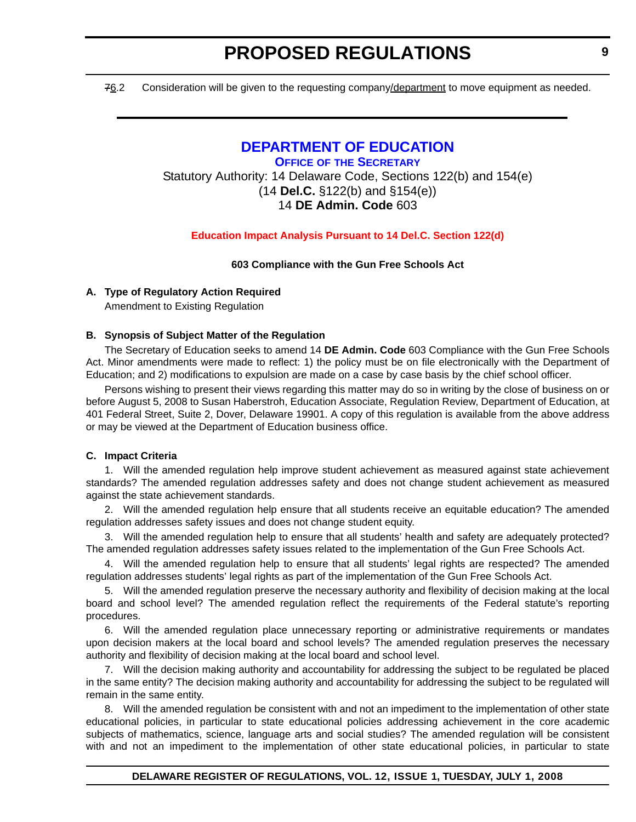#### <span id="page-8-0"></span>76.2 Consideration will be given to the requesting company/department to move equipment as needed.

#### **[DEPARTMENT OF EDUCATION](http://www.doe.k12.de.us/)**

**OFFICE OF [THE SECRETARY](http://www.doe.k12.de.us/)** Statutory Authority: 14 Delaware Code, Sections 122(b) and 154(e) (14 **Del.C.** §122(b) and §154(e)) 14 **DE Admin. Code** 603

#### **[Education Impact Analysis Pursuant to 14 Del.C. Section 122\(d\)](#page-3-0)**

#### **603 Compliance with the Gun Free Schools Act**

#### **A. Type of Regulatory Action Required**

Amendment to Existing Regulation

#### **B. Synopsis of Subject Matter of the Regulation**

The Secretary of Education seeks to amend 14 **DE Admin. Code** 603 Compliance with the Gun Free Schools Act. Minor amendments were made to reflect: 1) the policy must be on file electronically with the Department of Education; and 2) modifications to expulsion are made on a case by case basis by the chief school officer.

Persons wishing to present their views regarding this matter may do so in writing by the close of business on or before August 5, 2008 to Susan Haberstroh, Education Associate, Regulation Review, Department of Education, at 401 Federal Street, Suite 2, Dover, Delaware 19901. A copy of this regulation is available from the above address or may be viewed at the Department of Education business office.

#### **C. Impact Criteria**

1. Will the amended regulation help improve student achievement as measured against state achievement standards? The amended regulation addresses safety and does not change student achievement as measured against the state achievement standards.

2. Will the amended regulation help ensure that all students receive an equitable education? The amended regulation addresses safety issues and does not change student equity.

3. Will the amended regulation help to ensure that all students' health and safety are adequately protected? The amended regulation addresses safety issues related to the implementation of the Gun Free Schools Act.

4. Will the amended regulation help to ensure that all students' legal rights are respected? The amended regulation addresses students' legal rights as part of the implementation of the Gun Free Schools Act.

5. Will the amended regulation preserve the necessary authority and flexibility of decision making at the local board and school level? The amended regulation reflect the requirements of the Federal statute's reporting procedures.

6. Will the amended regulation place unnecessary reporting or administrative requirements or mandates upon decision makers at the local board and school levels? The amended regulation preserves the necessary authority and flexibility of decision making at the local board and school level.

7. Will the decision making authority and accountability for addressing the subject to be regulated be placed in the same entity? The decision making authority and accountability for addressing the subject to be regulated will remain in the same entity.

8. Will the amended regulation be consistent with and not an impediment to the implementation of other state educational policies, in particular to state educational policies addressing achievement in the core academic subjects of mathematics, science, language arts and social studies? The amended regulation will be consistent with and not an impediment to the implementation of other state educational policies, in particular to state

#### **DELAWARE REGISTER OF REGULATIONS, VOL. 12, ISSUE 1, TUESDAY, JULY 1, 2008**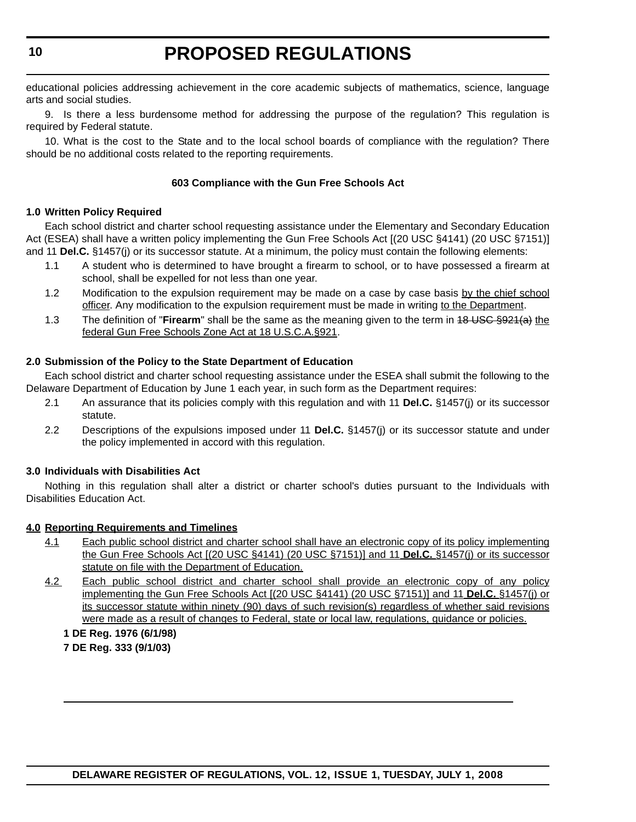educational policies addressing achievement in the core academic subjects of mathematics, science, language arts and social studies.

9. Is there a less burdensome method for addressing the purpose of the regulation? This regulation is required by Federal statute.

10. What is the cost to the State and to the local school boards of compliance with the regulation? There should be no additional costs related to the reporting requirements.

#### **603 Compliance with the Gun Free Schools Act**

#### **1.0 Written Policy Required**

Each school district and charter school requesting assistance under the Elementary and Secondary Education Act (ESEA) shall have a written policy implementing the Gun Free Schools Act [(20 USC §4141) (20 USC §7151)] and 11 **Del.C.** §1457(j) or its successor statute. At a minimum, the policy must contain the following elements:

- 1.1 A student who is determined to have brought a firearm to school, or to have possessed a firearm at school, shall be expelled for not less than one year.
- 1.2 Modification to the expulsion requirement may be made on a case by case basis by the chief school officer. Any modification to the expulsion requirement must be made in writing to the Department.
- 1.3 The definition of "**Firearm**" shall be the same as the meaning given to the term in 18 USC §921(a) the federal Gun Free Schools Zone Act at 18 U.S.C.A.§921.

#### **2.0 Submission of the Policy to the State Department of Education**

Each school district and charter school requesting assistance under the ESEA shall submit the following to the Delaware Department of Education by June 1 each year, in such form as the Department requires:

- 2.1 An assurance that its policies comply with this regulation and with 11 **Del.C.** §1457(j) or its successor statute.
- 2.2 Descriptions of the expulsions imposed under 11 **Del.C.** §1457(j) or its successor statute and under the policy implemented in accord with this regulation.

#### **3.0 Individuals with Disabilities Act**

Nothing in this regulation shall alter a district or charter school's duties pursuant to the Individuals with Disabilities Education Act.

#### **4.0 Reporting Requirements and Timelines**

- 4.1 Each public school district and charter school shall have an electronic copy of its policy implementing the Gun Free Schools Act [(20 USC §4141) (20 USC §7151)] and 11 **Del.C.** §1457(j) or its successor statute on file with the Department of Education.
- 4.2 Each public school district and charter school shall provide an electronic copy of any policy implementing the Gun Free Schools Act [(20 USC §4141) (20 USC §7151)] and 11 **Del.C.** §1457(j) or its successor statute within ninety (90) days of such revision(s) regardless of whether said revisions were made as a result of changes to Federal, state or local law, regulations, guidance or policies.
	- **1 DE Reg. 1976 (6/1/98)**
	- **7 DE Reg. 333 (9/1/03)**

**DELAWARE REGISTER OF REGULATIONS, VOL. 12, ISSUE 1, TUESDAY, JULY 1, 2008**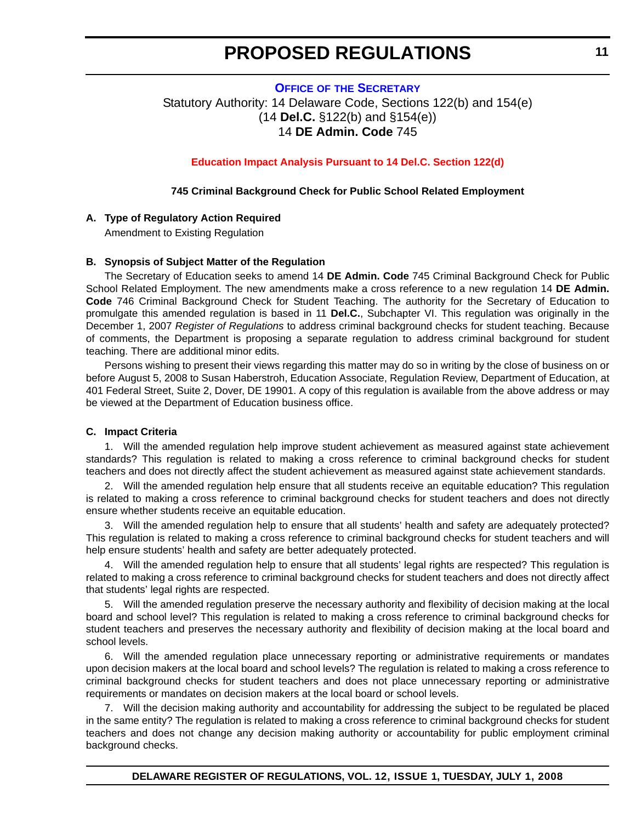#### <span id="page-10-0"></span>**OFFICE OF [THE SECRETARY](http://www.doe.k12.de.us/)** Statutory Authority: 14 Delaware Code, Sections 122(b) and 154(e) (14 **Del.C.** §122(b) and §154(e)) 14 **DE Admin. Code** 745

#### **[Education Impact Analysis Pursuant to 14 Del.C. Section 122\(d\)](#page-3-0)**

#### **745 Criminal Background Check for Public School Related Employment**

#### **A. Type of Regulatory Action Required**

Amendment to Existing Regulation

#### **B. Synopsis of Subject Matter of the Regulation**

The Secretary of Education seeks to amend 14 **DE Admin. Code** 745 Criminal Background Check for Public School Related Employment. The new amendments make a cross reference to a new regulation 14 **DE Admin. Code** 746 Criminal Background Check for Student Teaching. The authority for the Secretary of Education to promulgate this amended regulation is based in 11 **Del.C.**, Subchapter VI. This regulation was originally in the December 1, 2007 *Register of Regulations* to address criminal background checks for student teaching. Because of comments, the Department is proposing a separate regulation to address criminal background for student teaching. There are additional minor edits.

Persons wishing to present their views regarding this matter may do so in writing by the close of business on or before August 5, 2008 to Susan Haberstroh, Education Associate, Regulation Review, Department of Education, at 401 Federal Street, Suite 2, Dover, DE 19901. A copy of this regulation is available from the above address or may be viewed at the Department of Education business office.

#### **C. Impact Criteria**

1. Will the amended regulation help improve student achievement as measured against state achievement standards? This regulation is related to making a cross reference to criminal background checks for student teachers and does not directly affect the student achievement as measured against state achievement standards.

2. Will the amended regulation help ensure that all students receive an equitable education? This regulation is related to making a cross reference to criminal background checks for student teachers and does not directly ensure whether students receive an equitable education.

Will the amended regulation help to ensure that all students' health and safety are adequately protected? This regulation is related to making a cross reference to criminal background checks for student teachers and will help ensure students' health and safety are better adequately protected.

4. Will the amended regulation help to ensure that all students' legal rights are respected? This regulation is related to making a cross reference to criminal background checks for student teachers and does not directly affect that students' legal rights are respected.

5. Will the amended regulation preserve the necessary authority and flexibility of decision making at the local board and school level? This regulation is related to making a cross reference to criminal background checks for student teachers and preserves the necessary authority and flexibility of decision making at the local board and school levels.

6. Will the amended regulation place unnecessary reporting or administrative requirements or mandates upon decision makers at the local board and school levels? The regulation is related to making a cross reference to criminal background checks for student teachers and does not place unnecessary reporting or administrative requirements or mandates on decision makers at the local board or school levels.

7. Will the decision making authority and accountability for addressing the subject to be regulated be placed in the same entity? The regulation is related to making a cross reference to criminal background checks for student teachers and does not change any decision making authority or accountability for public employment criminal background checks.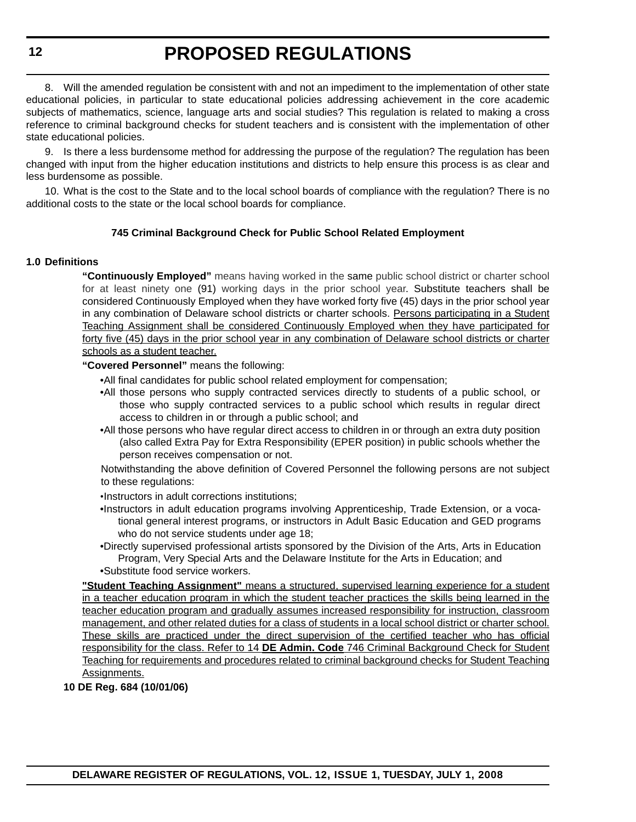8. Will the amended regulation be consistent with and not an impediment to the implementation of other state educational policies, in particular to state educational policies addressing achievement in the core academic subjects of mathematics, science, language arts and social studies? This regulation is related to making a cross reference to criminal background checks for student teachers and is consistent with the implementation of other state educational policies.

9. Is there a less burdensome method for addressing the purpose of the regulation? The regulation has been changed with input from the higher education institutions and districts to help ensure this process is as clear and less burdensome as possible.

10. What is the cost to the State and to the local school boards of compliance with the regulation? There is no additional costs to the state or the local school boards for compliance.

#### **745 Criminal Background Check for Public School Related Employment**

#### **1.0 Definitions**

**"Continuously Employed"** means having worked in the same public school district or charter school for at least ninety one (91) working days in the prior school year. Substitute teachers shall be considered Continuously Employed when they have worked forty five (45) days in the prior school year in any combination of Delaware school districts or charter schools. Persons participating in a Student Teaching Assignment shall be considered Continuously Employed when they have participated for forty five (45) days in the prior school year in any combination of Delaware school districts or charter schools as a student teacher.

**"Covered Personnel"** means the following:

- •All final candidates for public school related employment for compensation;
- •All those persons who supply contracted services directly to students of a public school, or those who supply contracted services to a public school which results in regular direct access to children in or through a public school; and
- •All those persons who have regular direct access to children in or through an extra duty position (also called Extra Pay for Extra Responsibility (EPER position) in public schools whether the person receives compensation or not.

Notwithstanding the above definition of Covered Personnel the following persons are not subject to these regulations:

•Instructors in adult corrections institutions;

- •Instructors in adult education programs involving Apprenticeship, Trade Extension, or a vocational general interest programs, or instructors in Adult Basic Education and GED programs who do not service students under age 18;
- •Directly supervised professional artists sponsored by the Division of the Arts, Arts in Education Program, Very Special Arts and the Delaware Institute for the Arts in Education; and •Substitute food service workers.

**"Student Teaching Assignment"** means a structured, supervised learning experience for a student in a teacher education program in which the student teacher practices the skills being learned in the teacher education program and gradually assumes increased responsibility for instruction, classroom management, and other related duties for a class of students in a local school district or charter school. These skills are practiced under the direct supervision of the certified teacher who has official responsibility for the class. Refer to 14 **DE Admin. Code** 746 Criminal Background Check for Student Teaching for requirements and procedures related to criminal background checks for Student Teaching Assignments.

**10 DE Reg. 684 (10/01/06)**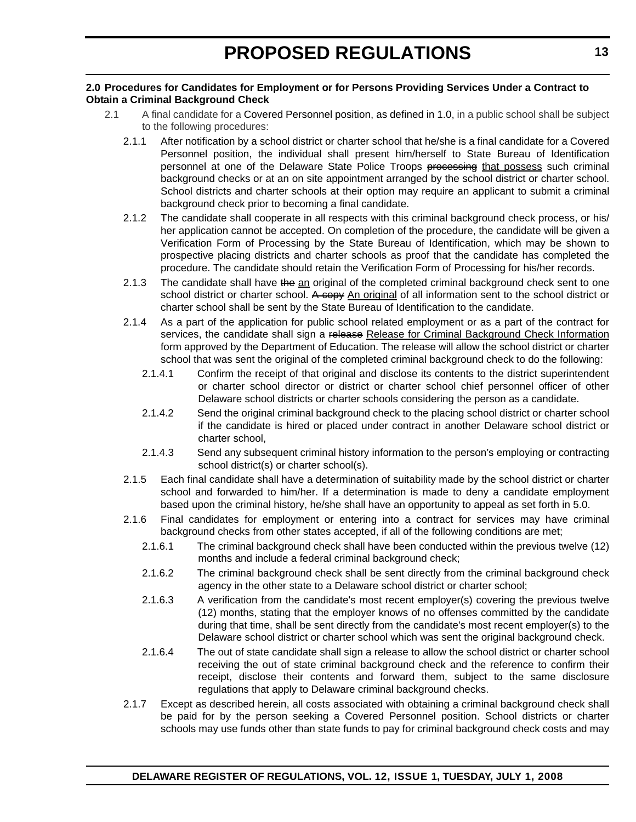#### **2.0 Procedures for Candidates for Employment or for Persons Providing Services Under a Contract to Obtain a Criminal Background Check**

- 2.1 A final candidate for a Covered Personnel position, as defined in 1.0, in a public school shall be subject to the following procedures:
	- 2.1.1 After notification by a school district or charter school that he/she is a final candidate for a Covered Personnel position, the individual shall present him/herself to State Bureau of Identification personnel at one of the Delaware State Police Troops processing that possess such criminal background checks or at an on site appointment arranged by the school district or charter school. School districts and charter schools at their option may require an applicant to submit a criminal background check prior to becoming a final candidate.
	- 2.1.2 The candidate shall cooperate in all respects with this criminal background check process, or his/ her application cannot be accepted. On completion of the procedure, the candidate will be given a Verification Form of Processing by the State Bureau of Identification, which may be shown to prospective placing districts and charter schools as proof that the candidate has completed the procedure. The candidate should retain the Verification Form of Processing for his/her records.
	- 2.1.3 The candidate shall have the an original of the completed criminal background check sent to one school district or charter school. A copy An original of all information sent to the school district or charter school shall be sent by the State Bureau of Identification to the candidate.
	- 2.1.4 As a part of the application for public school related employment or as a part of the contract for services, the candidate shall sign a release Release for Criminal Background Check Information form approved by the Department of Education. The release will allow the school district or charter school that was sent the original of the completed criminal background check to do the following:
		- 2.1.4.1 Confirm the receipt of that original and disclose its contents to the district superintendent or charter school director or district or charter school chief personnel officer of other Delaware school districts or charter schools considering the person as a candidate.
		- 2.1.4.2 Send the original criminal background check to the placing school district or charter school if the candidate is hired or placed under contract in another Delaware school district or charter school,
		- 2.1.4.3 Send any subsequent criminal history information to the person's employing or contracting school district(s) or charter school(s).
	- 2.1.5 Each final candidate shall have a determination of suitability made by the school district or charter school and forwarded to him/her. If a determination is made to deny a candidate employment based upon the criminal history, he/she shall have an opportunity to appeal as set forth in 5.0.
	- 2.1.6 Final candidates for employment or entering into a contract for services may have criminal background checks from other states accepted, if all of the following conditions are met;
		- 2.1.6.1 The criminal background check shall have been conducted within the previous twelve (12) months and include a federal criminal background check;
		- 2.1.6.2 The criminal background check shall be sent directly from the criminal background check agency in the other state to a Delaware school district or charter school;
		- 2.1.6.3 A verification from the candidate's most recent employer(s) covering the previous twelve (12) months, stating that the employer knows of no offenses committed by the candidate during that time, shall be sent directly from the candidate's most recent employer(s) to the Delaware school district or charter school which was sent the original background check.
		- 2.1.6.4 The out of state candidate shall sign a release to allow the school district or charter school receiving the out of state criminal background check and the reference to confirm their receipt, disclose their contents and forward them, subject to the same disclosure regulations that apply to Delaware criminal background checks.
	- 2.1.7 Except as described herein, all costs associated with obtaining a criminal background check shall be paid for by the person seeking a Covered Personnel position. School districts or charter schools may use funds other than state funds to pay for criminal background check costs and may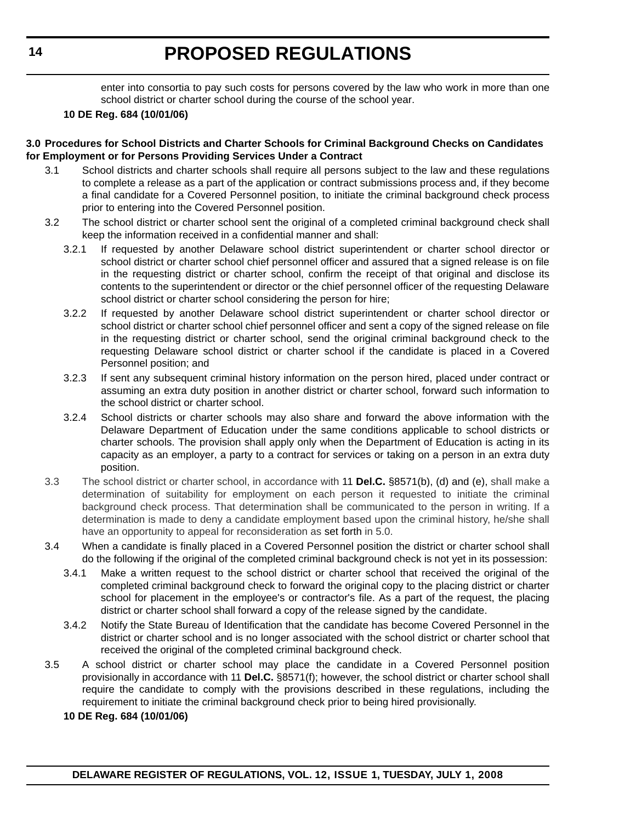enter into consortia to pay such costs for persons covered by the law who work in more than one school district or charter school during the course of the school year.

#### **10 DE Reg. 684 (10/01/06)**

#### **3.0 Procedures for School Districts and Charter Schools for Criminal Background Checks on Candidates for Employment or for Persons Providing Services Under a Contract**

- 3.1 School districts and charter schools shall require all persons subject to the law and these regulations to complete a release as a part of the application or contract submissions process and, if they become a final candidate for a Covered Personnel position, to initiate the criminal background check process prior to entering into the Covered Personnel position.
- 3.2 The school district or charter school sent the original of a completed criminal background check shall keep the information received in a confidential manner and shall:
	- 3.2.1 If requested by another Delaware school district superintendent or charter school director or school district or charter school chief personnel officer and assured that a signed release is on file in the requesting district or charter school, confirm the receipt of that original and disclose its contents to the superintendent or director or the chief personnel officer of the requesting Delaware school district or charter school considering the person for hire;
	- 3.2.2 If requested by another Delaware school district superintendent or charter school director or school district or charter school chief personnel officer and sent a copy of the signed release on file in the requesting district or charter school, send the original criminal background check to the requesting Delaware school district or charter school if the candidate is placed in a Covered Personnel position; and
	- 3.2.3 If sent any subsequent criminal history information on the person hired, placed under contract or assuming an extra duty position in another district or charter school, forward such information to the school district or charter school.
	- 3.2.4 School districts or charter schools may also share and forward the above information with the Delaware Department of Education under the same conditions applicable to school districts or charter schools. The provision shall apply only when the Department of Education is acting in its capacity as an employer, a party to a contract for services or taking on a person in an extra duty position.
- 3.3 The school district or charter school, in accordance with 11 **Del.C.** §8571(b), (d) and (e), shall make a determination of suitability for employment on each person it requested to initiate the criminal background check process. That determination shall be communicated to the person in writing. If a determination is made to deny a candidate employment based upon the criminal history, he/she shall have an opportunity to appeal for reconsideration as set forth in 5.0.
- 3.4 When a candidate is finally placed in a Covered Personnel position the district or charter school shall do the following if the original of the completed criminal background check is not yet in its possession:
	- 3.4.1 Make a written request to the school district or charter school that received the original of the completed criminal background check to forward the original copy to the placing district or charter school for placement in the employee's or contractor's file. As a part of the request, the placing district or charter school shall forward a copy of the release signed by the candidate.
	- 3.4.2 Notify the State Bureau of Identification that the candidate has become Covered Personnel in the district or charter school and is no longer associated with the school district or charter school that received the original of the completed criminal background check.
- 3.5 A school district or charter school may place the candidate in a Covered Personnel position provisionally in accordance with 11 **Del.C.** §8571(f); however, the school district or charter school shall require the candidate to comply with the provisions described in these regulations, including the requirement to initiate the criminal background check prior to being hired provisionally.
	- **10 DE Reg. 684 (10/01/06)**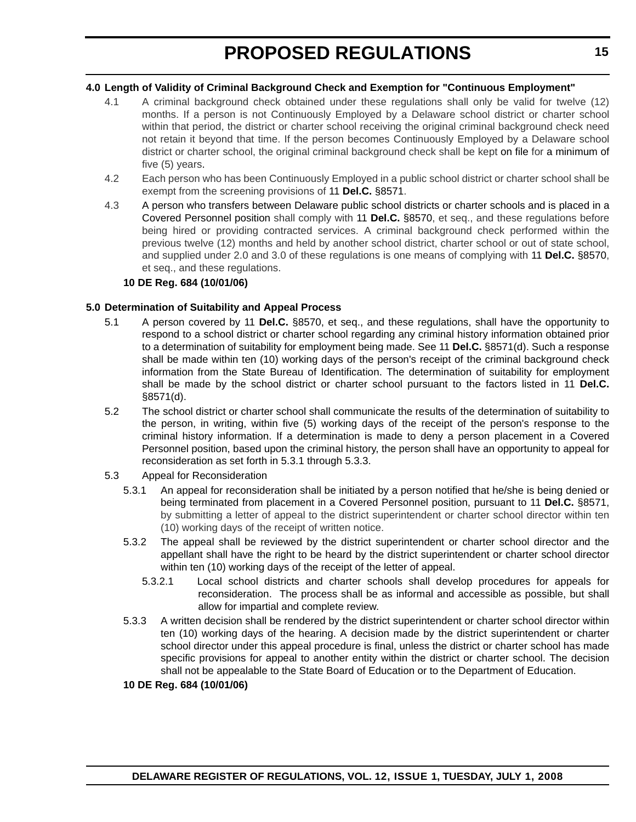#### **4.0 Length of Validity of Criminal Background Check and Exemption for "Continuous Employment"**

- 4.1 A criminal background check obtained under these regulations shall only be valid for twelve (12) months. If a person is not Continuously Employed by a Delaware school district or charter school within that period, the district or charter school receiving the original criminal background check need not retain it beyond that time. If the person becomes Continuously Employed by a Delaware school district or charter school, the original criminal background check shall be kept on file for a minimum of five (5) years.
- 4.2 Each person who has been Continuously Employed in a public school district or charter school shall be exempt from the screening provisions of 11 **Del.C.** §8571.
- 4.3 A person who transfers between Delaware public school districts or charter schools and is placed in a Covered Personnel position shall comply with 11 **Del.C.** §8570, et seq., and these regulations before being hired or providing contracted services. A criminal background check performed within the previous twelve (12) months and held by another school district, charter school or out of state school, and supplied under 2.0 and 3.0 of these regulations is one means of complying with 11 **Del.C.** §8570, et seq., and these regulations.

#### **10 DE Reg. 684 (10/01/06)**

#### **5.0 Determination of Suitability and Appeal Process**

- 5.1 A person covered by 11 **Del.C.** §8570, et seq., and these regulations, shall have the opportunity to respond to a school district or charter school regarding any criminal history information obtained prior to a determination of suitability for employment being made. See 11 **Del.C.** §8571(d). Such a response shall be made within ten (10) working days of the person's receipt of the criminal background check information from the State Bureau of Identification. The determination of suitability for employment shall be made by the school district or charter school pursuant to the factors listed in 11 **Del.C.** §8571(d).
- 5.2 The school district or charter school shall communicate the results of the determination of suitability to the person, in writing, within five (5) working days of the receipt of the person's response to the criminal history information. If a determination is made to deny a person placement in a Covered Personnel position, based upon the criminal history, the person shall have an opportunity to appeal for reconsideration as set forth in 5.3.1 through 5.3.3.
- 5.3 Appeal for Reconsideration
	- 5.3.1 An appeal for reconsideration shall be initiated by a person notified that he/she is being denied or being terminated from placement in a Covered Personnel position, pursuant to 11 **Del.C.** §8571, by submitting a letter of appeal to the district superintendent or charter school director within ten (10) working days of the receipt of written notice.
	- 5.3.2 The appeal shall be reviewed by the district superintendent or charter school director and the appellant shall have the right to be heard by the district superintendent or charter school director within ten (10) working days of the receipt of the letter of appeal.
		- 5.3.2.1 Local school districts and charter schools shall develop procedures for appeals for reconsideration. The process shall be as informal and accessible as possible, but shall allow for impartial and complete review.
	- 5.3.3 A written decision shall be rendered by the district superintendent or charter school director within ten (10) working days of the hearing. A decision made by the district superintendent or charter school director under this appeal procedure is final, unless the district or charter school has made specific provisions for appeal to another entity within the district or charter school. The decision shall not be appealable to the State Board of Education or to the Department of Education.

#### **10 DE Reg. 684 (10/01/06)**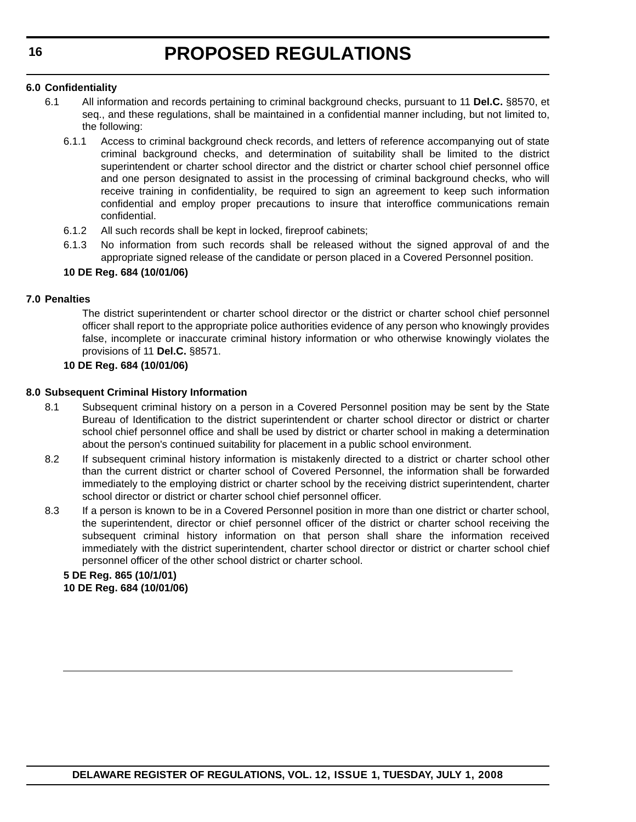#### **6.0 Confidentiality**

- 6.1 All information and records pertaining to criminal background checks, pursuant to 11 **Del.C.** §8570, et seq., and these regulations, shall be maintained in a confidential manner including, but not limited to, the following:
	- 6.1.1 Access to criminal background check records, and letters of reference accompanying out of state criminal background checks, and determination of suitability shall be limited to the district superintendent or charter school director and the district or charter school chief personnel office and one person designated to assist in the processing of criminal background checks, who will receive training in confidentiality, be required to sign an agreement to keep such information confidential and employ proper precautions to insure that interoffice communications remain confidential.
	- 6.1.2 All such records shall be kept in locked, fireproof cabinets;
	- 6.1.3 No information from such records shall be released without the signed approval of and the appropriate signed release of the candidate or person placed in a Covered Personnel position.

#### **10 DE Reg. 684 (10/01/06)**

#### **7.0 Penalties**

The district superintendent or charter school director or the district or charter school chief personnel officer shall report to the appropriate police authorities evidence of any person who knowingly provides false, incomplete or inaccurate criminal history information or who otherwise knowingly violates the provisions of 11 **Del.C.** §8571.

#### **10 DE Reg. 684 (10/01/06)**

#### **8.0 Subsequent Criminal History Information**

- 8.1 Subsequent criminal history on a person in a Covered Personnel position may be sent by the State Bureau of Identification to the district superintendent or charter school director or district or charter school chief personnel office and shall be used by district or charter school in making a determination about the person's continued suitability for placement in a public school environment.
- 8.2 If subsequent criminal history information is mistakenly directed to a district or charter school other than the current district or charter school of Covered Personnel, the information shall be forwarded immediately to the employing district or charter school by the receiving district superintendent, charter school director or district or charter school chief personnel officer.
- 8.3 If a person is known to be in a Covered Personnel position in more than one district or charter school, the superintendent, director or chief personnel officer of the district or charter school receiving the subsequent criminal history information on that person shall share the information received immediately with the district superintendent, charter school director or district or charter school chief personnel officer of the other school district or charter school.

#### **5 DE Reg. 865 (10/1/01) 10 DE Reg. 684 (10/01/06)**

**DELAWARE REGISTER OF REGULATIONS, VOL. 12, ISSUE 1, TUESDAY, JULY 1, 2008**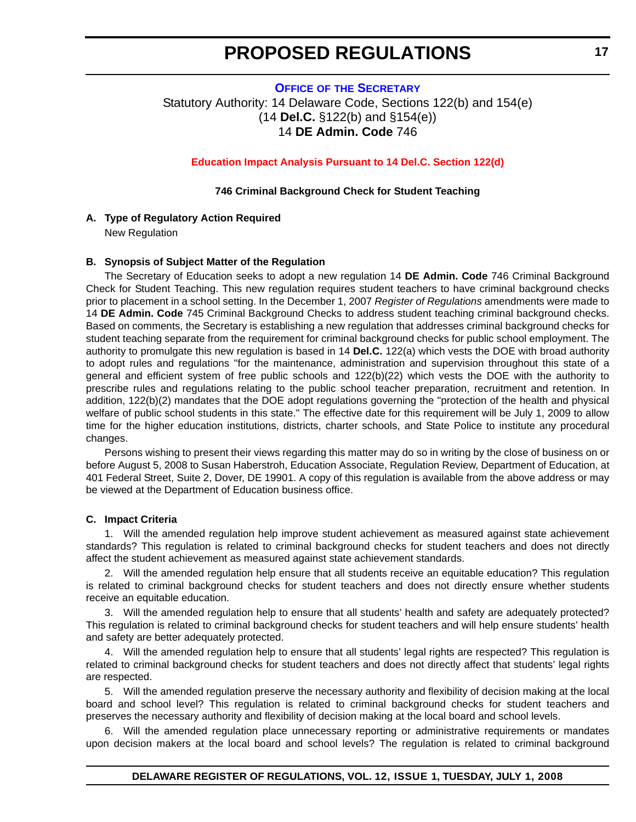<span id="page-16-0"></span>**OFFICE OF [THE SECRETARY](http://www.doe.k12.de.us/)** Statutory Authority: 14 Delaware Code, Sections 122(b) and 154(e) (14 **Del.C.** §122(b) and §154(e)) 14 **DE Admin. Code** 746

**[Education Impact Analysis Pursuant to 14 Del.C. Section 122\(d\)](#page-3-0)**

#### **746 Criminal Background Check for Student Teaching**

#### **A. Type of Regulatory Action Required**

New Regulation

#### **B. Synopsis of Subject Matter of the Regulation**

The Secretary of Education seeks to adopt a new regulation 14 **DE Admin. Code** 746 Criminal Background Check for Student Teaching. This new regulation requires student teachers to have criminal background checks prior to placement in a school setting. In the December 1, 2007 *Register of Regulations* amendments were made to 14 **DE Admin. Code** 745 Criminal Background Checks to address student teaching criminal background checks. Based on comments, the Secretary is establishing a new regulation that addresses criminal background checks for student teaching separate from the requirement for criminal background checks for public school employment. The authority to promulgate this new regulation is based in 14 **Del.C.** 122(a) which vests the DOE with broad authority to adopt rules and regulations "for the maintenance, administration and supervision throughout this state of a general and efficient system of free public schools and 122(b)(22) which vests the DOE with the authority to prescribe rules and regulations relating to the public school teacher preparation, recruitment and retention. In addition, 122(b)(2) mandates that the DOE adopt regulations governing the "protection of the health and physical welfare of public school students in this state." The effective date for this requirement will be July 1, 2009 to allow time for the higher education institutions, districts, charter schools, and State Police to institute any procedural changes.

Persons wishing to present their views regarding this matter may do so in writing by the close of business on or before August 5, 2008 to Susan Haberstroh, Education Associate, Regulation Review, Department of Education, at 401 Federal Street, Suite 2, Dover, DE 19901. A copy of this regulation is available from the above address or may be viewed at the Department of Education business office.

#### **C. Impact Criteria**

1. Will the amended regulation help improve student achievement as measured against state achievement standards? This regulation is related to criminal background checks for student teachers and does not directly affect the student achievement as measured against state achievement standards.

2. Will the amended regulation help ensure that all students receive an equitable education? This regulation is related to criminal background checks for student teachers and does not directly ensure whether students receive an equitable education.

3. Will the amended regulation help to ensure that all students' health and safety are adequately protected? This regulation is related to criminal background checks for student teachers and will help ensure students' health and safety are better adequately protected.

4. Will the amended regulation help to ensure that all students' legal rights are respected? This regulation is related to criminal background checks for student teachers and does not directly affect that students' legal rights are respected.

5. Will the amended regulation preserve the necessary authority and flexibility of decision making at the local board and school level? This regulation is related to criminal background checks for student teachers and preserves the necessary authority and flexibility of decision making at the local board and school levels.

6. Will the amended regulation place unnecessary reporting or administrative requirements or mandates upon decision makers at the local board and school levels? The regulation is related to criminal background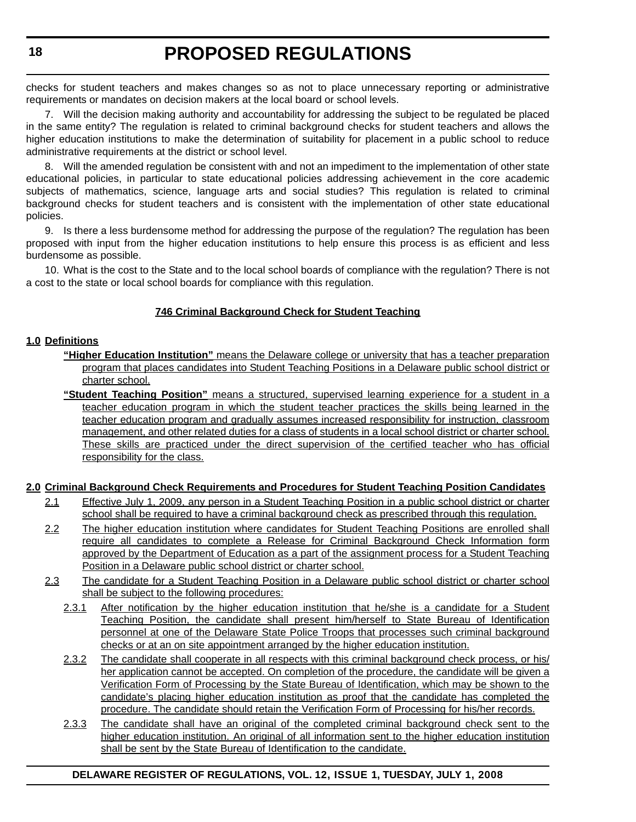checks for student teachers and makes changes so as not to place unnecessary reporting or administrative requirements or mandates on decision makers at the local board or school levels.

7. Will the decision making authority and accountability for addressing the subject to be regulated be placed in the same entity? The regulation is related to criminal background checks for student teachers and allows the higher education institutions to make the determination of suitability for placement in a public school to reduce administrative requirements at the district or school level.

8. Will the amended regulation be consistent with and not an impediment to the implementation of other state educational policies, in particular to state educational policies addressing achievement in the core academic subjects of mathematics, science, language arts and social studies? This regulation is related to criminal background checks for student teachers and is consistent with the implementation of other state educational policies.

9. Is there a less burdensome method for addressing the purpose of the regulation? The regulation has been proposed with input from the higher education institutions to help ensure this process is as efficient and less burdensome as possible.

10. What is the cost to the State and to the local school boards of compliance with the regulation? There is not a cost to the state or local school boards for compliance with this regulation.

#### **746 Criminal Background Check for Student Teaching**

#### **1.0 Definitions**

- **"Higher Education Institution"** means the Delaware college or university that has a teacher preparation program that places candidates into Student Teaching Positions in a Delaware public school district or charter school.
- **"Student Teaching Position"** means a structured, supervised learning experience for a student in a teacher education program in which the student teacher practices the skills being learned in the teacher education program and gradually assumes increased responsibility for instruction, classroom management, and other related duties for a class of students in a local school district or charter school. These skills are practiced under the direct supervision of the certified teacher who has official responsibility for the class.

#### **2.0 Criminal Background Check Requirements and Procedures for Student Teaching Position Candidates**

- 2.1 Effective July 1, 2009, any person in a Student Teaching Position in a public school district or charter school shall be required to have a criminal background check as prescribed through this regulation.
- 2.2 The higher education institution where candidates for Student Teaching Positions are enrolled shall require all candidates to complete a Release for Criminal Background Check Information form approved by the Department of Education as a part of the assignment process for a Student Teaching Position in a Delaware public school district or charter school.
- 2.3 The candidate for a Student Teaching Position in a Delaware public school district or charter school shall be subject to the following procedures:
	- 2.3.1 After notification by the higher education institution that he/she is a candidate for a Student Teaching Position, the candidate shall present him/herself to State Bureau of Identification personnel at one of the Delaware State Police Troops that processes such criminal background checks or at an on site appointment arranged by the higher education institution.
	- 2.3.2 The candidate shall cooperate in all respects with this criminal background check process, or his/ her application cannot be accepted. On completion of the procedure, the candidate will be given a Verification Form of Processing by the State Bureau of Identification, which may be shown to the candidate's placing higher education institution as proof that the candidate has completed the procedure. The candidate should retain the Verification Form of Processing for his/her records.
	- 2.3.3 The candidate shall have an original of the completed criminal background check sent to the higher education institution. An original of all information sent to the higher education institution shall be sent by the State Bureau of Identification to the candidate.

#### **DELAWARE REGISTER OF REGULATIONS, VOL. 12, ISSUE 1, TUESDAY, JULY 1, 2008**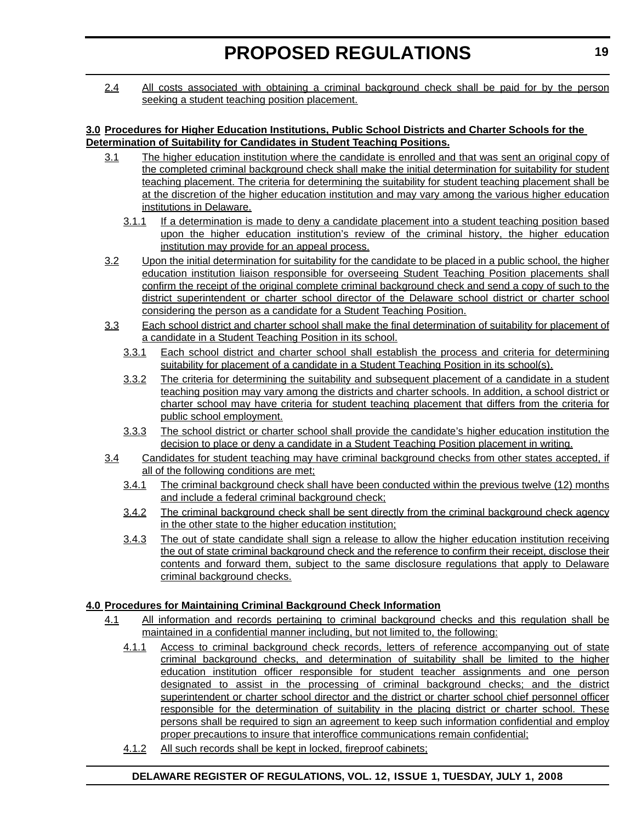2.4 All costs associated with obtaining a criminal background check shall be paid for by the person seeking a student teaching position placement.

#### **3.0 Procedures for Higher Education Institutions, Public School Districts and Charter Schools for the Determination of Suitability for Candidates in Student Teaching Positions.**

- 3.1 The higher education institution where the candidate is enrolled and that was sent an original copy of the completed criminal background check shall make the initial determination for suitability for student teaching placement. The criteria for determining the suitability for student teaching placement shall be at the discretion of the higher education institution and may vary among the various higher education institutions in Delaware.
	- 3.1.1 If a determination is made to deny a candidate placement into a student teaching position based upon the higher education institution's review of the criminal history, the higher education institution may provide for an appeal process.
- 3.2 Upon the initial determination for suitability for the candidate to be placed in a public school, the higher education institution liaison responsible for overseeing Student Teaching Position placements shall confirm the receipt of the original complete criminal background check and send a copy of such to the district superintendent or charter school director of the Delaware school district or charter school considering the person as a candidate for a Student Teaching Position.
- 3.3 Each school district and charter school shall make the final determination of suitability for placement of a candidate in a Student Teaching Position in its school.
	- 3.3.1 Each school district and charter school shall establish the process and criteria for determining suitability for placement of a candidate in a Student Teaching Position in its school(s).
	- 3.3.2 The criteria for determining the suitability and subsequent placement of a candidate in a student teaching position may vary among the districts and charter schools. In addition, a school district or charter school may have criteria for student teaching placement that differs from the criteria for public school employment.
	- 3.3.3 The school district or charter school shall provide the candidate's higher education institution the decision to place or deny a candidate in a Student Teaching Position placement in writing.
- 3.4 Candidates for student teaching may have criminal background checks from other states accepted, if all of the following conditions are met;
	- 3.4.1 The criminal background check shall have been conducted within the previous twelve (12) months and include a federal criminal background check;
	- 3.4.2 The criminal background check shall be sent directly from the criminal background check agency in the other state to the higher education institution;
	- 3.4.3 The out of state candidate shall sign a release to allow the higher education institution receiving the out of state criminal background check and the reference to confirm their receipt, disclose their contents and forward them, subject to the same disclosure regulations that apply to Delaware criminal background checks.

#### **4.0 Procedures for Maintaining Criminal Background Check Information**

- 4.1 All information and records pertaining to criminal background checks and this regulation shall be maintained in a confidential manner including, but not limited to, the following:
	- 4.1.1 Access to criminal background check records, letters of reference accompanying out of state criminal background checks, and determination of suitability shall be limited to the higher education institution officer responsible for student teacher assignments and one person designated to assist in the processing of criminal background checks; and the district superintendent or charter school director and the district or charter school chief personnel officer responsible for the determination of suitability in the placing district or charter school. These persons shall be required to sign an agreement to keep such information confidential and employ proper precautions to insure that interoffice communications remain confidential;
	- 4.1.2 All such records shall be kept in locked, fireproof cabinets;

#### **DELAWARE REGISTER OF REGULATIONS, VOL. 12, ISSUE 1, TUESDAY, JULY 1, 2008**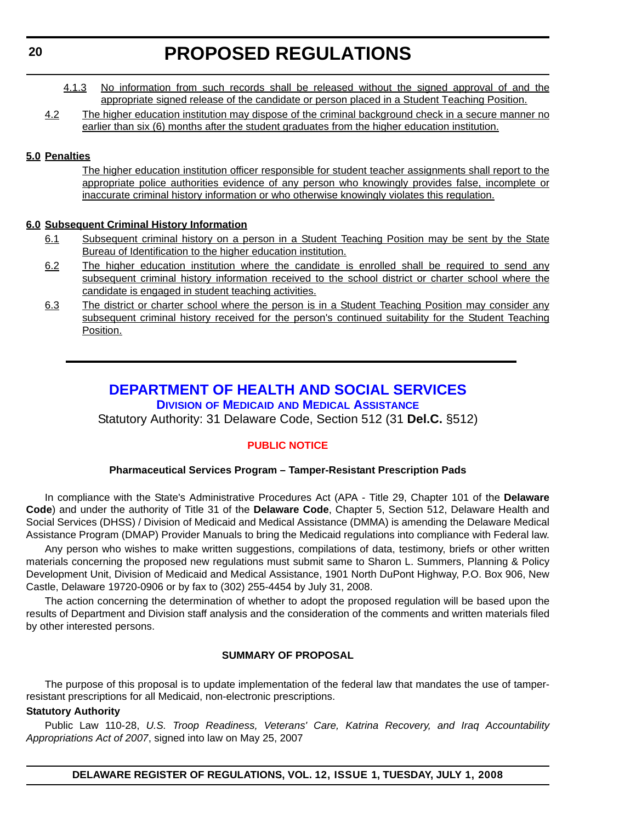- <span id="page-19-0"></span>4.1.3 No information from such records shall be released without the signed approval of and the appropriate signed release of the candidate or person placed in a Student Teaching Position.
- 4.2 The higher education institution may dispose of the criminal background check in a secure manner no earlier than six (6) months after the student graduates from the higher education institution.

#### **5.0 Penalties**

The higher education institution officer responsible for student teacher assignments shall report to the appropriate police authorities evidence of any person who knowingly provides false, incomplete or inaccurate criminal history information or who otherwise knowingly violates this regulation.

#### **6.0 Subsequent Criminal History Information**

- 6.1 Subsequent criminal history on a person in a Student Teaching Position may be sent by the State Bureau of Identification to the higher education institution.
- 6.2 The higher education institution where the candidate is enrolled shall be required to send any subsequent criminal history information received to the school district or charter school where the candidate is engaged in student teaching activities.
- 6.3 The district or charter school where the person is in a Student Teaching Position may consider any subsequent criminal history received for the person's continued suitability for the Student Teaching Position.

### **[DEPARTMENT OF HEALTH AND SOCIAL SERVICES](http://www.dhss.delaware.gov/dhss/index.html)**

**DIVISION OF MEDICAID [AND MEDICAL ASSISTANCE](http://www.dhss.delaware.gov/dhss/dmma/)**

Statutory Authority: 31 Delaware Code, Section 512 (31 **Del.C.** §512)

#### **[PUBLIC NOTICE](#page-3-0)**

#### **Pharmaceutical Services Program – Tamper-Resistant Prescription Pads**

In compliance with the State's Administrative Procedures Act (APA - Title 29, Chapter 101 of the **Delaware Code**) and under the authority of Title 31 of the **Delaware Code**, Chapter 5, Section 512, Delaware Health and Social Services (DHSS) / Division of Medicaid and Medical Assistance (DMMA) is amending the Delaware Medical Assistance Program (DMAP) Provider Manuals to bring the Medicaid regulations into compliance with Federal law.

Any person who wishes to make written suggestions, compilations of data, testimony, briefs or other written materials concerning the proposed new regulations must submit same to Sharon L. Summers, Planning & Policy Development Unit, Division of Medicaid and Medical Assistance, 1901 North DuPont Highway, P.O. Box 906, New Castle, Delaware 19720-0906 or by fax to (302) 255-4454 by July 31, 2008.

The action concerning the determination of whether to adopt the proposed regulation will be based upon the results of Department and Division staff analysis and the consideration of the comments and written materials filed by other interested persons.

#### **SUMMARY OF PROPOSAL**

The purpose of this proposal is to update implementation of the federal law that mandates the use of tamperresistant prescriptions for all Medicaid, non-electronic prescriptions.

#### **Statutory Authority**

Public Law 110-28, *U.S. Troop Readiness, Veterans' Care, Katrina Recovery, and Iraq Accountability Appropriations Act of 2007*, signed into law on May 25, 2007

**DELAWARE REGISTER OF REGULATIONS, VOL. 12, ISSUE 1, TUESDAY, JULY 1, 2008**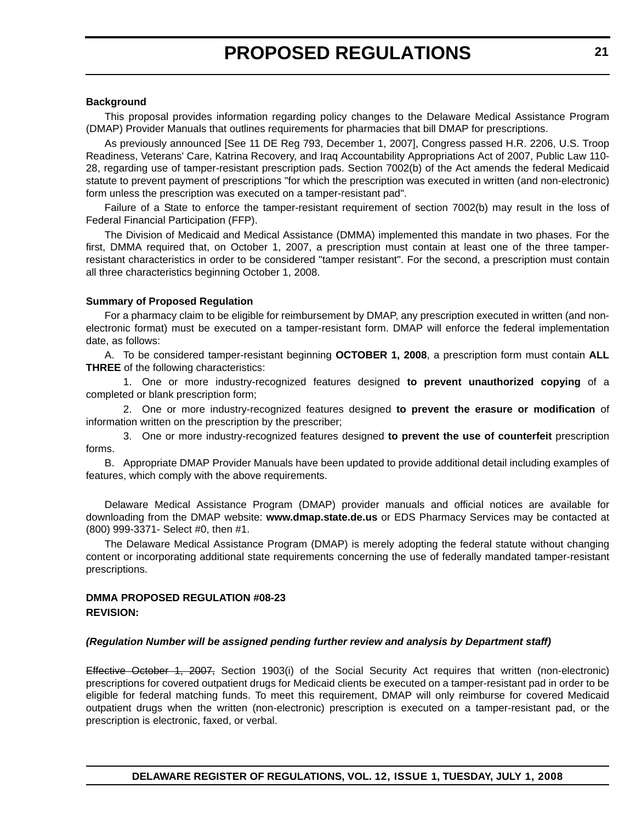#### **Background**

This proposal provides information regarding policy changes to the Delaware Medical Assistance Program (DMAP) Provider Manuals that outlines requirements for pharmacies that bill DMAP for prescriptions.

As previously announced [See 11 DE Reg 793, December 1, 2007], Congress passed H.R. 2206, U.S. Troop Readiness, Veterans' Care, Katrina Recovery, and Iraq Accountability Appropriations Act of 2007, Public Law 110- 28, regarding use of tamper-resistant prescription pads. Section 7002(b) of the Act amends the federal Medicaid statute to prevent payment of prescriptions "for which the prescription was executed in written (and non-electronic) form unless the prescription was executed on a tamper-resistant pad".

Failure of a State to enforce the tamper-resistant requirement of section 7002(b) may result in the loss of Federal Financial Participation (FFP).

The Division of Medicaid and Medical Assistance (DMMA) implemented this mandate in two phases. For the first, DMMA required that, on October 1, 2007, a prescription must contain at least one of the three tamperresistant characteristics in order to be considered "tamper resistant". For the second, a prescription must contain all three characteristics beginning October 1, 2008.

#### **Summary of Proposed Regulation**

For a pharmacy claim to be eligible for reimbursement by DMAP, any prescription executed in written (and nonelectronic format) must be executed on a tamper-resistant form. DMAP will enforce the federal implementation date, as follows:

A. To be considered tamper-resistant beginning **OCTOBER 1, 2008**, a prescription form must contain **ALL THREE** of the following characteristics:

1. One or more industry-recognized features designed **to prevent unauthorized copying** of a completed or blank prescription form;

2. One or more industry-recognized features designed **to prevent the erasure or modification** of information written on the prescription by the prescriber;

3. One or more industry-recognized features designed **to prevent the use of counterfeit** prescription forms.

B. Appropriate DMAP Provider Manuals have been updated to provide additional detail including examples of features, which comply with the above requirements.

Delaware Medical Assistance Program (DMAP) provider manuals and official notices are available for downloading from the DMAP website: **www.dmap.state.de.us** or EDS Pharmacy Services may be contacted at (800) 999-3371- Select #0, then #1.

The Delaware Medical Assistance Program (DMAP) is merely adopting the federal statute without changing content or incorporating additional state requirements concerning the use of federally mandated tamper-resistant prescriptions.

#### **DMMA PROPOSED REGULATION #08-23 REVISION:**

#### *(Regulation Number will be assigned pending further review and analysis by Department staff)*

Effective October 1, 2007, Section 1903(i) of the Social Security Act requires that written (non-electronic) prescriptions for covered outpatient drugs for Medicaid clients be executed on a tamper-resistant pad in order to be eligible for federal matching funds. To meet this requirement, DMAP will only reimburse for covered Medicaid outpatient drugs when the written (non-electronic) prescription is executed on a tamper-resistant pad, or the prescription is electronic, faxed, or verbal.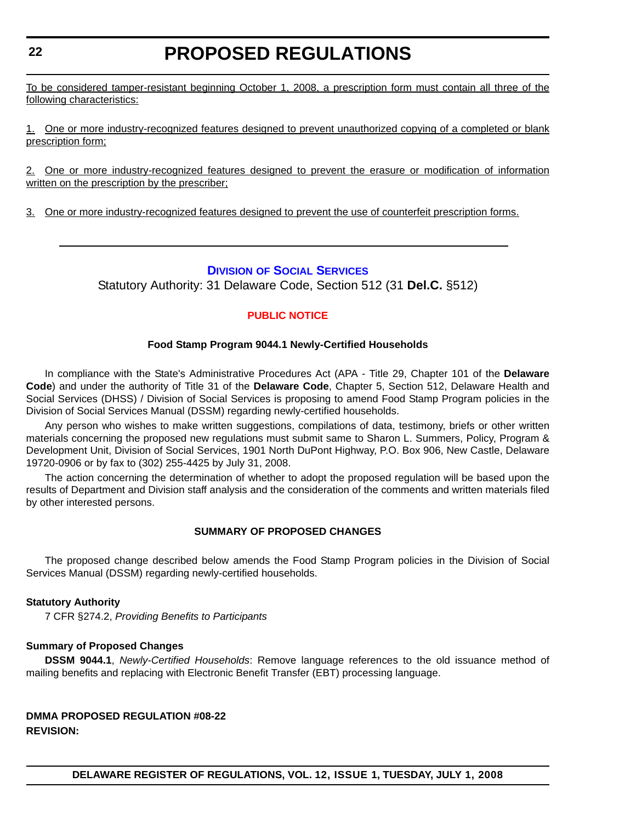<span id="page-21-0"></span>To be considered tamper-resistant beginning October 1, 2008, a prescription form must contain all three of the following characteristics:

1. One or more industry-recognized features designed to prevent unauthorized copying of a completed or blank prescription form;

2. One or more industry-recognized features designed to prevent the erasure or modification of information written on the prescription by the prescriber;

3. One or more industry-recognized features designed to prevent the use of counterfeit prescription forms.

#### **DIVISION [OF SOCIAL SERVICES](http://www.dhss.delaware.gov/dhss/dmma/)**

Statutory Authority: 31 Delaware Code, Section 512 (31 **Del.C.** §512)

#### **[PUBLIC NOTICE](#page-3-0)**

#### **Food Stamp Program 9044.1 Newly-Certified Households**

In compliance with the State's Administrative Procedures Act (APA - Title 29, Chapter 101 of the **Delaware Code**) and under the authority of Title 31 of the **Delaware Code**, Chapter 5, Section 512, Delaware Health and Social Services (DHSS) / Division of Social Services is proposing to amend Food Stamp Program policies in the Division of Social Services Manual (DSSM) regarding newly-certified households.

Any person who wishes to make written suggestions, compilations of data, testimony, briefs or other written materials concerning the proposed new regulations must submit same to Sharon L. Summers, Policy, Program & Development Unit, Division of Social Services, 1901 North DuPont Highway, P.O. Box 906, New Castle, Delaware 19720-0906 or by fax to (302) 255-4425 by July 31, 2008.

The action concerning the determination of whether to adopt the proposed regulation will be based upon the results of Department and Division staff analysis and the consideration of the comments and written materials filed by other interested persons.

#### **SUMMARY OF PROPOSED CHANGES**

The proposed change described below amends the Food Stamp Program policies in the Division of Social Services Manual (DSSM) regarding newly-certified households.

#### **Statutory Authority**

7 CFR §274.2, *Providing Benefits to Participants*

#### **Summary of Proposed Changes**

**DSSM 9044.1**, *Newly-Certified Households*: Remove language references to the old issuance method of mailing benefits and replacing with Electronic Benefit Transfer (EBT) processing language.

#### **DMMA PROPOSED REGULATION #08-22 REVISION:**

**DELAWARE REGISTER OF REGULATIONS, VOL. 12, ISSUE 1, TUESDAY, JULY 1, 2008**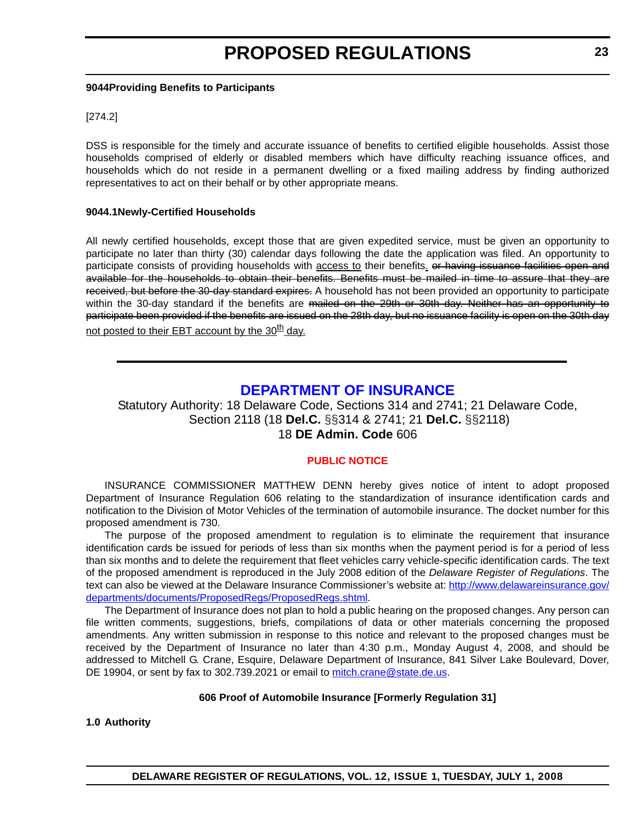#### <span id="page-22-0"></span>**9044Providing Benefits to Participants**

#### [274.2]

DSS is responsible for the timely and accurate issuance of benefits to certified eligible households. Assist those households comprised of elderly or disabled members which have difficulty reaching issuance offices, and households which do not reside in a permanent dwelling or a fixed mailing address by finding authorized representatives to act on their behalf or by other appropriate means.

#### **9044.1Newly-Certified Households**

All newly certified households, except those that are given expedited service, must be given an opportunity to participate no later than thirty (30) calendar days following the date the application was filed. An opportunity to participate consists of providing households with access to their benefits. or having issuance facilities open and available for the households to obtain their benefits. Benefits must be mailed in time to assure that they are received, but before the 30-day standard expires. A household has not been provided an opportunity to participate within the 30-day standard if the benefits are mailed on the 29th or 30th day. Neither has an opportunity to participate been provided if the benefits are issued on the 28th day, but no issuance facility is open on the 30th day not posted to their EBT account by the  $30<sup>th</sup>$  day.

#### **[DEPARTMENT OF INSURANCE](http://www.delawareinsurance.gov/)**

#### Statutory Authority: 18 Delaware Code, Sections 314 and 2741; 21 Delaware Code, Section 2118 (18 **Del.C.** §§314 & 2741; 21 **Del.C.** §§2118) 18 **DE Admin. Code** 606

#### **[PUBLIC NOTICE](#page-3-0)**

INSURANCE COMMISSIONER MATTHEW DENN hereby gives notice of intent to adopt proposed Department of Insurance Regulation 606 relating to the standardization of insurance identification cards and notification to the Division of Motor Vehicles of the termination of automobile insurance. The docket number for this proposed amendment is 730.

The purpose of the proposed amendment to regulation is to eliminate the requirement that insurance identification cards be issued for periods of less than six months when the payment period is for a period of less than six months and to delete the requirement that fleet vehicles carry vehicle-specific identification cards. The text of the proposed amendment is reproduced in the July 2008 edition of the *Delaware Register of Regulations*. The text can also be viewed at the Delaware Insurance Commissioner's website at: [http://www.delawareinsurance.gov/](http://www.delawareinsurance.gov/departments/documents/ProposedRegs/ProposedRegs.shtml) [departments/documents/ProposedRegs/ProposedRegs.shtml](http://www.delawareinsurance.gov/departments/documents/ProposedRegs/ProposedRegs.shtml).

The Department of Insurance does not plan to hold a public hearing on the proposed changes. Any person can file written comments, suggestions, briefs, compilations of data or other materials concerning the proposed amendments. Any written submission in response to this notice and relevant to the proposed changes must be received by the Department of Insurance no later than 4:30 p.m., Monday August 4, 2008, and should be addressed to Mitchell G. Crane, Esquire, Delaware Department of Insurance, 841 Silver Lake Boulevard, Dover, DE 19904, or sent by fax to 302.739.2021 or email to [mitch.crane@state.de.us.](mailto:mitch.crane@state.de.us)

#### **606 Proof of Automobile Insurance [Formerly Regulation 31]**

**1.0 Authority**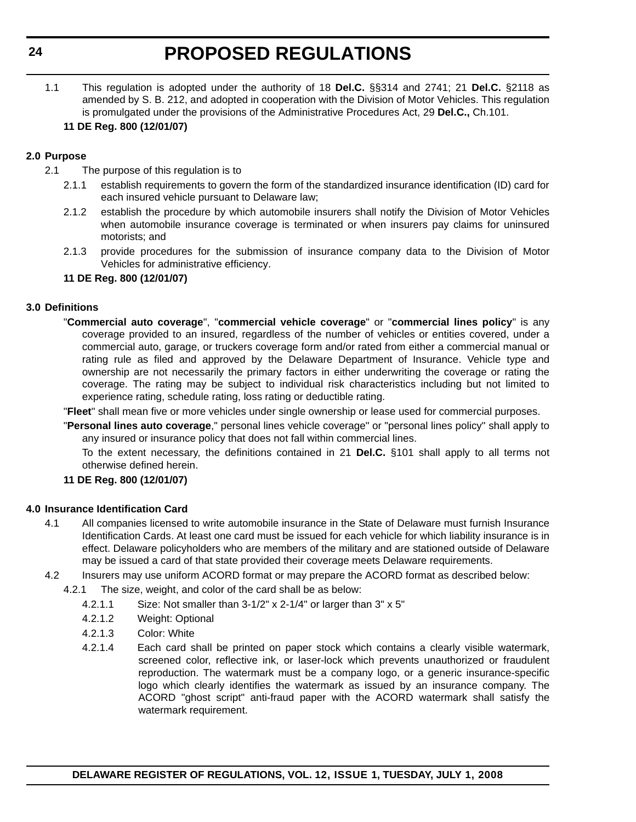1.1 This regulation is adopted under the authority of 18 **Del.C.** §§314 and 2741; 21 **Del.C.** §2118 as amended by S. B. 212, and adopted in cooperation with the Division of Motor Vehicles. This regulation is promulgated under the provisions of the Administrative Procedures Act, 29 **Del.C.,** Ch.101.

#### **11 DE Reg. 800 (12/01/07)**

#### **2.0 Purpose**

- 2.1 The purpose of this regulation is to
	- 2.1.1 establish requirements to govern the form of the standardized insurance identification (ID) card for each insured vehicle pursuant to Delaware law;
	- 2.1.2 establish the procedure by which automobile insurers shall notify the Division of Motor Vehicles when automobile insurance coverage is terminated or when insurers pay claims for uninsured motorists; and
	- 2.1.3 provide procedures for the submission of insurance company data to the Division of Motor Vehicles for administrative efficiency.

#### **11 DE Reg. 800 (12/01/07)**

#### **3.0 Definitions**

"**Commercial auto coverage**", "**commercial vehicle coverage**" or "**commercial lines policy**" is any coverage provided to an insured, regardless of the number of vehicles or entities covered, under a commercial auto, garage, or truckers coverage form and/or rated from either a commercial manual or rating rule as filed and approved by the Delaware Department of Insurance. Vehicle type and ownership are not necessarily the primary factors in either underwriting the coverage or rating the coverage. The rating may be subject to individual risk characteristics including but not limited to experience rating, schedule rating, loss rating or deductible rating.

"**Fleet**" shall mean five or more vehicles under single ownership or lease used for commercial purposes.

"**Personal lines auto coverage**," personal lines vehicle coverage" or "personal lines policy" shall apply to any insured or insurance policy that does not fall within commercial lines.

To the extent necessary, the definitions contained in 21 **Del.C.** §101 shall apply to all terms not otherwise defined herein.

#### **11 DE Reg. 800 (12/01/07)**

#### **4.0 Insurance Identification Card**

- 4.1 All companies licensed to write automobile insurance in the State of Delaware must furnish Insurance Identification Cards. At least one card must be issued for each vehicle for which liability insurance is in effect. Delaware policyholders who are members of the military and are stationed outside of Delaware may be issued a card of that state provided their coverage meets Delaware requirements.
- 4.2 Insurers may use uniform ACORD format or may prepare the ACORD format as described below:
	- 4.2.1 The size, weight, and color of the card shall be as below:
		- 4.2.1.1 Size: Not smaller than 3-1/2" x 2-1/4" or larger than 3" x 5"
		- 4.2.1.2 Weight: Optional
		- 4.2.1.3 Color: White
		- 4.2.1.4 Each card shall be printed on paper stock which contains a clearly visible watermark, screened color, reflective ink, or laser-lock which prevents unauthorized or fraudulent reproduction. The watermark must be a company logo, or a generic insurance-specific logo which clearly identifies the watermark as issued by an insurance company. The ACORD "ghost script" anti-fraud paper with the ACORD watermark shall satisfy the watermark requirement.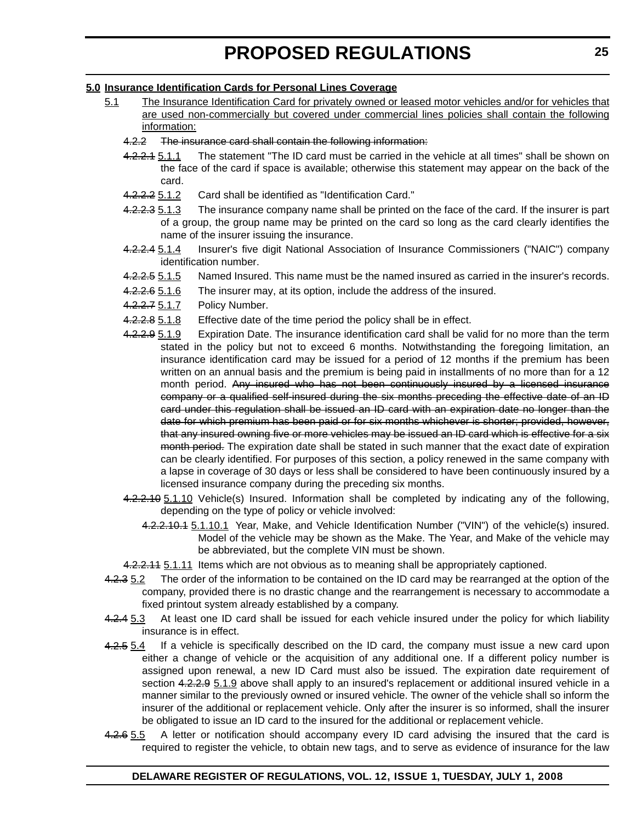#### **5.0 Insurance Identification Cards for Personal Lines Coverage**

- 5.1 The Insurance Identification Card for privately owned or leased motor vehicles and/or for vehicles that are used non-commercially but covered under commercial lines policies shall contain the following information:
	- 4.2.2 The insurance card shall contain the following information:
	- 4.2.2.1 5.1.1 The statement "The ID card must be carried in the vehicle at all times" shall be shown on the face of the card if space is available; otherwise this statement may appear on the back of the card.
	- 4.2.2.2 5.1.2 Card shall be identified as "Identification Card."
	- 4.2.2.3 5.1.3 The insurance company name shall be printed on the face of the card. If the insurer is part of a group, the group name may be printed on the card so long as the card clearly identifies the name of the insurer issuing the insurance.
	- 4.2.2.4 5.1.4 Insurer's five digit National Association of Insurance Commissioners ("NAIC") company identification number.
	- 4.2.2.5 5.1.5 Named Insured. This name must be the named insured as carried in the insurer's records.
	- 4.2.2.6 5.1.6 The insurer may, at its option, include the address of the insured.
	- 4.2.2.7 5.1.7 Policy Number.
	- 4.2.2.8 5.1.8 Effective date of the time period the policy shall be in effect.
	- 4.2.2.9 5.1.9 Expiration Date. The insurance identification card shall be valid for no more than the term stated in the policy but not to exceed 6 months. Notwithstanding the foregoing limitation, an insurance identification card may be issued for a period of 12 months if the premium has been written on an annual basis and the premium is being paid in installments of no more than for a 12 month period. Any insured who has not been continuously insured by a licensed insurance company or a qualified self-insured during the six months preceding the effective date of an ID card under this regulation shall be issued an ID card with an expiration date no longer than the date for which premium has been paid or for six months whichever is shorter; provided, however, that any insured owning five or more vehicles may be issued an ID card which is effective for a six month period. The expiration date shall be stated in such manner that the exact date of expiration can be clearly identified. For purposes of this section, a policy renewed in the same company with a lapse in coverage of 30 days or less shall be considered to have been continuously insured by a licensed insurance company during the preceding six months.
	- 4.2.2.10 5.1.10 Vehicle(s) Insured. Information shall be completed by indicating any of the following, depending on the type of policy or vehicle involved:
		- 4.2.2.10.1 5.1.10.1 Year, Make, and Vehicle Identification Number ("VIN") of the vehicle(s) insured. Model of the vehicle may be shown as the Make. The Year, and Make of the vehicle may be abbreviated, but the complete VIN must be shown.
	- 4.2.2.11 5.1.11 Items which are not obvious as to meaning shall be appropriately captioned.
- 4.2.3 5.2 The order of the information to be contained on the ID card may be rearranged at the option of the company, provided there is no drastic change and the rearrangement is necessary to accommodate a fixed printout system already established by a company.
- 4.2.4 5.3 At least one ID card shall be issued for each vehicle insured under the policy for which liability insurance is in effect.
- 4.2.5 5.4 If a vehicle is specifically described on the ID card, the company must issue a new card upon either a change of vehicle or the acquisition of any additional one. If a different policy number is assigned upon renewal, a new ID Card must also be issued. The expiration date requirement of section 4.2.2.9 5.1.9 above shall apply to an insured's replacement or additional insured vehicle in a manner similar to the previously owned or insured vehicle. The owner of the vehicle shall so inform the insurer of the additional or replacement vehicle. Only after the insurer is so informed, shall the insurer be obligated to issue an ID card to the insured for the additional or replacement vehicle.
- 4.2.6 5.5 A letter or notification should accompany every ID card advising the insured that the card is required to register the vehicle, to obtain new tags, and to serve as evidence of insurance for the law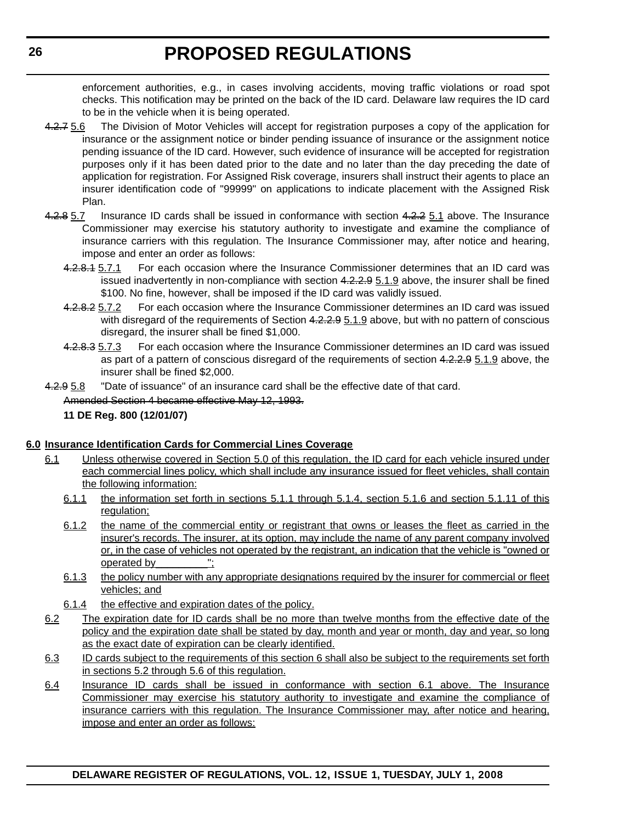enforcement authorities, e.g., in cases involving accidents, moving traffic violations or road spot checks. This notification may be printed on the back of the ID card. Delaware law requires the ID card to be in the vehicle when it is being operated.

- 4.2.7 5.6 The Division of Motor Vehicles will accept for registration purposes a copy of the application for insurance or the assignment notice or binder pending issuance of insurance or the assignment notice pending issuance of the ID card. However, such evidence of insurance will be accepted for registration purposes only if it has been dated prior to the date and no later than the day preceding the date of application for registration. For Assigned Risk coverage, insurers shall instruct their agents to place an insurer identification code of "99999" on applications to indicate placement with the Assigned Risk Plan.
- 4.2.8 5.7 Insurance ID cards shall be issued in conformance with section 4.2.2 5.1 above. The Insurance Commissioner may exercise his statutory authority to investigate and examine the compliance of insurance carriers with this regulation. The Insurance Commissioner may, after notice and hearing, impose and enter an order as follows:
	- 4.2.8.1 5.7.1 For each occasion where the Insurance Commissioner determines that an ID card was issued inadvertently in non-compliance with section 4.2.2.9 5.1.9 above, the insurer shall be fined \$100. No fine, however, shall be imposed if the ID card was validly issued.
	- 4.2.8.2 5.7.2 For each occasion where the Insurance Commissioner determines an ID card was issued with disregard of the requirements of Section 4.2.2.9 5.1.9 above, but with no pattern of conscious disregard, the insurer shall be fined \$1,000.
	- 4.2.8.3 5.7.3 For each occasion where the Insurance Commissioner determines an ID card was issued as part of a pattern of conscious disregard of the requirements of section 4.2.2.9 5.1.9 above, the insurer shall be fined \$2,000.
- 4.2.9 5.8 "Date of issuance" of an insurance card shall be the effective date of that card.

Amended Section 4 became effective May 12, 1993.

**11 DE Reg. 800 (12/01/07)**

#### **6.0 Insurance Identification Cards for Commercial Lines Coverage**

- 6.1 Unless otherwise covered in Section 5.0 of this regulation, the ID card for each vehicle insured under each commercial lines policy, which shall include any insurance issued for fleet vehicles, shall contain the following information:
	- 6.1.1 the information set forth in sections 5.1.1 through 5.1.4, section 5.1.6 and section 5.1.11 of this regulation;
	- 6.1.2 the name of the commercial entity or registrant that owns or leases the fleet as carried in the insurer's records. The insurer, at its option, may include the name of any parent company involved or, in the case of vehicles not operated by the registrant, an indication that the vehicle is "owned or operated by
	- 6.1.3 the policy number with any appropriate designations required by the insurer for commercial or fleet vehicles; and
	- 6.1.4 the effective and expiration dates of the policy.
- 6.2 The expiration date for ID cards shall be no more than twelve months from the effective date of the policy and the expiration date shall be stated by day, month and year or month, day and year, so long as the exact date of expiration can be clearly identified.
- 6.3 ID cards subject to the requirements of this section 6 shall also be subject to the requirements set forth in sections 5.2 through 5.6 of this regulation.
- 6.4 Insurance ID cards shall be issued in conformance with section 6.1 above. The Insurance Commissioner may exercise his statutory authority to investigate and examine the compliance of insurance carriers with this regulation. The Insurance Commissioner may, after notice and hearing, impose and enter an order as follows: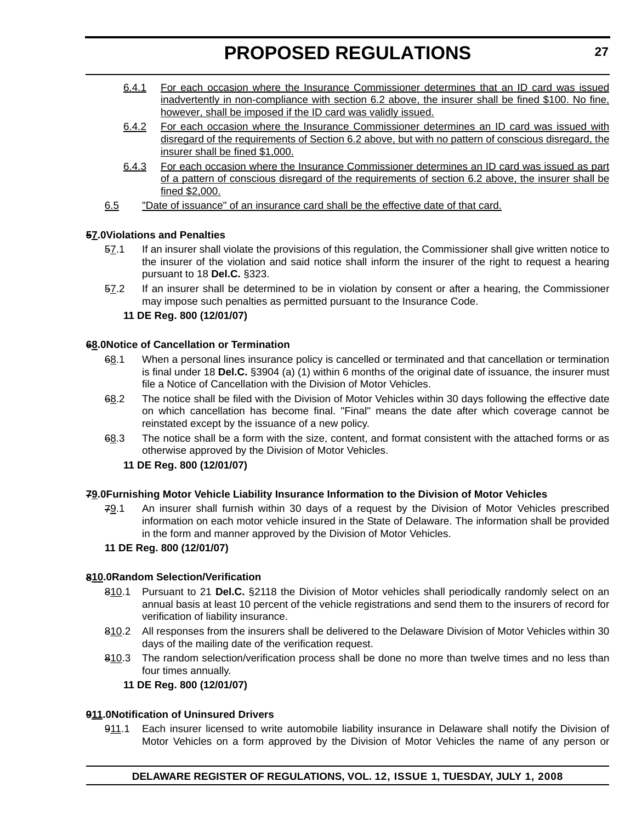- 6.4.1 For each occasion where the Insurance Commissioner determines that an ID card was issued inadvertently in non-compliance with section 6.2 above, the insurer shall be fined \$100. No fine, however, shall be imposed if the ID card was validly issued.
- 6.4.2 For each occasion where the Insurance Commissioner determines an ID card was issued with disregard of the requirements of Section 6.2 above, but with no pattern of conscious disregard, the insurer shall be fined \$1,000.
- 6.4.3 For each occasion where the Insurance Commissioner determines an ID card was issued as part of a pattern of conscious disregard of the requirements of section 6.2 above, the insurer shall be fined \$2,000.
- 6.5 "Date of issuance" of an insurance card shall be the effective date of that card.

#### **57.0Violations and Penalties**

- 57.1 If an insurer shall violate the provisions of this regulation, the Commissioner shall give written notice to the insurer of the violation and said notice shall inform the insurer of the right to request a hearing pursuant to 18 **Del.C.** §323.
- 57.2 If an insurer shall be determined to be in violation by consent or after a hearing, the Commissioner may impose such penalties as permitted pursuant to the Insurance Code.

#### **11 DE Reg. 800 (12/01/07)**

#### **68.0Notice of Cancellation or Termination**

- 68.1 When a personal lines insurance policy is cancelled or terminated and that cancellation or termination is final under 18 **Del.C.** §3904 (a) (1) within 6 months of the original date of issuance, the insurer must file a Notice of Cancellation with the Division of Motor Vehicles.
- 68.2 The notice shall be filed with the Division of Motor Vehicles within 30 days following the effective date on which cancellation has become final. "Final" means the date after which coverage cannot be reinstated except by the issuance of a new policy.
- 68.3 The notice shall be a form with the size, content, and format consistent with the attached forms or as otherwise approved by the Division of Motor Vehicles.

#### **11 DE Reg. 800 (12/01/07)**

#### **79.0Furnishing Motor Vehicle Liability Insurance Information to the Division of Motor Vehicles**

79.1 An insurer shall furnish within 30 days of a request by the Division of Motor Vehicles prescribed information on each motor vehicle insured in the State of Delaware. The information shall be provided in the form and manner approved by the Division of Motor Vehicles.

#### **11 DE Reg. 800 (12/01/07)**

#### **810.0Random Selection/Verification**

- 810.1 Pursuant to 21 **Del.C.** §2118 the Division of Motor vehicles shall periodically randomly select on an annual basis at least 10 percent of the vehicle registrations and send them to the insurers of record for verification of liability insurance.
- 810.2 All responses from the insurers shall be delivered to the Delaware Division of Motor Vehicles within 30 days of the mailing date of the verification request.
- 810.3 The random selection/verification process shall be done no more than twelve times and no less than four times annually.

#### **11 DE Reg. 800 (12/01/07)**

#### **911.0Notification of Uninsured Drivers**

911.1 Each insurer licensed to write automobile liability insurance in Delaware shall notify the Division of Motor Vehicles on a form approved by the Division of Motor Vehicles the name of any person or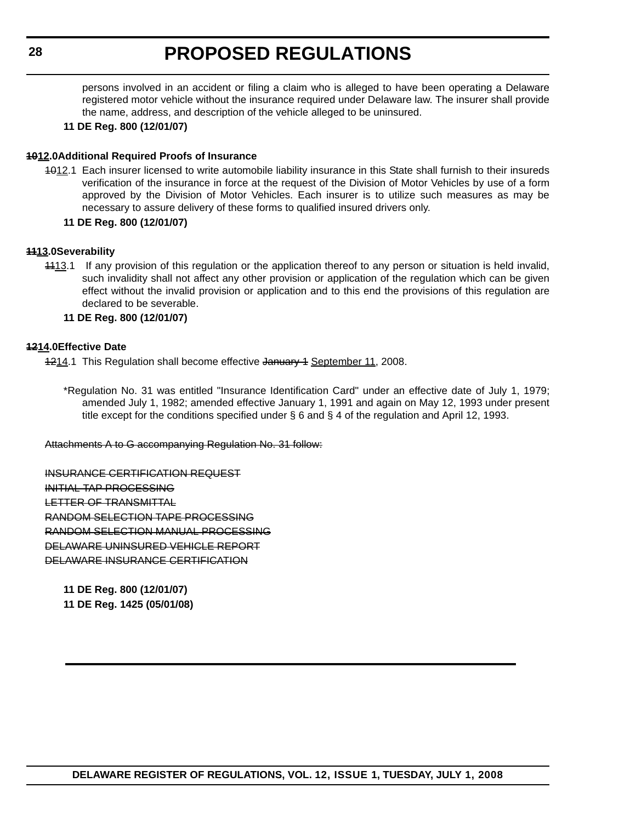persons involved in an accident or filing a claim who is alleged to have been operating a Delaware registered motor vehicle without the insurance required under Delaware law. The insurer shall provide the name, address, and description of the vehicle alleged to be uninsured.

#### **11 DE Reg. 800 (12/01/07)**

#### **1012.0Additional Required Proofs of Insurance**

4012.1 Each insurer licensed to write automobile liability insurance in this State shall furnish to their insureds verification of the insurance in force at the request of the Division of Motor Vehicles by use of a form approved by the Division of Motor Vehicles. Each insurer is to utilize such measures as may be necessary to assure delivery of these forms to qualified insured drivers only.

#### **11 DE Reg. 800 (12/01/07)**

#### **1113.0Severability**

1113.1 If any provision of this regulation or the application thereof to any person or situation is held invalid, such invalidity shall not affect any other provision or application of the regulation which can be given effect without the invalid provision or application and to this end the provisions of this regulation are declared to be severable.

#### **11 DE Reg. 800 (12/01/07)**

#### **1214.0Effective Date**

1214.1 This Regulation shall become effective January 1 September 11, 2008.

\*Regulation No. 31 was entitled "Insurance Identification Card" under an effective date of July 1, 1979; amended July 1, 1982; amended effective January 1, 1991 and again on May 12, 1993 under present title except for the conditions specified under § 6 and § 4 of the regulation and April 12, 1993.

Attachments A to G accompanying Regulation No. 31 follow:

INSURANCE CERTIFICATION REQUEST INITIAL TAP PROCESSING LETTER OF TRANSMITTAL RANDOM SELECTION TAPE PROCESSING RANDOM SELECTION MANUAL PROCESSING DELAWARE UNINSURED VEHICLE REPORT DELAWARE INSURANCE CERTIFICATION

**11 DE Reg. 800 (12/01/07) 11 DE Reg. 1425 (05/01/08)**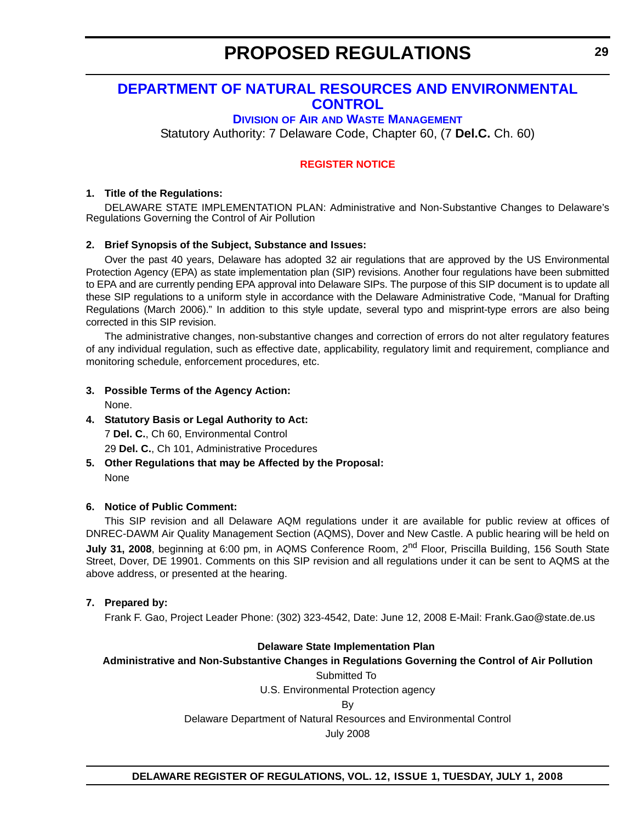#### <span id="page-28-0"></span>**[DEPARTMENT OF NATURAL RESOURCES AND ENVIRONMENTAL](http://www.awm.delaware.gov/)  CONTROL**

#### **DIVISION OF AIR [AND WASTE MANAGEMENT](http://www.awm.delaware.gov/)**

Statutory Authority: 7 Delaware Code, Chapter 60, (7 **Del.C.** Ch. 60)

#### **[REGISTER NOTICE](#page-3-0)**

#### **1. Title of the Regulations:**

DELAWARE STATE IMPLEMENTATION PLAN: Administrative and Non-Substantive Changes to Delaware's Regulations Governing the Control of Air Pollution

#### **2. Brief Synopsis of the Subject, Substance and Issues:**

Over the past 40 years, Delaware has adopted 32 air regulations that are approved by the US Environmental Protection Agency (EPA) as state implementation plan (SIP) revisions. Another four regulations have been submitted to EPA and are currently pending EPA approval into Delaware SIPs. The purpose of this SIP document is to update all these SIP regulations to a uniform style in accordance with the Delaware Administrative Code, "Manual for Drafting Regulations (March 2006)." In addition to this style update, several typo and misprint-type errors are also being corrected in this SIP revision.

The administrative changes, non-substantive changes and correction of errors do not alter regulatory features of any individual regulation, such as effective date, applicability, regulatory limit and requirement, compliance and monitoring schedule, enforcement procedures, etc.

**3. Possible Terms of the Agency Action:**

None.

- **4. Statutory Basis or Legal Authority to Act:** 7 **Del. C.**, Ch 60, Environmental Control 29 **Del. C.**, Ch 101, Administrative Procedures
- **5. Other Regulations that may be Affected by the Proposal:**  None

#### **6. Notice of Public Comment:**

This SIP revision and all Delaware AQM regulations under it are available for public review at offices of DNREC-DAWM Air Quality Management Section (AQMS), Dover and New Castle. A public hearing will be held on **July 31, 2008**, beginning at 6:00 pm, in AQMS Conference Room, 2<sup>nd</sup> Floor, Priscilla Building, 156 South State Street, Dover, DE 19901. Comments on this SIP revision and all regulations under it can be sent to AQMS at the above address, or presented at the hearing.

#### **7. Prepared by:**

Frank F. Gao, Project Leader Phone: (302) 323-4542, Date: June 12, 2008 E-Mail: Frank.Gao@state.de.us

#### **Delaware State Implementation Plan**

#### **Administrative and Non-Substantive Changes in Regulations Governing the Control of Air Pollution**

Submitted To U.S. Environmental Protection agency By Delaware Department of Natural Resources and Environmental Control July 2008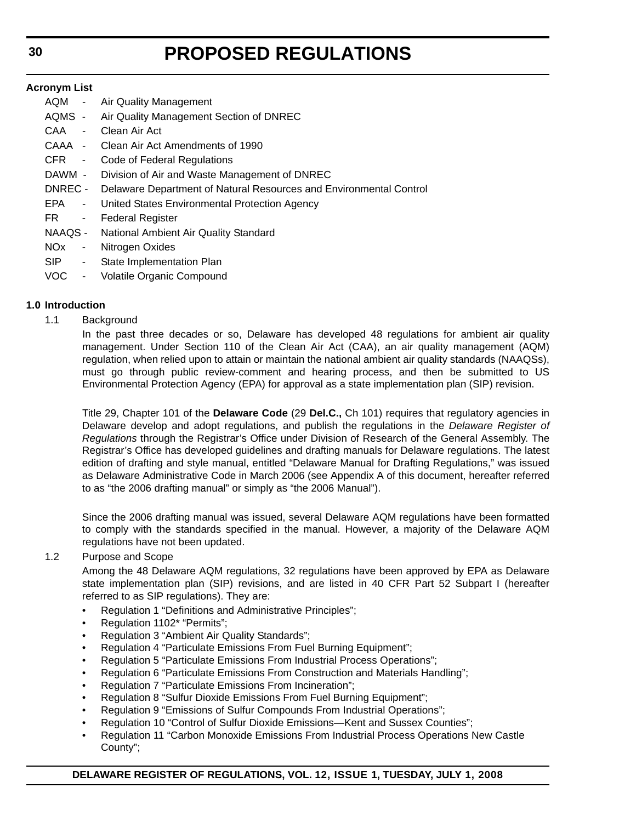#### **Acronym List**

AQM - Air Quality Management AQMS - Air Quality Management Section of DNREC CAA - Clean Air Act CAAA - Clean Air Act Amendments of 1990 CFR - Code of Federal Regulations DAWM - Division of Air and Waste Management of DNREC DNREC - Delaware Department of Natural Resources and Environmental Control EPA - United States Environmental Protection Agency FR - Federal Register NAAQS - National Ambient Air Quality Standard NOx - Nitrogen Oxides SIP - State Implementation Plan VOC - Volatile Organic Compound

#### **1.0 Introduction**

1.1 Background

In the past three decades or so, Delaware has developed 48 regulations for ambient air quality management. Under Section 110 of the Clean Air Act (CAA), an air quality management (AQM) regulation, when relied upon to attain or maintain the national ambient air quality standards (NAAQSs), must go through public review-comment and hearing process, and then be submitted to US Environmental Protection Agency (EPA) for approval as a state implementation plan (SIP) revision.

Title 29, Chapter 101 of the **Delaware Code** (29 **Del.C.,** Ch 101) requires that regulatory agencies in Delaware develop and adopt regulations, and publish the regulations in the *Delaware Register of Regulations* through the Registrar's Office under Division of Research of the General Assembly. The Registrar's Office has developed guidelines and drafting manuals for Delaware regulations. The latest edition of drafting and style manual, entitled "Delaware Manual for Drafting Regulations," was issued as Delaware Administrative Code in March 2006 (see Appendix A of this document, hereafter referred to as "the 2006 drafting manual" or simply as "the 2006 Manual").

Since the 2006 drafting manual was issued, several Delaware AQM regulations have been formatted to comply with the standards specified in the manual. However, a majority of the Delaware AQM regulations have not been updated.

#### 1.2 Purpose and Scope

Among the 48 Delaware AQM regulations, 32 regulations have been approved by EPA as Delaware state implementation plan (SIP) revisions, and are listed in 40 CFR Part 52 Subpart I (hereafter referred to as SIP regulations). They are:

- Regulation 1 "Definitions and Administrative Principles";
- Regulation 1102\* "Permits";
- Regulation 3 "Ambient Air Quality Standards";
- Regulation 4 "Particulate Emissions From Fuel Burning Equipment";
- Regulation 5 "Particulate Emissions From Industrial Process Operations";
- Regulation 6 "Particulate Emissions From Construction and Materials Handling";
- Regulation 7 "Particulate Emissions From Incineration";
- Regulation 8 "Sulfur Dioxide Emissions From Fuel Burning Equipment";
- Regulation 9 "Emissions of Sulfur Compounds From Industrial Operations";
- Regulation 10 "Control of Sulfur Dioxide Emissions—Kent and Sussex Counties";
- Regulation 11 "Carbon Monoxide Emissions From Industrial Process Operations New Castle County";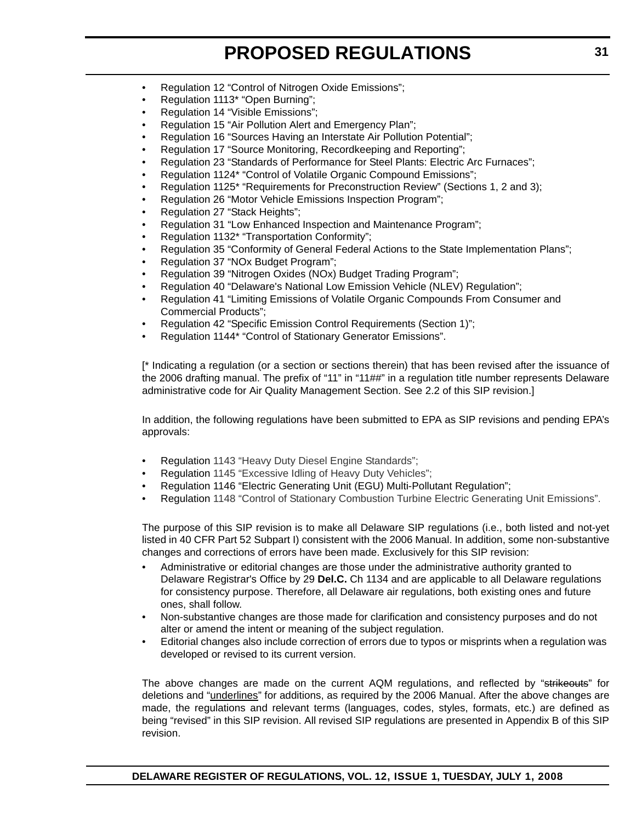- Regulation 12 "Control of Nitrogen Oxide Emissions":
- Regulation 1113\* "Open Burning";
- Regulation 14 "Visible Emissions";
- Regulation 15 "Air Pollution Alert and Emergency Plan";
- Regulation 16 "Sources Having an Interstate Air Pollution Potential";
- Regulation 17 "Source Monitoring, Recordkeeping and Reporting";
- Regulation 23 "Standards of Performance for Steel Plants: Electric Arc Furnaces";
- Regulation 1124\* "Control of Volatile Organic Compound Emissions";
- Regulation 1125<sup>\*</sup> "Requirements for Preconstruction Review" (Sections 1, 2 and 3);
- Regulation 26 "Motor Vehicle Emissions Inspection Program";
- Regulation 27 "Stack Heights";
- Regulation 31 "Low Enhanced Inspection and Maintenance Program";
- Regulation 1132\* "Transportation Conformity";
- Regulation 35 "Conformity of General Federal Actions to the State Implementation Plans";
- Regulation 37 "NOx Budget Program";
- Regulation 39 "Nitrogen Oxides (NOx) Budget Trading Program";
- Regulation 40 "Delaware's National Low Emission Vehicle (NLEV) Regulation";
- Regulation 41 "Limiting Emissions of Volatile Organic Compounds From Consumer and Commercial Products";
- Regulation 42 "Specific Emission Control Requirements (Section 1)";
- Regulation 1144\* "Control of Stationary Generator Emissions".

[\* Indicating a regulation (or a section or sections therein) that has been revised after the issuance of the 2006 drafting manual. The prefix of "11" in "11##" in a regulation title number represents Delaware administrative code for Air Quality Management Section. See 2.2 of this SIP revision.]

In addition, the following regulations have been submitted to EPA as SIP revisions and pending EPA's approvals:

- Regulation 1143 "Heavy Duty Diesel Engine Standards";
- Regulation 1145 "Excessive Idling of Heavy Duty Vehicles";
- Regulation 1146 "Electric Generating Unit (EGU) Multi-Pollutant Regulation";
- Regulation 1148 "Control of Stationary Combustion Turbine Electric Generating Unit Emissions".

The purpose of this SIP revision is to make all Delaware SIP regulations (i.e., both listed and not-yet listed in 40 CFR Part 52 Subpart I) consistent with the 2006 Manual. In addition, some non-substantive changes and corrections of errors have been made. Exclusively for this SIP revision:

- Administrative or editorial changes are those under the administrative authority granted to Delaware Registrar's Office by 29 **Del.C.** Ch 1134 and are applicable to all Delaware regulations for consistency purpose. Therefore, all Delaware air regulations, both existing ones and future ones, shall follow.
- Non-substantive changes are those made for clarification and consistency purposes and do not alter or amend the intent or meaning of the subject regulation.
- Editorial changes also include correction of errors due to typos or misprints when a regulation was developed or revised to its current version.

The above changes are made on the current AQM regulations, and reflected by "strikeouts" for deletions and "underlines" for additions, as required by the 2006 Manual. After the above changes are made, the regulations and relevant terms (languages, codes, styles, formats, etc.) are defined as being "revised" in this SIP revision. All revised SIP regulations are presented in Appendix B of this SIP revision.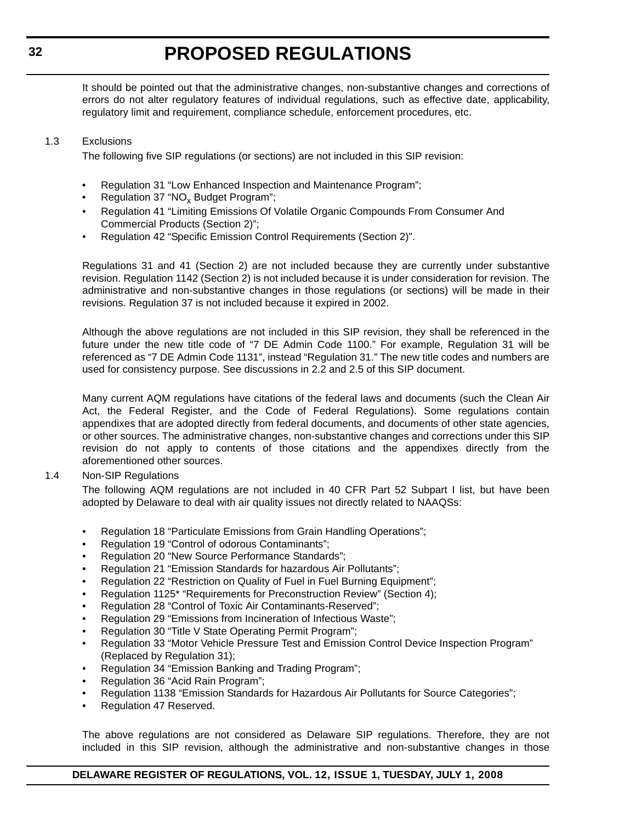It should be pointed out that the administrative changes, non-substantive changes and corrections of errors do not alter regulatory features of individual regulations, such as effective date, applicability, regulatory limit and requirement, compliance schedule, enforcement procedures, etc.

#### 1.3 Exclusions

The following five SIP regulations (or sections) are not included in this SIP revision:

- Regulation 31 "Low Enhanced Inspection and Maintenance Program";
- Regulation 37 "NO<sub>x</sub> Budget Program";
- Regulation 41 "Limiting Emissions Of Volatile Organic Compounds From Consumer And Commercial Products (Section 2)";
- Regulation 42 "Specific Emission Control Requirements (Section 2)".

Regulations 31 and 41 (Section 2) are not included because they are currently under substantive revision. Regulation 1142 (Section 2) is not included because it is under consideration for revision. The administrative and non-substantive changes in those regulations (or sections) will be made in their revisions. Regulation 37 is not included because it expired in 2002.

Although the above regulations are not included in this SIP revision, they shall be referenced in the future under the new title code of "7 DE Admin Code 1100." For example, Regulation 31 will be referenced as "7 DE Admin Code 1131", instead "Regulation 31." The new title codes and numbers are used for consistency purpose. See discussions in 2.2 and 2.5 of this SIP document.

Many current AQM regulations have citations of the federal laws and documents (such the Clean Air Act, the Federal Register, and the Code of Federal Regulations). Some regulations contain appendixes that are adopted directly from federal documents, and documents of other state agencies, or other sources. The administrative changes, non-substantive changes and corrections under this SIP revision do not apply to contents of those citations and the appendixes directly from the aforementioned other sources.

#### 1.4 Non-SIP Regulations

The following AQM regulations are not included in 40 CFR Part 52 Subpart I list, but have been adopted by Delaware to deal with air quality issues not directly related to NAAQSs:

- Regulation 18 "Particulate Emissions from Grain Handling Operations";
- Regulation 19 "Control of odorous Contaminants";
- Regulation 20 "New Source Performance Standards";
- Regulation 21 "Emission Standards for hazardous Air Pollutants";
- Regulation 22 "Restriction on Quality of Fuel in Fuel Burning Equipment";
- Regulation 1125\* "Requirements for Preconstruction Review" (Section 4);
- Regulation 28 "Control of Toxic Air Contaminants-Reserved";
- Regulation 29 "Emissions from Incineration of Infectious Waste";
- Regulation 30 "Title V State Operating Permit Program";
- Regulation 33 "Motor Vehicle Pressure Test and Emission Control Device Inspection Program" (Replaced by Regulation 31);
- Regulation 34 "Emission Banking and Trading Program";
- Regulation 36 "Acid Rain Program";
- Regulation 1138 "Emission Standards for Hazardous Air Pollutants for Source Categories";
- Regulation 47 Reserved.

The above regulations are not considered as Delaware SIP regulations. Therefore, they are not included in this SIP revision, although the administrative and non-substantive changes in those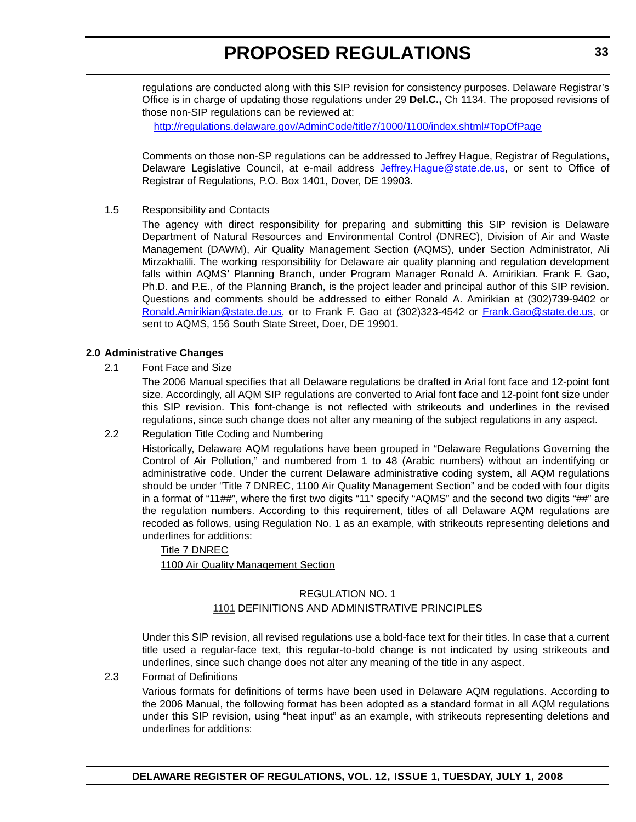regulations are conducted along with this SIP revision for consistency purposes. Delaware Registrar's Office is in charge of updating those regulations under 29 **Del.C.,** Ch 1134. The proposed revisions of those non-SIP regulations can be reviewed at:

<http://regulations.delaware.gov/AdminCode/title7/1000/1100/index.shtml#TopOfPage>

Comments on those non-SP regulations can be addressed to Jeffrey Hague, Registrar of Regulations, Delaware Legislative Council, at e-mail address [Jeffrey.Hague@state.de.us](mailto:Jeffrey.Hague@state.de.us), or sent to Office of Registrar of Regulations, P.O. Box 1401, Dover, DE 19903.

#### 1.5 Responsibility and Contacts

The agency with direct responsibility for preparing and submitting this SIP revision is Delaware Department of Natural Resources and Environmental Control (DNREC), Division of Air and Waste Management (DAWM), Air Quality Management Section (AQMS), under Section Administrator, Ali Mirzakhalili. The working responsibility for Delaware air quality planning and regulation development falls within AQMS' Planning Branch, under Program Manager Ronald A. Amirikian. Frank F. Gao, Ph.D. and P.E., of the Planning Branch, is the project leader and principal author of this SIP revision. Questions and comments should be addressed to either Ronald A. Amirikian at (302)739-9402 or [Ronald.Amirikian@state.de.us](mailto:Ronald.Amirikian@state.de.us), or to Frank F. Gao at (302)323-4542 or [Frank.Gao@state.de.us,](mailto:Frank.Gao@state.de.us) or sent to AQMS, 156 South State Street, Doer, DE 19901.

#### **2.0 Administrative Changes**

2.1 Font Face and Size

The 2006 Manual specifies that all Delaware regulations be drafted in Arial font face and 12-point font size. Accordingly, all AQM SIP regulations are converted to Arial font face and 12-point font size under this SIP revision. This font-change is not reflected with strikeouts and underlines in the revised regulations, since such change does not alter any meaning of the subject regulations in any aspect.

2.2 Regulation Title Coding and Numbering

Historically, Delaware AQM regulations have been grouped in "Delaware Regulations Governing the Control of Air Pollution," and numbered from 1 to 48 (Arabic numbers) without an indentifying or administrative code. Under the current Delaware administrative coding system, all AQM regulations should be under "Title 7 DNREC, 1100 Air Quality Management Section" and be coded with four digits in a format of "11##", where the first two digits "11" specify "AQMS" and the second two digits "##" are the regulation numbers. According to this requirement, titles of all Delaware AQM regulations are recoded as follows, using Regulation No. 1 as an example, with strikeouts representing deletions and underlines for additions:

#### Title 7 DNREC 1100 Air Quality Management Section

#### REGULATION NO. 1

#### 1101 DEFINITIONS AND ADMINISTRATIVE PRINCIPLES

Under this SIP revision, all revised regulations use a bold-face text for their titles. In case that a current title used a regular-face text, this regular-to-bold change is not indicated by using strikeouts and underlines, since such change does not alter any meaning of the title in any aspect.

#### 2.3 Format of Definitions

Various formats for definitions of terms have been used in Delaware AQM regulations. According to the 2006 Manual, the following format has been adopted as a standard format in all AQM regulations under this SIP revision, using "heat input" as an example, with strikeouts representing deletions and underlines for additions: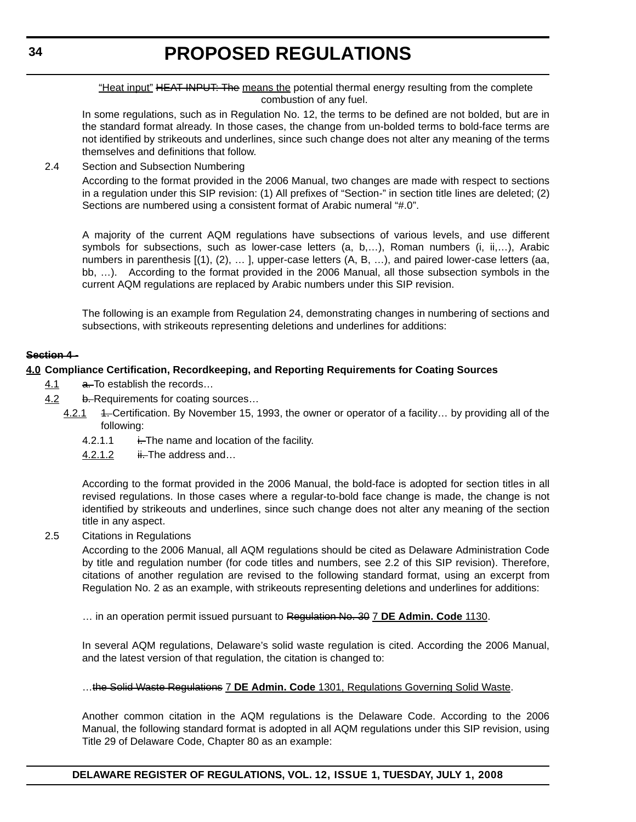"Heat input" HEAT INPUT: The means the potential thermal energy resulting from the complete combustion of any fuel.

In some regulations, such as in Regulation No. 12, the terms to be defined are not bolded, but are in the standard format already. In those cases, the change from un-bolded terms to bold-face terms are not identified by strikeouts and underlines, since such change does not alter any meaning of the terms themselves and definitions that follow.

2.4 Section and Subsection Numbering

According to the format provided in the 2006 Manual, two changes are made with respect to sections in a regulation under this SIP revision: (1) All prefixes of "Section-" in section title lines are deleted; (2) Sections are numbered using a consistent format of Arabic numeral "#.0".

A majority of the current AQM regulations have subsections of various levels, and use different symbols for subsections, such as lower-case letters (a, b,…), Roman numbers (i, ii,…), Arabic numbers in parenthesis [(1), (2), … ], upper-case letters (A, B, …), and paired lower-case letters (aa, bb, …). According to the format provided in the 2006 Manual, all those subsection symbols in the current AQM regulations are replaced by Arabic numbers under this SIP revision.

The following is an example from Regulation 24, demonstrating changes in numbering of sections and subsections, with strikeouts representing deletions and underlines for additions:

#### **Section 4 -**

#### **4.0 Compliance Certification, Recordkeeping, and Reporting Requirements for Coating Sources**

- 4.1 **a.** To establish the records...
- 4.2 b. Requirements for coating sources...
	- 4.2.1 4. Certification. By November 15, 1993, the owner or operator of a facility... by providing all of the following:
		- 4.2.1.1  $\frac{1}{2}$  i. The name and location of the facility.
		- 4.2.1.2  $\qquad \qquad \text{ii.}$  The address and...

According to the format provided in the 2006 Manual, the bold-face is adopted for section titles in all revised regulations. In those cases where a regular-to-bold face change is made, the change is not identified by strikeouts and underlines, since such change does not alter any meaning of the section title in any aspect.

2.5 Citations in Regulations

According to the 2006 Manual, all AQM regulations should be cited as Delaware Administration Code by title and regulation number (for code titles and numbers, see 2.2 of this SIP revision). Therefore, citations of another regulation are revised to the following standard format, using an excerpt from Regulation No. 2 as an example, with strikeouts representing deletions and underlines for additions:

… in an operation permit issued pursuant to Regulation No. 30 7 **DE Admin. Code** 1130.

In several AQM regulations, Delaware's solid waste regulation is cited. According the 2006 Manual, and the latest version of that regulation, the citation is changed to:

…the Solid Waste Regulations 7 **DE Admin. Code** 1301, Regulations Governing Solid Waste.

Another common citation in the AQM regulations is the Delaware Code. According to the 2006 Manual, the following standard format is adopted in all AQM regulations under this SIP revision, using Title 29 of Delaware Code, Chapter 80 as an example: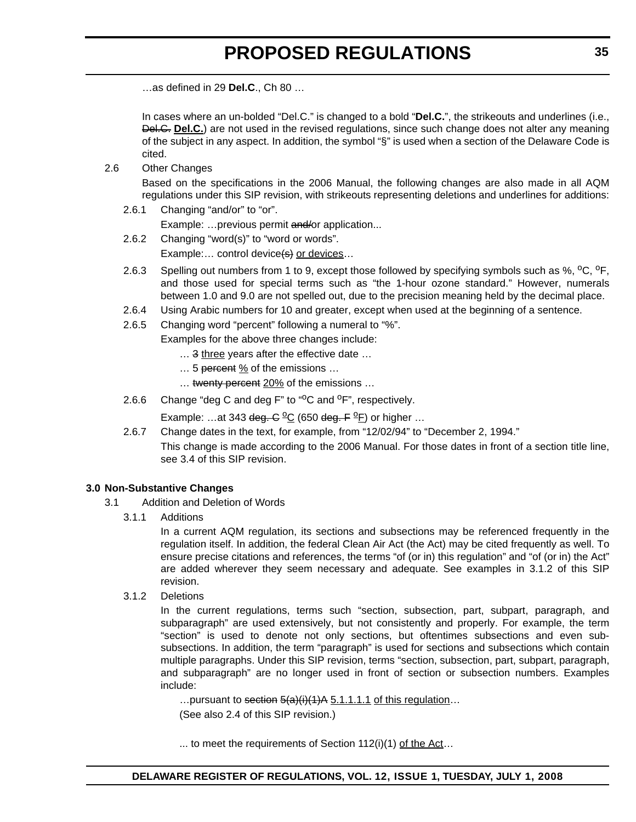…as defined in 29 **Del.C**., Ch 80 …

In cases where an un-bolded "Del.C." is changed to a bold "**Del.C.**", the strikeouts and underlines (i.e., Del.C. **Del.C.**) are not used in the revised regulations, since such change does not alter any meaning of the subject in any aspect. In addition, the symbol "§" is used when a section of the Delaware Code is cited.

2.6 Other Changes

Based on the specifications in the 2006 Manual, the following changes are also made in all AQM regulations under this SIP revision, with strikeouts representing deletions and underlines for additions:

2.6.1 Changing "and/or" to "or".

Example: ... previous permit and/or application...

- 2.6.2 Changing "word(s)" to "word or words". Example:... control device(s) or devices...
- 2.6.3 Spelling out numbers from 1 to 9, except those followed by specifying symbols such as %, <sup>o</sup>C, <sup>o</sup>F, and those used for special terms such as "the 1-hour ozone standard." However, numerals between 1.0 and 9.0 are not spelled out, due to the precision meaning held by the decimal place.
- 2.6.4 Using Arabic numbers for 10 and greater, except when used at the beginning of a sentence.
- 2.6.5 Changing word "percent" following a numeral to "%". Examples for the above three changes include:
	- … 3 three years after the effective date …
	- $\ldots$  5 percent  $\frac{9}{2}$  of the emissions  $\ldots$
	- ... twenty percent 20% of the emissions ...
- 2.6.6 Change "deg C and deg  $F$ " to " $^{\circ}$ C and  $^{\circ}F$ ", respectively.

Example: …at 343 <del>deg. C</del> <sup>o</sup>C (650 <del>deg. F</del> <sup>o</sup>F) or higher ...

2.6.7 Change dates in the text, for example, from "12/02/94" to "December 2, 1994." This change is made according to the 2006 Manual. For those dates in front of a section title line, see 3.4 of this SIP revision.

#### **3.0 Non-Substantive Changes**

- 3.1 Addition and Deletion of Words
	- 3.1.1 Additions

In a current AQM regulation, its sections and subsections may be referenced frequently in the regulation itself. In addition, the federal Clean Air Act (the Act) may be cited frequently as well. To ensure precise citations and references, the terms "of (or in) this regulation" and "of (or in) the Act" are added wherever they seem necessary and adequate. See examples in 3.1.2 of this SIP revision.

3.1.2 Deletions

In the current regulations, terms such "section, subsection, part, subpart, paragraph, and subparagraph" are used extensively, but not consistently and properly. For example, the term "section" is used to denote not only sections, but oftentimes subsections and even subsubsections. In addition, the term "paragraph" is used for sections and subsections which contain multiple paragraphs. Under this SIP revision, terms "section, subsection, part, subpart, paragraph, and subparagraph" are no longer used in front of section or subsection numbers. Examples include:

... pursuant to section  $5(a)(i)(1)$ A  $5.1.1.1.1$  of this regulation... (See also 2.4 of this SIP revision.)

... to meet the requirements of Section  $112(i)(1)$  of the Act...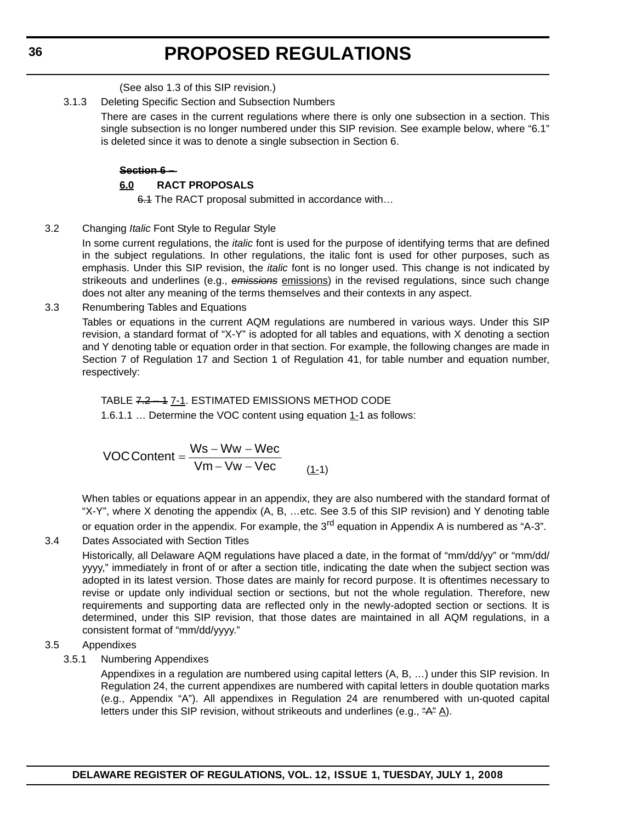(See also 1.3 of this SIP revision.)

3.1.3 Deleting Specific Section and Subsection Numbers

There are cases in the current regulations where there is only one subsection in a section. This single subsection is no longer numbered under this SIP revision. See example below, where "6.1" is deleted since it was to denote a single subsection in Section 6.

#### **Section 6 –**

#### **6.0 RACT PROPOSALS**

6.4 The RACT proposal submitted in accordance with...

#### 3.2 Changing *Italic* Font Style to Regular Style

 In some current regulations, the *italic* font is used for the purpose of identifying terms that are defined in the subject regulations. In other regulations, the italic font is used for other purposes, such as emphasis. Under this SIP revision, the *italic* font is no longer used. This change is not indicated by strikeouts and underlines (e.g., *emissions* emissions) in the revised regulations, since such change does not alter any meaning of the terms themselves and their contexts in any aspect.

3.3 Renumbering Tables and Equations

Tables or equations in the current AQM regulations are numbered in various ways. Under this SIP revision, a standard format of "X-Y" is adopted for all tables and equations, with X denoting a section and Y denoting table or equation order in that section. For example, the following changes are made in Section 7 of Regulation 17 and Section 1 of Regulation 41, for table number and equation number, respectively:

TABLE 7.2 – 1 7-1. ESTIMATED EMISSIONS METHOD CODE 1.6.1.1 … Determine the VOC content using equation 1-1 as follows:

 $(1-1)$ VOCContent = <sup>Ws – Ww – Wec</sup><br>Vm – Vw – Vec

When tables or equations appear in an appendix, they are also numbered with the standard format of "X-Y", where X denoting the appendix (A, B, …etc. See 3.5 of this SIP revision) and Y denoting table or equation order in the appendix. For example, the  $3<sup>rd</sup>$  equation in Appendix A is numbered as "A-3".

3.4 Dates Associated with Section Titles

Historically, all Delaware AQM regulations have placed a date, in the format of "mm/dd/yy" or "mm/dd/ yyyy," immediately in front of or after a section title, indicating the date when the subject section was adopted in its latest version. Those dates are mainly for record purpose. It is oftentimes necessary to revise or update only individual section or sections, but not the whole regulation. Therefore, new requirements and supporting data are reflected only in the newly-adopted section or sections. It is determined, under this SIP revision, that those dates are maintained in all AQM regulations, in a consistent format of "mm/dd/yyyy."

#### 3.5 Appendixes

#### 3.5.1 Numbering Appendixes

Appendixes in a regulation are numbered using capital letters (A, B, …) under this SIP revision. In Regulation 24, the current appendixes are numbered with capital letters in double quotation marks (e.g., Appendix "A"). All appendixes in Regulation 24 are renumbered with un-quoted capital letters under this SIP revision, without strikeouts and underlines (e.g.,  $A^2 \underline{A}$ ).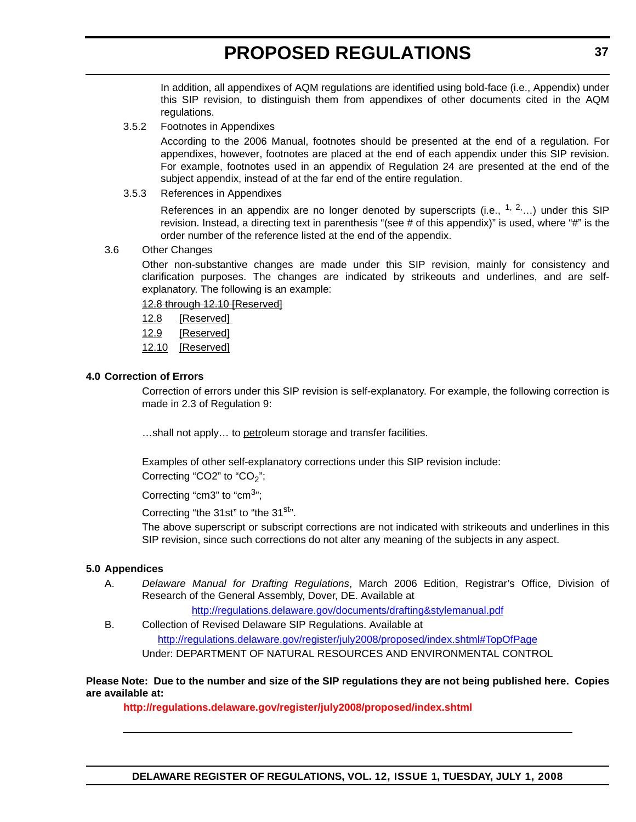In addition, all appendixes of AQM regulations are identified using bold-face (i.e., Appendix) under this SIP revision, to distinguish them from appendixes of other documents cited in the AQM regulations.

3.5.2 Footnotes in Appendixes

According to the 2006 Manual, footnotes should be presented at the end of a regulation. For appendixes, however, footnotes are placed at the end of each appendix under this SIP revision. For example, footnotes used in an appendix of Regulation 24 are presented at the end of the subject appendix, instead of at the far end of the entire regulation.

3.5.3 References in Appendixes

References in an appendix are no longer denoted by superscripts (i.e.,  $1, 2, \ldots$ ) under this SIP revision. Instead, a directing text in parenthesis "(see # of this appendix)" is used, where "#" is the order number of the reference listed at the end of the appendix.

#### 3.6 Other Changes

Other non-substantive changes are made under this SIP revision, mainly for consistency and clarification purposes. The changes are indicated by strikeouts and underlines, and are selfexplanatory. The following is an example:

## 12.8 through 12.10 [Reserved]

12.8 [Reserved]

- 12.9 [Reserved]
- 12.10 [Reserved]

#### **4.0 Correction of Errors**

Correction of errors under this SIP revision is self-explanatory. For example, the following correction is made in 2.3 of Regulation 9:

…shall not apply… to petroleum storage and transfer facilities.

Examples of other self-explanatory corrections under this SIP revision include: Correcting "CO2" to "CO<sub>2</sub>";

Correcting "cm3" to "cm3";

Correcting "the 31st" to "the 31<sup>st</sup>".

The above superscript or subscript corrections are not indicated with strikeouts and underlines in this SIP revision, since such corrections do not alter any meaning of the subjects in any aspect.

#### **5.0 Appendices**

A. *Delaware Manual for Drafting Regulations*, March 2006 Edition, Registrar's Office, Division of Research of the General Assembly, Dover, DE. Available at

http://regulations.delaware.gov/documents/drafting&stylemanual.pdf

B. Collection of Revised Delaware SIP Regulations. Available at http://regulations.delaware.gov/register/july2008/proposed/index.shtml#TopOfPage Under: DEPARTMENT OF NATURAL RESOURCES AND ENVIRONMENTAL CONTROL

**Please Note: Due to the number and size of the SIP regulations they are not being published here. Copies are available at:**

**<http://regulations.delaware.gov/register/july2008/proposed/index.shtml>**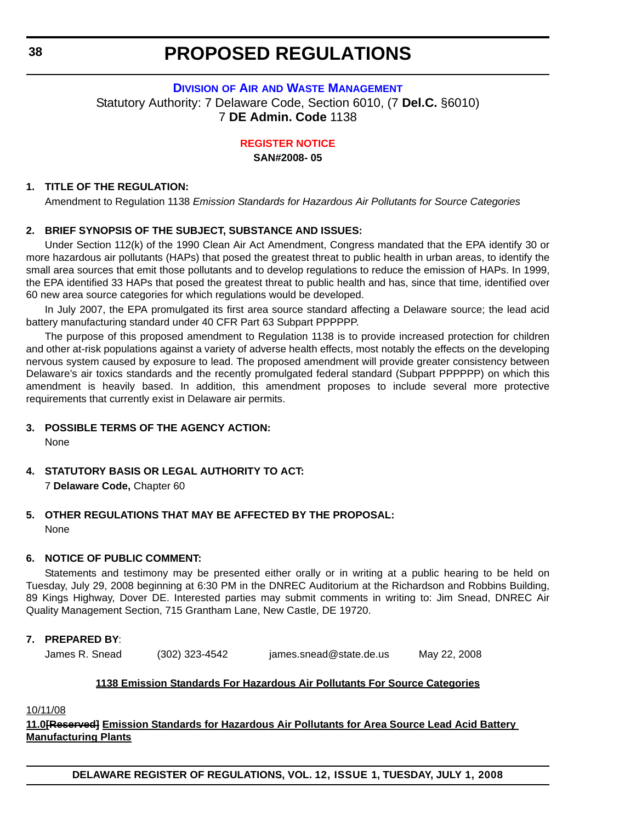## **DIVISION OF AIR [AND WASTE MANAGEMENT](http://www.awm.delaware.gov/Pages/default.aspx)** Statutory Authority: 7 Delaware Code, Section 6010, (7 **Del.C.** §6010) 7 **DE Admin. Code** 1138

#### **[REGISTER NOTICE](#page-3-0)**

**SAN#2008- 05**

#### **1. TITLE OF THE REGULATION:**

Amendment to Regulation 1138 *Emission Standards for Hazardous Air Pollutants for Source Categories*

## **2. BRIEF SYNOPSIS OF THE SUBJECT, SUBSTANCE AND ISSUES:**

Under Section 112(k) of the 1990 Clean Air Act Amendment, Congress mandated that the EPA identify 30 or more hazardous air pollutants (HAPs) that posed the greatest threat to public health in urban areas, to identify the small area sources that emit those pollutants and to develop regulations to reduce the emission of HAPs. In 1999, the EPA identified 33 HAPs that posed the greatest threat to public health and has, since that time, identified over 60 new area source categories for which regulations would be developed.

In July 2007, the EPA promulgated its first area source standard affecting a Delaware source; the lead acid battery manufacturing standard under 40 CFR Part 63 Subpart PPPPPP.

The purpose of this proposed amendment to Regulation 1138 is to provide increased protection for children and other at-risk populations against a variety of adverse health effects, most notably the effects on the developing nervous system caused by exposure to lead. The proposed amendment will provide greater consistency between Delaware's air toxics standards and the recently promulgated federal standard (Subpart PPPPPP) on which this amendment is heavily based. In addition, this amendment proposes to include several more protective requirements that currently exist in Delaware air permits.

## **3. POSSIBLE TERMS OF THE AGENCY ACTION:**

None

# **4. STATUTORY BASIS OR LEGAL AUTHORITY TO ACT:**

7 **Delaware Code,** Chapter 60

# **5. OTHER REGULATIONS THAT MAY BE AFFECTED BY THE PROPOSAL:** None

#### **6. NOTICE OF PUBLIC COMMENT:**

Statements and testimony may be presented either orally or in writing at a public hearing to be held on Tuesday, July 29, 2008 beginning at 6:30 PM in the DNREC Auditorium at the Richardson and Robbins Building, 89 Kings Highway, Dover DE. Interested parties may submit comments in writing to: Jim Snead, DNREC Air Quality Management Section, 715 Grantham Lane, New Castle, DE 19720.

## **7. PREPARED BY**:

James R. Snead (302) 323-4542 james.snead@state.de.us May 22, 2008

#### **1138 Emission Standards For Hazardous Air Pollutants For Source Categories**

## 10/11/08

## **11.0[Reserved] Emission Standards for Hazardous Air Pollutants for Area Source Lead Acid Battery Manufacturing Plants**

**DELAWARE REGISTER OF REGULATIONS, VOL. 12, ISSUE 1, TUESDAY, JULY 1, 2008**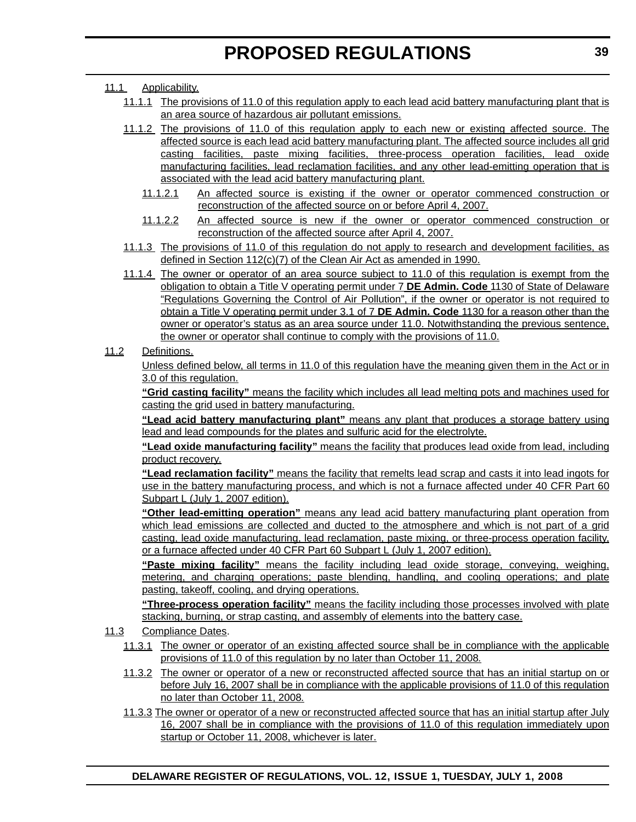## 11.1 Applicability.

- 11.1.1 The provisions of 11.0 of this regulation apply to each lead acid battery manufacturing plant that is an area source of hazardous air pollutant emissions.
- 11.1.2 The provisions of 11.0 of this regulation apply to each new or existing affected source. The affected source is each lead acid battery manufacturing plant. The affected source includes all grid casting facilities, paste mixing facilities, three-process operation facilities, lead oxide manufacturing facilities, lead reclamation facilities, and any other lead-emitting operation that is associated with the lead acid battery manufacturing plant.
	- 11.1.2.1 An affected source is existing if the owner or operator commenced construction or reconstruction of the affected source on or before April 4, 2007.
	- 11.1.2.2 An affected source is new if the owner or operator commenced construction or reconstruction of the affected source after April 4, 2007.
- 11.1.3 The provisions of 11.0 of this regulation do not apply to research and development facilities, as defined in Section 112(c)(7) of the Clean Air Act as amended in 1990.
- 11.1.4 The owner or operator of an area source subject to 11.0 of this regulation is exempt from the obligation to obtain a Title V operating permit under 7 **DE Admin. Code** 1130 of State of Delaware "Regulations Governing the Control of Air Pollution", if the owner or operator is not required to obtain a Title V operating permit under 3.1 of 7 **DE Admin. Code** 1130 for a reason other than the owner or operator's status as an area source under 11.0. Notwithstanding the previous sentence, the owner or operator shall continue to comply with the provisions of 11.0.

## 11.2 Definitions.

Unless defined below, all terms in 11.0 of this regulation have the meaning given them in the Act or in 3.0 of this regulation.

**"Grid casting facility"** means the facility which includes all lead melting pots and machines used for casting the grid used in battery manufacturing.

**"Lead acid battery manufacturing plant"** means any plant that produces a storage battery using lead and lead compounds for the plates and sulfuric acid for the electrolyte.

**"Lead oxide manufacturing facility"** means the facility that produces lead oxide from lead, including product recovery.

**"Lead reclamation facility"** means the facility that remelts lead scrap and casts it into lead ingots for use in the battery manufacturing process, and which is not a furnace affected under 40 CFR Part 60 Subpart L (July 1, 2007 edition).

**"Other lead-emitting operation"** means any lead acid battery manufacturing plant operation from which lead emissions are collected and ducted to the atmosphere and which is not part of a grid casting, lead oxide manufacturing, lead reclamation, paste mixing, or three-process operation facility, or a furnace affected under 40 CFR Part 60 Subpart L (July 1, 2007 edition).

**"Paste mixing facility"** means the facility including lead oxide storage, conveying, weighing, metering, and charging operations; paste blending, handling, and cooling operations; and plate pasting, takeoff, cooling, and drying operations.

**"Three-process operation facility"** means the facility including those processes involved with plate stacking, burning, or strap casting, and assembly of elements into the battery case.

- 11.3 Compliance Dates.
	- 11.3.1 The owner or operator of an existing affected source shall be in compliance with the applicable provisions of 11.0 of this regulation by no later than October 11, 2008*.*
	- 11.3.2 The owner or operator of a new or reconstructed affected source that has an initial startup on or before July 16, 2007 shall be in compliance with the applicable provisions of 11.0 of this regulation no later than October 11, 2008*.*
	- 11.3.3 The owner or operator of a new or reconstructed affected source that has an initial startup after July 16, 2007 shall be in compliance with the provisions of 11.0 of this regulation immediately upon startup or October 11, 2008, whichever is later.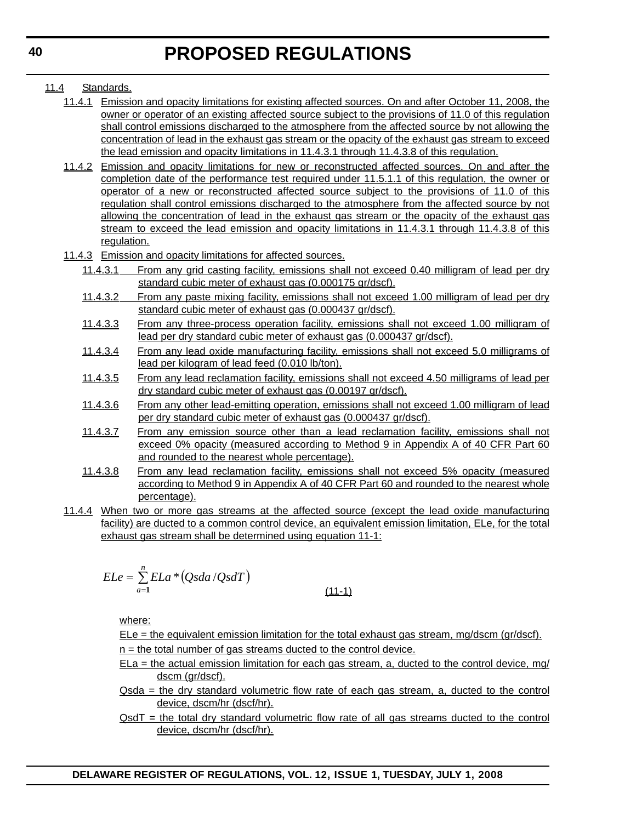- 11.4 Standards.
	- 11.4.1 Emission and opacity limitations for existing affected sources. On and after October 11, 2008, the owner or operator of an existing affected source subject to the provisions of 11.0 of this regulation shall control emissions discharged to the atmosphere from the affected source by not allowing the concentration of lead in the exhaust gas stream or the opacity of the exhaust gas stream to exceed the lead emission and opacity limitations in 11.4.3.1 through 11.4.3.8 of this regulation.
	- 11.4.2 Emission and opacity limitations for new or reconstructed affected sources. On and after the completion date of the performance test required under 11.5.1.1 of this regulation, the owner or operator of a new or reconstructed affected source subject to the provisions of 11.0 of this regulation shall control emissions discharged to the atmosphere from the affected source by not allowing the concentration of lead in the exhaust gas stream or the opacity of the exhaust gas stream to exceed the lead emission and opacity limitations in 11.4.3.1 through 11.4.3.8 of this regulation.
	- 11.4.3 Emission and opacity limitations for affected sources.
		- 11.4.3.1 From any grid casting facility, emissions shall not exceed 0.40 milligram of lead per dry standard cubic meter of exhaust gas (0.000175 gr/dscf).
		- 11.4.3.2 From any paste mixing facility, emissions shall not exceed 1.00 milligram of lead per dry standard cubic meter of exhaust gas (0.000437 gr/dscf).
		- 11.4.3.3 From any three-process operation facility, emissions shall not exceed 1.00 milligram of lead per dry standard cubic meter of exhaust gas (0.000437 gr/dscf).
		- 11.4.3.4 From any lead oxide manufacturing facility, emissions shall not exceed 5.0 milligrams of lead per kilogram of lead feed (0.010 lb/ton).
		- 11.4.3.5 From any lead reclamation facility, emissions shall not exceed 4.50 milligrams of lead per dry standard cubic meter of exhaust gas (0.00197 gr/dscf).
		- 11.4.3.6 From any other lead-emitting operation, emissions shall not exceed 1.00 milligram of lead per dry standard cubic meter of exhaust gas (0.000437 gr/dscf).
		- 11.4.3.7 From any emission source other than a lead reclamation facility, emissions shall not exceed 0% opacity (measured according to Method 9 in Appendix A of 40 CFR Part 60 and rounded to the nearest whole percentage).
		- 11.4.3.8 From any lead reclamation facility, emissions shall not exceed 5% opacity (measured according to Method 9 in Appendix A of 40 CFR Part 60 and rounded to the nearest whole percentage).
	- 11.4.4 When two or more gas streams at the affected source (except the lead oxide manufacturing facility) are ducted to a common control device, an equivalent emission limitation, ELe, for the total exhaust gas stream shall be determined using equation 11-1:

$$
ELe = \sum_{a=1}^{n} ELa * (Qsda/Qs dT)
$$
\n(11-1)

where:

ELe = the equivalent emission limitation for the total exhaust gas stream,  $mg/dscm$  (gr/dscf).

- $n =$  the total number of gas streams ducted to the control device.
- $ELa =$  the actual emission limitation for each gas stream, a, ducted to the control device, mg/ dscm (gr/dscf).
- Qsda = the dry standard volumetric flow rate of each gas stream, a, ducted to the control device, dscm/hr (dscf/hr).
- $QsdT$  = the total dry standard volumetric flow rate of all gas streams ducted to the control device, dscm/hr (dscf/hr).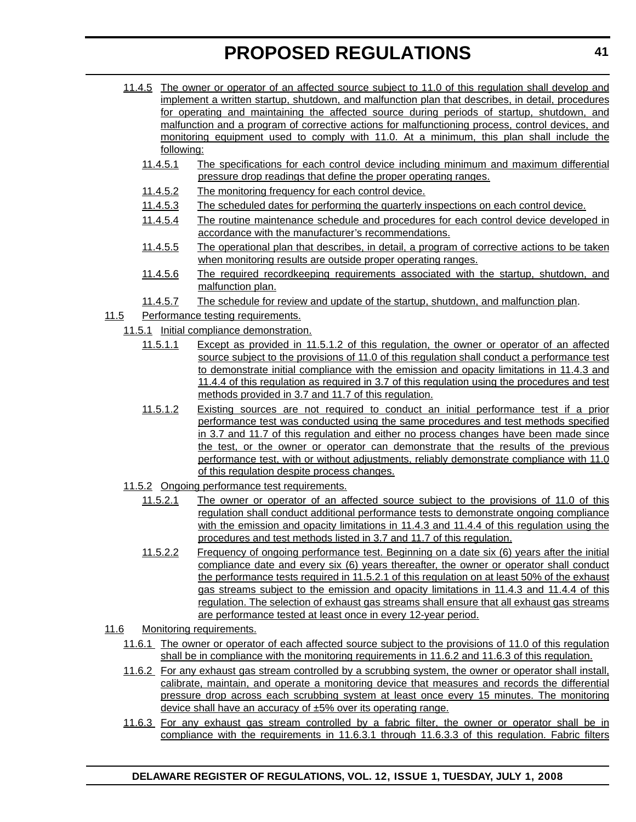- 11.4.5 The owner or operator of an affected source subject to 11.0 of this regulation shall develop and implement a written startup, shutdown, and malfunction plan that describes, in detail, procedures for operating and maintaining the affected source during periods of startup, shutdown, and malfunction and a program of corrective actions for malfunctioning process, control devices, and monitoring equipment used to comply with 11.0. At a minimum, this plan shall include the following:
	- 11.4.5.1 The specifications for each control device including minimum and maximum differential pressure drop readings that define the proper operating ranges.
	- 11.4.5.2 The monitoring frequency for each control device.
	- 11.4.5.3 The scheduled dates for performing the quarterly inspections on each control device.
	- 11.4.5.4 The routine maintenance schedule and procedures for each control device developed in accordance with the manufacturer's recommendations.
	- 11.4.5.5 The operational plan that describes, in detail, a program of corrective actions to be taken when monitoring results are outside proper operating ranges.
	- 11.4.5.6 The required recordkeeping requirements associated with the startup, shutdown, and malfunction plan.
	- 11.4.5.7 The schedule for review and update of the startup, shutdown, and malfunction plan.
- 11.5 Performance testing requirements.
	- 11.5.1 Initial compliance demonstration.
		- 11.5.1.1 Except as provided in 11.5.1.2 of this regulation, the owner or operator of an affected source subject to the provisions of 11.0 of this regulation shall conduct a performance test to demonstrate initial compliance with the emission and opacity limitations in 11.4.3 and 11.4.4 of this regulation as required in 3.7 of this regulation using the procedures and test methods provided in 3.7 and 11.7 of this regulation.
		- 11.5.1.2 Existing sources are not required to conduct an initial performance test if a prior performance test was conducted using the same procedures and test methods specified in 3.7 and 11.7 of this regulation and either no process changes have been made since the test, or the owner or operator can demonstrate that the results of the previous performance test, with or without adjustments, reliably demonstrate compliance with 11.0 of this regulation despite process changes.
	- 11.5.2 Ongoing performance test requirements.
		- 11.5.2.1 The owner or operator of an affected source subject to the provisions of 11.0 of this regulation shall conduct additional performance tests to demonstrate ongoing compliance with the emission and opacity limitations in 11.4.3 and 11.4.4 of this regulation using the procedures and test methods listed in 3.7 and 11.7 of this regulation.
		- 11.5.2.2 Frequency of ongoing performance test. Beginning on a date six (6) years after the initial compliance date and every six (6) years thereafter, the owner or operator shall conduct the performance tests required in 11.5.2.1 of this regulation on at least 50% of the exhaust gas streams subject to the emission and opacity limitations in 11.4.3 and 11.4.4 of this regulation. The selection of exhaust gas streams shall ensure that all exhaust gas streams are performance tested at least once in every 12-year period.
- 11.6 Monitoring requirements.
	- 11.6.1 The owner or operator of each affected source subject to the provisions of 11.0 of this regulation shall be in compliance with the monitoring requirements in 11.6.2 and 11.6.3 of this regulation.
	- 11.6.2 For any exhaust gas stream controlled by a scrubbing system, the owner or operator shall install, calibrate, maintain, and operate a monitoring device that measures and records the differential pressure drop across each scrubbing system at least once every 15 minutes. The monitoring device shall have an accuracy of ±5% over its operating range.
	- 11.6.3 For any exhaust gas stream controlled by a fabric filter, the owner or operator shall be in compliance with the requirements in 11.6.3.1 through 11.6.3.3 of this regulation. Fabric filters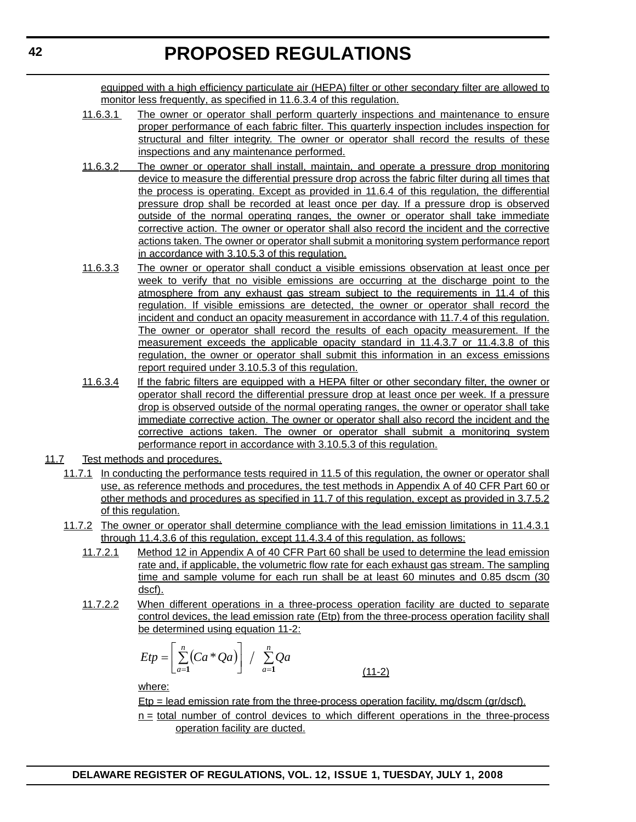equipped with a high efficiency particulate air (HEPA) filter or other secondary filter are allowed to monitor less frequently, as specified in 11.6.3.4 of this regulation.

- 11.6.3.1 The owner or operator shall perform quarterly inspections and maintenance to ensure proper performance of each fabric filter. This quarterly inspection includes inspection for structural and filter integrity. The owner or operator shall record the results of these inspections and any maintenance performed.
- 11.6.3.2 The owner or operator shall install, maintain, and operate a pressure drop monitoring device to measure the differential pressure drop across the fabric filter during all times that the process is operating. Except as provided in 11.6.4 of this regulation, the differential pressure drop shall be recorded at least once per day. If a pressure drop is observed outside of the normal operating ranges, the owner or operator shall take immediate corrective action. The owner or operator shall also record the incident and the corrective actions taken. The owner or operator shall submit a monitoring system performance report in accordance with 3.10.5.3 of this regulation.
- 11.6.3.3 The owner or operator shall conduct a visible emissions observation at least once per week to verify that no visible emissions are occurring at the discharge point to the atmosphere from any exhaust gas stream subject to the requirements in 11.4 of this regulation. If visible emissions are detected, the owner or operator shall record the incident and conduct an opacity measurement in accordance with 11.7.4 of this regulation. The owner or operator shall record the results of each opacity measurement. If the measurement exceeds the applicable opacity standard in 11.4.3.7 or 11.4.3.8 of this regulation, the owner or operator shall submit this information in an excess emissions report required under 3.10.5.3 of this regulation.
- 11.6.3.4 If the fabric filters are equipped with a HEPA filter or other secondary filter, the owner or operator shall record the differential pressure drop at least once per week. If a pressure drop is observed outside of the normal operating ranges, the owner or operator shall take immediate corrective action. The owner or operator shall also record the incident and the corrective actions taken. The owner or operator shall submit a monitoring system performance report in accordance with 3.10.5.3 of this regulation.
- 11.7 Test methods and procedures.
	- 11.7.1 In conducting the performance tests required in 11.5 of this regulation, the owner or operator shall use, as reference methods and procedures, the test methods in Appendix A of 40 CFR Part 60 or other methods and procedures as specified in 11.7 of this regulation, except as provided in 3.7.5.2 of this regulation.
	- 11.7.2 The owner or operator shall determine compliance with the lead emission limitations in 11.4.3.1 through 11.4.3.6 of this regulation, except 11.4.3.4 of this regulation, as follows:
		- 11.7.2.1 Method 12 in Appendix A of 40 CFR Part 60 shall be used to determine the lead emission rate and, if applicable, the volumetric flow rate for each exhaust gas stream. The sampling time and sample volume for each run shall be at least 60 minutes and 0.85 dscm (30 dscf).
		- 11.7.2.2 When different operations in a three-process operation facility are ducted to separate control devices, the lead emission rate (Etp) from the three-process operation facility shall be determined using equation 11-2:

$$
Etp = \left[\sum_{a=1}^{n} (Ca \cdot 2a)\right] / \sum_{a=1}^{n} 2a
$$

 $(11-2)$ 

where:

 $Etp = lead$  emission rate from the three-process operation facility, mg/dscm (gr/dscf).

n = total number of control devices to which different operations in the three-process operation facility are ducted.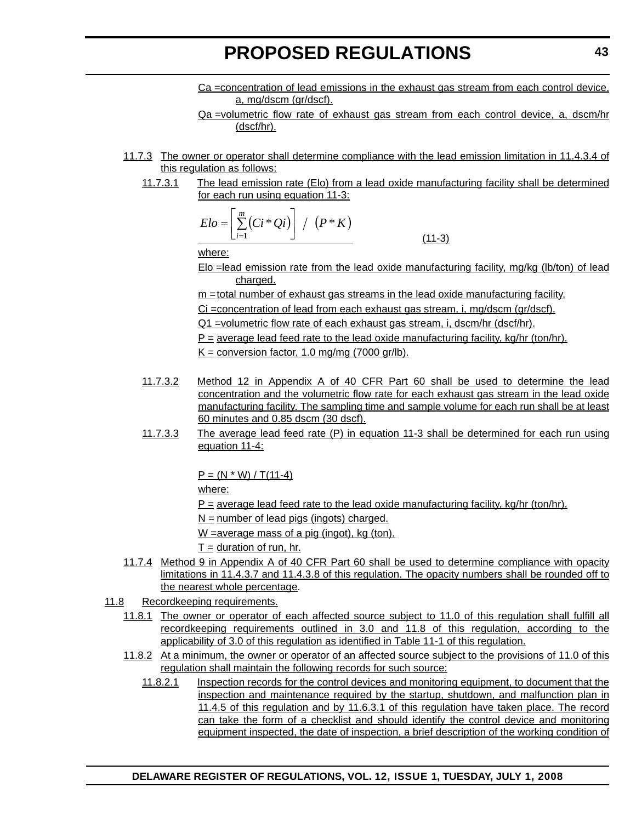- Ca =concentration of lead emissions in the exhaust gas stream from each control device, a, mg/dscm (gr/dscf).
- Qa =volumetric flow rate of exhaust gas stream from each control device, a, dscm/hr (dscf/hr).
- 11.7.3 The owner or operator shall determine compliance with the lead emission limitation in 11.4.3.4 of this regulation as follows:
	- 11.7.3.1 The lead emission rate (Elo) from a lead oxide manufacturing facility shall be determined for each run using equation 11-3:

$$
Elo = \left[\sum_{i=1}^{m} (Ci * Qi)\right] / (P * K)
$$

(11-3)

where:

Elo =lead emission rate from the lead oxide manufacturing facility, mg/kg (lb/ton) of lead charged.

 $m =$ total number of exhaust gas streams in the lead oxide manufacturing facility.

Ci =concentration of lead from each exhaust gas stream, i, mg/dscm (gr/dscf).

Q1 =volumetric flow rate of each exhaust gas stream, i, dscm/hr (dscf/hr).

 $P =$  average lead feed rate to the lead oxide manufacturing facility, kg/hr (ton/hr).

 $K =$  conversion factor, 1.0 mg/mg (7000 gr/lb).

- 11.7.3.2 Method 12 in Appendix A of 40 CFR Part 60 shall be used to determine the lead concentration and the volumetric flow rate for each exhaust gas stream in the lead oxide manufacturing facility. The sampling time and sample volume for each run shall be at least 60 minutes and 0.85 dscm (30 dscf).
- 11.7.3.3 The average lead feed rate (P) in equation 11-3 shall be determined for each run using equation 11-4:

 $P = (N * W) / T(11-4)$ 

where:

 $P =$  average lead feed rate to the lead oxide manufacturing facility, kg/hr (ton/hr).

 $N =$  number of lead pigs (ingots) charged.

W =average mass of a pig (ingot), kg (ton).

 $T =$  duration of run, hr.

- 11.7.4 Method 9 in Appendix A of 40 CFR Part 60 shall be used to determine compliance with opacity limitations in 11.4.3.7 and 11.4.3.8 of this regulation. The opacity numbers shall be rounded off to the nearest whole percentage.
- 11.8 Recordkeeping requirements.
	- 11.8.1 The owner or operator of each affected source subject to 11.0 of this regulation shall fulfill all recordkeeping requirements outlined in 3.0 and 11.8 of this regulation, according to the applicability of 3.0 of this regulation as identified in Table 11-1 of this regulation.
	- 11.8.2 At a minimum, the owner or operator of an affected source subject to the provisions of 11.0 of this regulation shall maintain the following records for such source:
		- 11.8.2.1 Inspection records for the control devices and monitoring equipment, to document that the inspection and maintenance required by the startup, shutdown, and malfunction plan in 11.4.5 of this regulation and by 11.6.3.1 of this regulation have taken place. The record can take the form of a checklist and should identify the control device and monitoring equipment inspected, the date of inspection, a brief description of the working condition of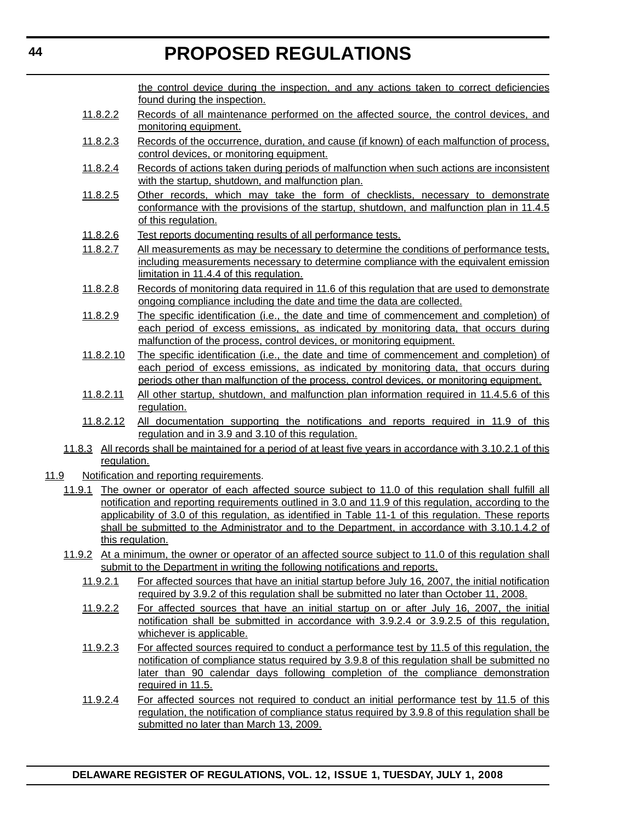the control device during the inspection, and any actions taken to correct deficiencies found during the inspection.

- 11.8.2.2 Records of all maintenance performed on the affected source, the control devices, and monitoring equipment.
- 11.8.2.3 Records of the occurrence, duration, and cause (if known) of each malfunction of process, control devices, or monitoring equipment.
- 11.8.2.4 Records of actions taken during periods of malfunction when such actions are inconsistent with the startup, shutdown, and malfunction plan.
- 11.8.2.5 Other records, which may take the form of checklists, necessary to demonstrate conformance with the provisions of the startup, shutdown, and malfunction plan in 11.4.5 of this regulation.
- 11.8.2.6 Test reports documenting results of all performance tests.
- 11.8.2.7 All measurements as may be necessary to determine the conditions of performance tests, including measurements necessary to determine compliance with the equivalent emission limitation in 11.4.4 of this regulation.
- 11.8.2.8 Records of monitoring data required in 11.6 of this regulation that are used to demonstrate ongoing compliance including the date and time the data are collected.
- 11.8.2.9 The specific identification (i.e., the date and time of commencement and completion) of each period of excess emissions, as indicated by monitoring data, that occurs during malfunction of the process, control devices, or monitoring equipment.
- 11.8.2.10 The specific identification (i.e., the date and time of commencement and completion) of each period of excess emissions, as indicated by monitoring data, that occurs during periods other than malfunction of the process, control devices, or monitoring equipment.
- 11.8.2.11 All other startup, shutdown, and malfunction plan information required in 11.4.5.6 of this regulation.
- 11.8.2.12 All documentation supporting the notifications and reports required in 11.9 of this regulation and in 3.9 and 3.10 of this regulation.
- 11.8.3 All records shall be maintained for a period of at least five years in accordance with 3.10.2.1 of this regulation.
- 11.9 Notification and reporting requirements.
	- 11.9.1 The owner or operator of each affected source subject to 11.0 of this regulation shall fulfill all notification and reporting requirements outlined in 3.0 and 11.9 of this regulation, according to the applicability of 3.0 of this regulation, as identified in Table 11-1 of this regulation. These reports shall be submitted to the Administrator and to the Department, in accordance with 3.10.1.4.2 of this regulation.
	- 11.9.2 At a minimum, the owner or operator of an affected source subject to 11.0 of this regulation shall submit to the Department in writing the following notifications and reports.
		- 11.9.2.1 For affected sources that have an initial startup before July 16, 2007, the initial notification required by 3.9.2 of this regulation shall be submitted no later than October 11, 2008.
		- 11.9.2.2 For affected sources that have an initial startup on or after July 16, 2007, the initial notification shall be submitted in accordance with 3.9.2.4 or 3.9.2.5 of this regulation, whichever is applicable.
		- 11.9.2.3 For affected sources required to conduct a performance test by 11.5 of this regulation, the notification of compliance status required by 3.9.8 of this regulation shall be submitted no later than 90 calendar days following completion of the compliance demonstration required in 11.5.
		- 11.9.2.4 For affected sources not required to conduct an initial performance test by 11.5 of this regulation, the notification of compliance status required by 3.9.8 of this regulation shall be submitted no later than March 13, 2009.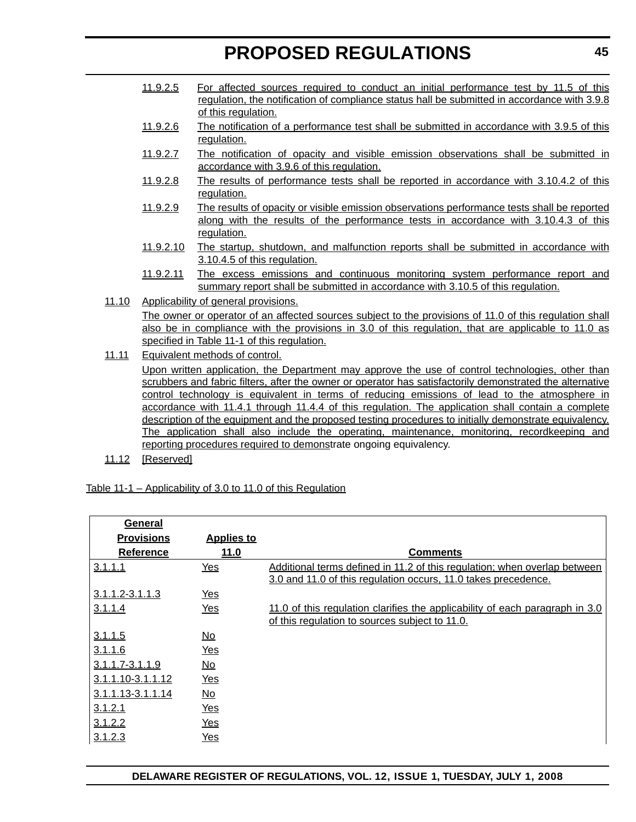| 11.9.2.5 | For affected sources required to conduct an initial performance test by 11.5 of this         |
|----------|----------------------------------------------------------------------------------------------|
|          | regulation, the notification of compliance status hall be submitted in accordance with 3.9.8 |
|          | of this regulation.                                                                          |

- 11.9.2.6 The notification of a performance test shall be submitted in accordance with 3.9.5 of this regulation.
- 11.9.2.7 The notification of opacity and visible emission observations shall be submitted in accordance with 3.9.6 of this regulation.
- 11.9.2.8 The results of performance tests shall be reported in accordance with 3.10.4.2 of this regulation.
- 11.9.2.9 The results of opacity or visible emission observations performance tests shall be reported along with the results of the performance tests in accordance with 3.10.4.3 of this regulation.
- 11.9.2.10 The startup, shutdown, and malfunction reports shall be submitted in accordance with 3.10.4.5 of this regulation.
- 11.9.2.11 The excess emissions and continuous monitoring system performance report and summary report shall be submitted in accordance with 3.10.5 of this regulation.
- 11.10 Applicability of general provisions.

The owner or operator of an affected sources subject to the provisions of 11.0 of this regulation shall also be in compliance with the provisions in 3.0 of this regulation, that are applicable to 11.0 as specified in Table 11-1 of this regulation.

11.11 Equivalent methods of control.

Upon written application, the Department may approve the use of control technologies, other than scrubbers and fabric filters, after the owner or operator has satisfactorily demonstrated the alternative control technology is equivalent in terms of reducing emissions of lead to the atmosphere in accordance with 11.4.1 through 11.4.4 of this regulation. The application shall contain a complete description of the equipment and the proposed testing procedures to initially demonstrate equivalency. The application shall also include the operating, maintenance, monitoring, recordkeeping and reporting procedures required to demonstrate ongoing equivalency.

11.12 [Reserved]

## Table 11-1 – Applicability of 3.0 to 11.0 of this Regulation

| General             |                           |                                                                                                                                             |
|---------------------|---------------------------|---------------------------------------------------------------------------------------------------------------------------------------------|
| <b>Provisions</b>   | <b>Applies to</b>         |                                                                                                                                             |
| <u>Reference</u>    | <u>11.0</u>               | <b>Comments</b>                                                                                                                             |
| 3.1.1.1             | <u>Yes</u>                | Additional terms defined in 11.2 of this regulation; when overlap between<br>3.0 and 11.0 of this regulation occurs, 11.0 takes precedence. |
| $3.1.1.2 - 3.1.1.3$ | <u>Yes</u>                |                                                                                                                                             |
| 3.1.1.4             | Yes                       | 11.0 of this regulation clarifies the applicability of each paragraph in 3.0<br>of this regulation to sources subject to 11.0.              |
| 3.1.1.5             | $\underline{\mathsf{No}}$ |                                                                                                                                             |
| 3.1.1.6             | Yes                       |                                                                                                                                             |
| 3.1.1.7-3.1.1.9     | $\underline{\mathsf{No}}$ |                                                                                                                                             |
| 3.1.1.10-3.1.1.12   | <u>Yes</u>                |                                                                                                                                             |
| 3.1.1.13-3.1.1.14   | $\underline{\mathsf{No}}$ |                                                                                                                                             |
| 3.1.2.1             | <u>Yes</u>                |                                                                                                                                             |
| 3.1.2.2             | Yes                       |                                                                                                                                             |
| 3.1.2.3             | Yes                       |                                                                                                                                             |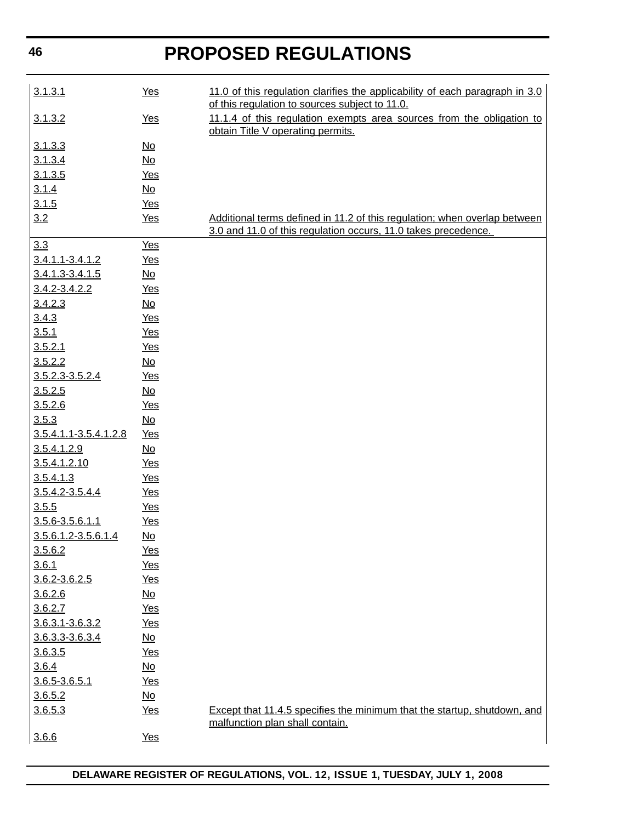| 46                    |                           | <b>PROPOSED REGULATIONS</b>                                                                                                                 |
|-----------------------|---------------------------|---------------------------------------------------------------------------------------------------------------------------------------------|
| 3.1.3.1               | Yes                       | 11.0 of this regulation clarifies the applicability of each paragraph in 3.0<br>of this regulation to sources subject to 11.0.              |
| 3.1.3.2               | Yes                       | 11.1.4 of this regulation exempts area sources from the obligation to<br>obtain Title V operating permits.                                  |
| 3.1.3.3               | $\underline{\mathsf{No}}$ |                                                                                                                                             |
| 3.1.3.4               | $\underline{\mathsf{No}}$ |                                                                                                                                             |
| 3.1.3.5               | Yes                       |                                                                                                                                             |
| 3.1.4                 | $\underline{\mathsf{No}}$ |                                                                                                                                             |
| 3.1.5                 | Yes                       |                                                                                                                                             |
| 3.2                   | Yes                       | Additional terms defined in 11.2 of this regulation; when overlap between<br>3.0 and 11.0 of this regulation occurs, 11.0 takes precedence. |
| 3.3                   | <b>Yes</b>                |                                                                                                                                             |
| 3.4.1.1-3.4.1.2       | Yes                       |                                                                                                                                             |
| 3.4.1.3-3.4.1.5       | $\underline{\mathsf{No}}$ |                                                                                                                                             |
| 3.4.2-3.4.2.2         | <u>Yes</u>                |                                                                                                                                             |
| 3.4.2.3               | $\underline{\mathsf{No}}$ |                                                                                                                                             |
| 3.4.3                 | <b>Yes</b>                |                                                                                                                                             |
| 3.5.1                 | Yes                       |                                                                                                                                             |
| 3.5.2.1               | <u>Yes</u>                |                                                                                                                                             |
| 3.5.2.2               | $\underline{\mathsf{No}}$ |                                                                                                                                             |
| 3.5.2.3-3.5.2.4       | <u>Yes</u>                |                                                                                                                                             |
| 3.5.2.5               | <u>No</u>                 |                                                                                                                                             |
| 3.5.2.6               | <b>Yes</b>                |                                                                                                                                             |
| 3.5.3                 | $\underline{\mathsf{No}}$ |                                                                                                                                             |
| 3.5.4.1.1-3.5.4.1.2.8 | <u>Yes</u>                |                                                                                                                                             |
| 3.5.4.1.2.9           | $\underline{\mathsf{No}}$ |                                                                                                                                             |
| 3.5.4.1.2.10          | Yes                       |                                                                                                                                             |
| 3.5.4.1.3             | Yes                       |                                                                                                                                             |
| 3.5.4.2-3.5.4.4       | $Yes$                     |                                                                                                                                             |
| 3.5.5                 | <u>Yes</u>                |                                                                                                                                             |
| 3.5.6-3.5.6.1.1       | <u>Yes</u>                |                                                                                                                                             |
| 3.5.6.1.2-3.5.6.1.4   | $\underline{\mathsf{No}}$ |                                                                                                                                             |
| 3.5.6.2               | Yes                       |                                                                                                                                             |
| 3.6.1                 | <b>Yes</b>                |                                                                                                                                             |
| 3.6.2-3.6.2.5         | <b>Yes</b>                |                                                                                                                                             |
| 3.6.2.6               | $\underline{\mathsf{No}}$ |                                                                                                                                             |
| 3.6.2.7               | <b>Yes</b>                |                                                                                                                                             |
| 3.6.3.1-3.6.3.2       | <b>Yes</b>                |                                                                                                                                             |
| 3.6.3.3-3.6.3.4       | $\underline{\mathsf{No}}$ |                                                                                                                                             |
| 3.6.3.5               | Yes                       |                                                                                                                                             |
| 3.6.4                 | $\underline{\mathsf{No}}$ |                                                                                                                                             |
| 3.6.5-3.6.5.1         | <b>Yes</b>                |                                                                                                                                             |
| 3.6.5.2               | $\underline{\mathsf{No}}$ |                                                                                                                                             |
| 3.6.5.3               | Yes                       | Except that 11.4.5 specifies the minimum that the startup, shutdown, and<br>malfunction plan shall contain.                                 |
| 3.6.6                 | $Yes$                     |                                                                                                                                             |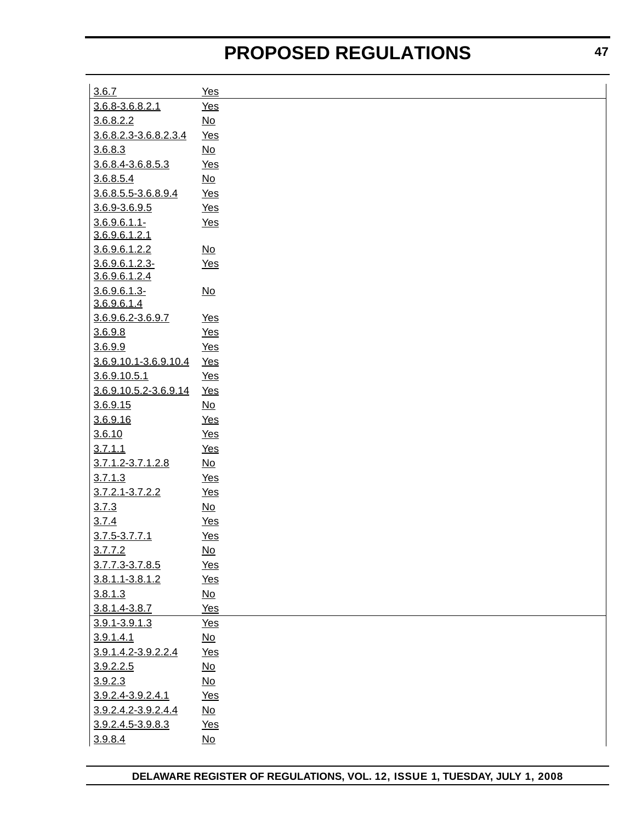| 3.6.7                         | Yes                       |
|-------------------------------|---------------------------|
| 3.6.8-3.6.8.2.1               | Yes                       |
| 3.6.8.2.2                     | $\underline{\mathsf{No}}$ |
| 3.6.8.2.3-3.6.8.2.3.4         | $Yes$                     |
| 3.6.8.3                       | $\underline{\mathsf{No}}$ |
| 3.6.8.4-3.6.8.5.3             | <u>Yes</u>                |
| 3.6.8.5.4                     | $\underline{\mathsf{No}}$ |
| 3.6.8.5.5-3.6.8.9.4           | $Yes$                     |
| 3.6.9-3.6.9.5                 | Yes                       |
| $3.6.9.6.1.1-$                | Yes                       |
| 3.6.9.6.1.2.1                 |                           |
| 3.6.9.6.1.2.2                 | $\underline{\mathsf{No}}$ |
| 3.6.9.6.1.2.3-                | Yes                       |
| 3.6.9.6.1.2.4                 |                           |
| $3.6.9.6.1.3-$<br>3.6.9.6.1.4 | $\underline{\mathsf{No}}$ |
| 3.6.9.6.2-3.6.9.7             | <u>Yes</u>                |
| 3.6.9.8                       | Yes                       |
| 3.6.9.9                       | Yes                       |
| 3.6.9.10.1-3.6.9.10.4         | <u>Yes</u>                |
| 3.6.9.10.5.1                  | $Yes$                     |
| 3.6.9.10.5.2-3.6.9.14         | Yes                       |
| 3.6.9.15                      | $\underline{\mathsf{No}}$ |
| 3.6.9.16                      | $Yes$                     |
| 3.6.10                        | Yes                       |
| 3.7.1.1                       | $Yes$                     |
| 3.7.1.2-3.7.1.2.8             | $\underline{\mathsf{No}}$ |
| 3.7.1.3                       | $Yes$                     |
| 3.7.2.1-3.7.2.2               | $Yes$                     |
| 3.7.3                         | $\underline{\mathsf{No}}$ |
| 3.7.4                         | $Yes$                     |
| 3.7.5-3.7.7.1                 | <u>Yes</u>                |
| 3.7.7.2                       | <u>No</u>                 |
| 3.7.7.3-3.7.8.5               | $Yes$                     |
| 3.8.1.1-3.8.1.2               | $Yes$                     |
| 3.8.1.3                       | $\underline{\mathsf{No}}$ |
| 3.8.1.4-3.8.7                 | Yes                       |
| 3.9.1-3.9.1.3                 | $Yes$                     |
| 3.9.1.4.1                     | $\underline{\mathsf{No}}$ |
| 3.9.1.4.2-3.9.2.2.4           | $Yes$                     |
| 3.9.2.2.5                     | $\underline{\mathsf{No}}$ |
| 3.9.2.3                       | $\underline{\mathsf{No}}$ |
| 3.9.2.4-3.9.2.4.1             | Yes                       |
| 3.9.2.4.2-3.9.2.4.4           | $\underline{\mathsf{No}}$ |
| 3.9.2.4.5-3.9.8.3             | Yes                       |
| 3.9.8.4                       | $\underline{\mathsf{No}}$ |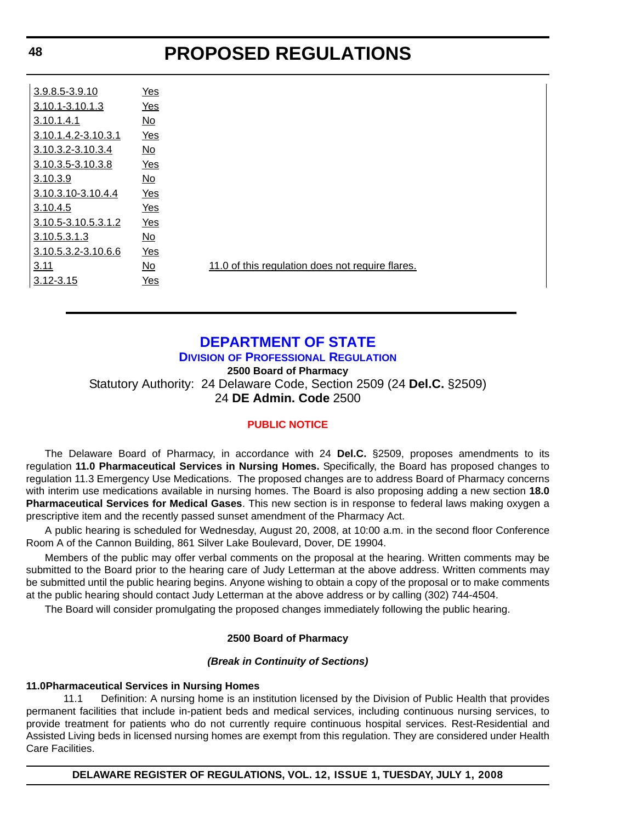| 3.9.8.5-3.9.10      | Yes                       |                                                  |
|---------------------|---------------------------|--------------------------------------------------|
| 3.10.1-3.10.1.3     | Yes                       |                                                  |
| 3.10.1.4.1          | <u>No</u>                 |                                                  |
| 3.10.1.4.2-3.10.3.1 | Yes                       |                                                  |
| 3.10.3.2-3.10.3.4   | <u>No</u>                 |                                                  |
| 3.10.3.5-3.10.3.8   | Yes                       |                                                  |
| 3.10.3.9            | $\underline{\mathsf{No}}$ |                                                  |
| 3.10.3.10-3.10.4.4  | Yes                       |                                                  |
| 3.10.4.5            | Yes                       |                                                  |
| 3.10.5-3.10.5.3.1.2 | Yes                       |                                                  |
| 3.10.5.3.1.3        | <u>No</u>                 |                                                  |
| 3.10.5.3.2-3.10.6.6 | Yes                       |                                                  |
| 3.11                | <u>No</u>                 | 11.0 of this regulation does not require flares. |
| 3.12-3.15           | Yes                       |                                                  |

# **[DEPARTMENT OF STATE](http://sos.delaware.gov/default.shtml)**

**DIVISION [OF PROFESSIONAL REGULATION](http://dpr.delaware.gov/default.shtml)**

**2500 Board of Pharmacy**

Statutory Authority: 24 Delaware Code, Section 2509 (24 **Del.C.** §2509) 24 **DE Admin. Code** 2500

## **[PUBLIC NOTICE](#page-3-0)**

The Delaware Board of Pharmacy, in accordance with 24 **Del.C.** §2509, proposes amendments to its regulation **11.0 Pharmaceutical Services in Nursing Homes.** Specifically, the Board has proposed changes to regulation 11.3 Emergency Use Medications. The proposed changes are to address Board of Pharmacy concerns with interim use medications available in nursing homes. The Board is also proposing adding a new section **18.0 Pharmaceutical Services for Medical Gases**. This new section is in response to federal laws making oxygen a prescriptive item and the recently passed sunset amendment of the Pharmacy Act.

A public hearing is scheduled for Wednesday, August 20, 2008, at 10:00 a.m. in the second floor Conference Room A of the Cannon Building, 861 Silver Lake Boulevard, Dover, DE 19904.

Members of the public may offer verbal comments on the proposal at the hearing. Written comments may be submitted to the Board prior to the hearing care of Judy Letterman at the above address. Written comments may be submitted until the public hearing begins. Anyone wishing to obtain a copy of the proposal or to make comments at the public hearing should contact Judy Letterman at the above address or by calling (302) 744-4504.

The Board will consider promulgating the proposed changes immediately following the public hearing.

## **2500 Board of Pharmacy**

## *(Break in Continuity of Sections)*

#### **11.0Pharmaceutical Services in Nursing Homes**

11.1 Definition: A nursing home is an institution licensed by the Division of Public Health that provides permanent facilities that include in-patient beds and medical services, including continuous nursing services, to provide treatment for patients who do not currently require continuous hospital services. Rest-Residential and Assisted Living beds in licensed nursing homes are exempt from this regulation. They are considered under Health Care Facilities.

**DELAWARE REGISTER OF REGULATIONS, VOL. 12, ISSUE 1, TUESDAY, JULY 1, 2008**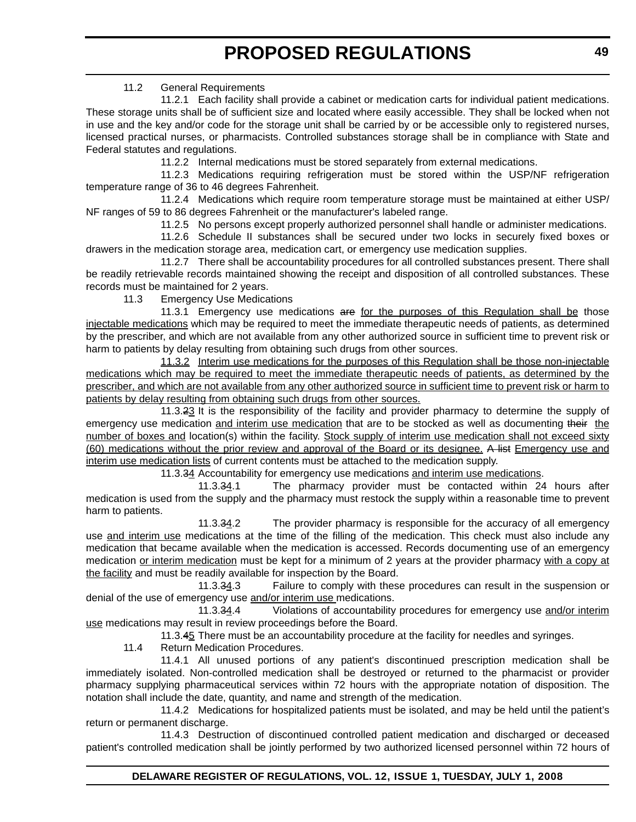11.2 General Requirements

11.2.1 Each facility shall provide a cabinet or medication carts for individual patient medications. These storage units shall be of sufficient size and located where easily accessible. They shall be locked when not in use and the key and/or code for the storage unit shall be carried by or be accessible only to registered nurses, licensed practical nurses, or pharmacists. Controlled substances storage shall be in compliance with State and Federal statutes and regulations.

11.2.2 Internal medications must be stored separately from external medications.

11.2.3 Medications requiring refrigeration must be stored within the USP/NF refrigeration temperature range of 36 to 46 degrees Fahrenheit.

11.2.4 Medications which require room temperature storage must be maintained at either USP/ NF ranges of 59 to 86 degrees Fahrenheit or the manufacturer's labeled range.

11.2.5 No persons except properly authorized personnel shall handle or administer medications.

11.2.6 Schedule II substances shall be secured under two locks in securely fixed boxes or drawers in the medication storage area, medication cart, or emergency use medication supplies.

11.2.7 There shall be accountability procedures for all controlled substances present. There shall be readily retrievable records maintained showing the receipt and disposition of all controlled substances. These records must be maintained for 2 years.

11.3 Emergency Use Medications

11.3.1 Emergency use medications are for the purposes of this Regulation shall be those injectable medications which may be required to meet the immediate therapeutic needs of patients, as determined by the prescriber, and which are not available from any other authorized source in sufficient time to prevent risk or harm to patients by delay resulting from obtaining such drugs from other sources.

11.3.2 Interim use medications for the purposes of this Regulation shall be those non-injectable medications which may be required to meet the immediate therapeutic needs of patients, as determined by the prescriber, and which are not available from any other authorized source in sufficient time to prevent risk or harm to patients by delay resulting from obtaining such drugs from other sources.

11.3.23 It is the responsibility of the facility and provider pharmacy to determine the supply of emergency use medication and interim use medication that are to be stocked as well as documenting their the number of boxes and location(s) within the facility. Stock supply of interim use medication shall not exceed sixty (60) medications without the prior review and approval of the Board or its designee. A list Emergency use and interim use medication lists of current contents must be attached to the medication supply.

11.3.34 Accountability for emergency use medications and interim use medications.

11.3.34.1 The pharmacy provider must be contacted within 24 hours after medication is used from the supply and the pharmacy must restock the supply within a reasonable time to prevent harm to patients.

11.3.34.2 The provider pharmacy is responsible for the accuracy of all emergency use and interim use medications at the time of the filling of the medication. This check must also include any medication that became available when the medication is accessed. Records documenting use of an emergency medication or interim medication must be kept for a minimum of 2 years at the provider pharmacy with a copy at the facility and must be readily available for inspection by the Board.

11.3.34.3 Failure to comply with these procedures can result in the suspension or denial of the use of emergency use and/or interim use medications.

11.3.34.4 Violations of accountability procedures for emergency use and/or interim use medications may result in review proceedings before the Board.

11.3.45 There must be an accountability procedure at the facility for needles and syringes.

11.4 Return Medication Procedures.

11.4.1 All unused portions of any patient's discontinued prescription medication shall be immediately isolated. Non-controlled medication shall be destroyed or returned to the pharmacist or provider pharmacy supplying pharmaceutical services within 72 hours with the appropriate notation of disposition. The notation shall include the date, quantity, and name and strength of the medication.

11.4.2 Medications for hospitalized patients must be isolated, and may be held until the patient's return or permanent discharge.

11.4.3 Destruction of discontinued controlled patient medication and discharged or deceased patient's controlled medication shall be jointly performed by two authorized licensed personnel within 72 hours of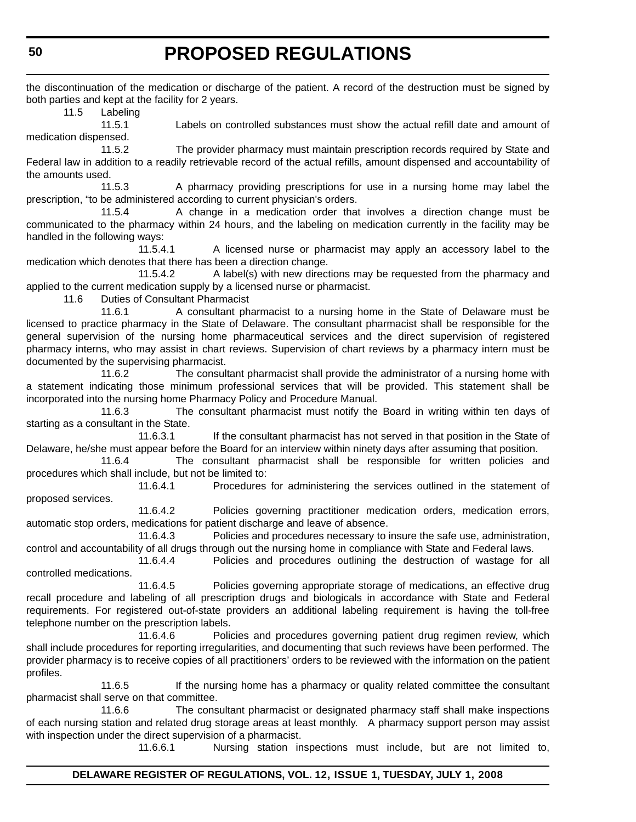the discontinuation of the medication or discharge of the patient. A record of the destruction must be signed by both parties and kept at the facility for 2 years.

11.5 Labeling

11.5.1 Labels on controlled substances must show the actual refill date and amount of medication dispensed.

11.5.2 The provider pharmacy must maintain prescription records required by State and Federal law in addition to a readily retrievable record of the actual refills, amount dispensed and accountability of the amounts used.

11.5.3 A pharmacy providing prescriptions for use in a nursing home may label the prescription, "to be administered according to current physician's orders.

11.5.4 A change in a medication order that involves a direction change must be communicated to the pharmacy within 24 hours, and the labeling on medication currently in the facility may be handled in the following ways:

11.5.4.1 A licensed nurse or pharmacist may apply an accessory label to the medication which denotes that there has been a direction change.

11.5.4.2 A label(s) with new directions may be requested from the pharmacy and applied to the current medication supply by a licensed nurse or pharmacist.

11.6 Duties of Consultant Pharmacist

11.6.1 A consultant pharmacist to a nursing home in the State of Delaware must be licensed to practice pharmacy in the State of Delaware. The consultant pharmacist shall be responsible for the general supervision of the nursing home pharmaceutical services and the direct supervision of registered pharmacy interns, who may assist in chart reviews. Supervision of chart reviews by a pharmacy intern must be documented by the supervising pharmacist.

11.6.2 The consultant pharmacist shall provide the administrator of a nursing home with a statement indicating those minimum professional services that will be provided. This statement shall be incorporated into the nursing home Pharmacy Policy and Procedure Manual.

11.6.3 The consultant pharmacist must notify the Board in writing within ten days of starting as a consultant in the State.

11.6.3.1 If the consultant pharmacist has not served in that position in the State of Delaware, he/she must appear before the Board for an interview within ninety days after assuming that position.

11.6.4 The consultant pharmacist shall be responsible for written policies and procedures which shall include, but not be limited to:

11.6.4.1 Procedures for administering the services outlined in the statement of proposed services.

11.6.4.2 Policies governing practitioner medication orders, medication errors, automatic stop orders, medications for patient discharge and leave of absence.

11.6.4.3 Policies and procedures necessary to insure the safe use, administration, control and accountability of all drugs through out the nursing home in compliance with State and Federal laws.

11.6.4.4 Policies and procedures outlining the destruction of wastage for all controlled medications.

11.6.4.5 Policies governing appropriate storage of medications, an effective drug recall procedure and labeling of all prescription drugs and biologicals in accordance with State and Federal requirements. For registered out-of-state providers an additional labeling requirement is having the toll-free telephone number on the prescription labels.

11.6.4.6 Policies and procedures governing patient drug regimen review, which shall include procedures for reporting irregularities, and documenting that such reviews have been performed. The provider pharmacy is to receive copies of all practitioners' orders to be reviewed with the information on the patient profiles.

11.6.5 If the nursing home has a pharmacy or quality related committee the consultant pharmacist shall serve on that committee.

11.6.6 The consultant pharmacist or designated pharmacy staff shall make inspections of each nursing station and related drug storage areas at least monthly. A pharmacy support person may assist with inspection under the direct supervision of a pharmacist.

11.6.6.1 Nursing station inspections must include, but are not limited to,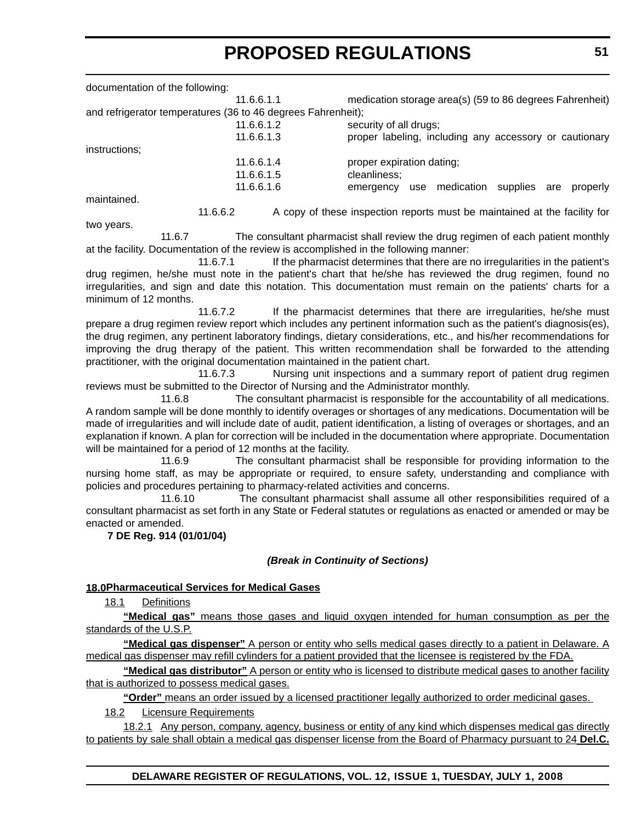| documentation of the following: |                                                              |                                                               |
|---------------------------------|--------------------------------------------------------------|---------------------------------------------------------------|
|                                 | 11.6.6.1.1                                                   | medication storage area(s) (59 to 86 degrees Fahrenheit)      |
|                                 | and refrigerator temperatures (36 to 46 degrees Fahrenheit); |                                                               |
|                                 | 11.6.6.1.2                                                   | security of all drugs;                                        |
|                                 | 11.6.6.1.3                                                   | proper labeling, including any accessory or cautionary        |
| instructions;                   |                                                              |                                                               |
|                                 | 11.6.6.1.4                                                   | proper expiration dating;                                     |
|                                 | 11.6.6.1.5                                                   | cleanliness;                                                  |
|                                 | 11.6.6.1.6                                                   | medication<br>supplies<br>properly<br>are<br>use<br>emergency |
| maintained.                     |                                                              |                                                               |

11.6.6.2 A copy of these inspection reports must be maintained at the facility for

two years.

11.6.7 The consultant pharmacist shall review the drug regimen of each patient monthly at the facility. Documentation of the review is accomplished in the following manner:

11.6.7.1 If the pharmacist determines that there are no irregularities in the patient's drug regimen, he/she must note in the patient's chart that he/she has reviewed the drug regimen, found no irregularities, and sign and date this notation. This documentation must remain on the patients' charts for a minimum of 12 months.

11.6.7.2 If the pharmacist determines that there are irregularities, he/she must prepare a drug regimen review report which includes any pertinent information such as the patient's diagnosis(es), the drug regimen, any pertinent laboratory findings, dietary considerations, etc., and his/her recommendations for improving the drug therapy of the patient. This written recommendation shall be forwarded to the attending practitioner, with the original documentation maintained in the patient chart.

11.6.7.3 Nursing unit inspections and a summary report of patient drug regimen reviews must be submitted to the Director of Nursing and the Administrator monthly.

11.6.8 The consultant pharmacist is responsible for the accountability of all medications. A random sample will be done monthly to identify overages or shortages of any medications. Documentation will be made of irregularities and will include date of audit, patient identification, a listing of overages or shortages, and an explanation if known. A plan for correction will be included in the documentation where appropriate. Documentation will be maintained for a period of 12 months at the facility.

11.6.9 The consultant pharmacist shall be responsible for providing information to the nursing home staff, as may be appropriate or required, to ensure safety, understanding and compliance with policies and procedures pertaining to pharmacy-related activities and concerns.

11.6.10 The consultant pharmacist shall assume all other responsibilities required of a consultant pharmacist as set forth in any State or Federal statutes or regulations as enacted or amended or may be enacted or amended.

# **7 DE Reg. 914 (01/01/04)**

# *(Break in Continuity of Sections)*

# **18.0Pharmaceutical Services for Medical Gases**

18.1 Definitions

**"Medical gas"** means those gases and liquid oxygen intended for human consumption as per the standards of the U.S.P.

**"Medical gas dispenser"** A person or entity who sells medical gases directly to a patient in Delaware. A medical gas dispenser may refill cylinders for a patient provided that the licensee is registered by the FDA.

**"Medical gas distributor"** A person or entity who is licensed to distribute medical gases to another facility that is authorized to possess medical gases.

**"Order"** means an order issued by a licensed practitioner legally authorized to order medicinal gases.

18.2 Licensure Requirements

18.2.1 Any person, company, agency, business or entity of any kind which dispenses medical gas directly to patients by sale shall obtain a medical gas dispenser license from the Board of Pharmacy pursuant to 24 **Del.C.**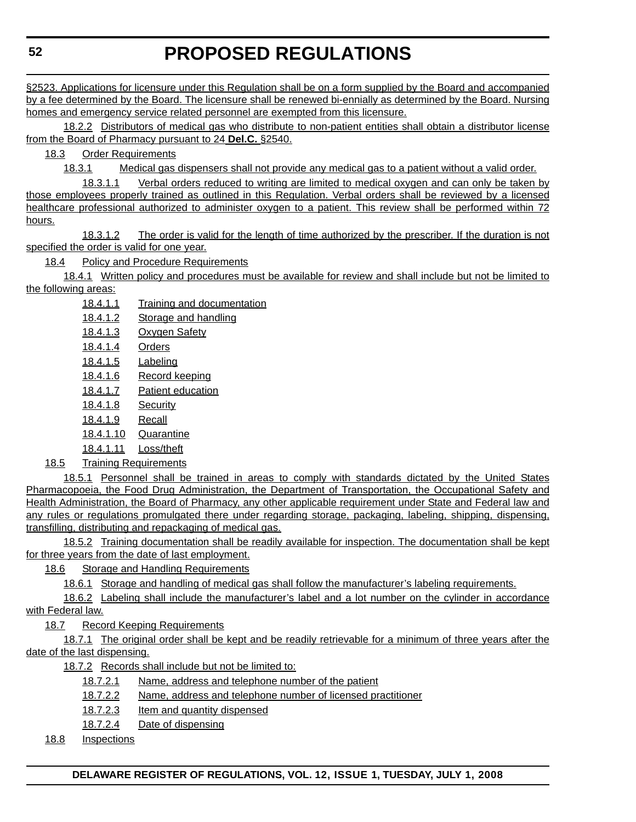§2523. Applications for licensure under this Regulation shall be on a form supplied by the Board and accompanied by a fee determined by the Board. The licensure shall be renewed bi-ennially as determined by the Board. Nursing homes and emergency service related personnel are exempted from this licensure.

18.2.2 Distributors of medical gas who distribute to non-patient entities shall obtain a distributor license from the Board of Pharmacy pursuant to 24 **Del.C.** §2540.

18.3 Order Requirements

18.3.1 Medical gas dispensers shall not provide any medical gas to a patient without a valid order.

18.3.1.1 Verbal orders reduced to writing are limited to medical oxygen and can only be taken by those employees properly trained as outlined in this Regulation. Verbal orders shall be reviewed by a licensed healthcare professional authorized to administer oxygen to a patient. This review shall be performed within 72 hours.

18.3.1.2 The order is valid for the length of time authorized by the prescriber. If the duration is not specified the order is valid for one year.

18.4 Policy and Procedure Requirements

18.4.1 Written policy and procedures must be available for review and shall include but not be limited to the following areas:

- 18.4.1.1 Training and documentation
- 18.4.1.2 Storage and handling
- 18.4.1.3 Oxygen Safety
- 18.4.1.4 Orders
- 18.4.1.5 Labeling
- 18.4.1.6 Record keeping
- 18.4.1.7 Patient education
- 18.4.1.8 Security
- 18.4.1.9 Recall
- 18.4.1.10 Quarantine
- 18.4.1.11 Loss/theft
- 18.5 Training Requirements

18.5.1 Personnel shall be trained in areas to comply with standards dictated by the United States Pharmacopoeia, the Food Drug Administration, the Department of Transportation, the Occupational Safety and Health Administration, the Board of Pharmacy, any other applicable requirement under State and Federal law and any rules or regulations promulgated there under regarding storage, packaging, labeling, shipping, dispensing, transfilling, distributing and repackaging of medical gas.

18.5.2 Training documentation shall be readily available for inspection. The documentation shall be kept for three years from the date of last employment.

18.6 Storage and Handling Requirements

18.6.1 Storage and handling of medical gas shall follow the manufacturer's labeling requirements.

18.6.2 Labeling shall include the manufacturer's label and a lot number on the cylinder in accordance with Federal law.

18.7 Record Keeping Requirements

18.7.1 The original order shall be kept and be readily retrievable for a minimum of three years after the date of the last dispensing.

18.7.2 Records shall include but not be limited to:

- 18.7.2.1 Name, address and telephone number of the patient
- 18.7.2.2 Name, address and telephone number of licensed practitioner
- 18.7.2.3 Item and quantity dispensed
- 18.7.2.4 Date of dispensing

18.8 Inspections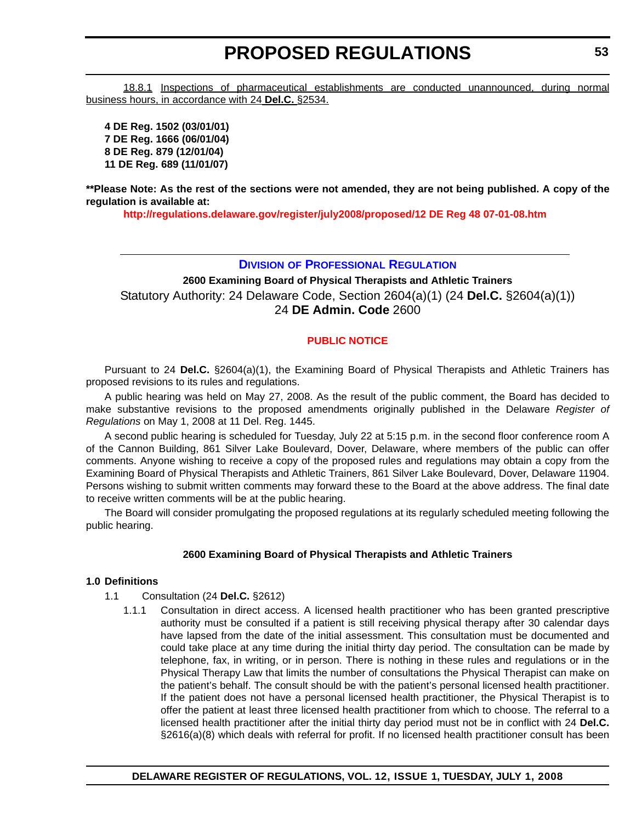18.8.1 Inspections of pharmaceutical establishments are conducted unannounced, during normal business hours, in accordance with 24 **Del.C.** §2534.

**4 DE Reg. 1502 (03/01/01) 7 DE Reg. 1666 (06/01/04) 8 DE Reg. 879 (12/01/04) 11 DE Reg. 689 (11/01/07)**

**\*\*Please Note: As the rest of the sections were not amended, they are not being published. A copy of the regulation is available at:**

**<http://regulations.delaware.gov/register/july2008/proposed/12 DE Reg 48 07-01-08.htm>**

## **DIVISION [OF PROFESSIONAL REGULATION](http://dpr.delaware.gov/default.shtml)**

**2600 Examining Board of Physical Therapists and Athletic Trainers** Statutory Authority: 24 Delaware Code, Section 2604(a)(1) (24 **Del.C.** §2604(a)(1)) 24 **DE Admin. Code** 2600

## **[PUBLIC NOTICE](#page-3-0)**

Pursuant to 24 **Del.C.** §2604(a)(1), the Examining Board of Physical Therapists and Athletic Trainers has proposed revisions to its rules and regulations.

A public hearing was held on May 27, 2008. As the result of the public comment, the Board has decided to make substantive revisions to the proposed amendments originally published in the Delaware *Register of Regulations* on May 1, 2008 at 11 Del. Reg. 1445.

A second public hearing is scheduled for Tuesday, July 22 at 5:15 p.m. in the second floor conference room A of the Cannon Building, 861 Silver Lake Boulevard, Dover, Delaware, where members of the public can offer comments. Anyone wishing to receive a copy of the proposed rules and regulations may obtain a copy from the Examining Board of Physical Therapists and Athletic Trainers, 861 Silver Lake Boulevard, Dover, Delaware 11904. Persons wishing to submit written comments may forward these to the Board at the above address. The final date to receive written comments will be at the public hearing.

The Board will consider promulgating the proposed regulations at its regularly scheduled meeting following the public hearing.

## **2600 Examining Board of Physical Therapists and Athletic Trainers**

## **1.0 Definitions**

- 1.1 Consultation (24 **Del.C.** §2612)
	- 1.1.1 Consultation in direct access. A licensed health practitioner who has been granted prescriptive authority must be consulted if a patient is still receiving physical therapy after 30 calendar days have lapsed from the date of the initial assessment. This consultation must be documented and could take place at any time during the initial thirty day period. The consultation can be made by telephone, fax, in writing, or in person. There is nothing in these rules and regulations or in the Physical Therapy Law that limits the number of consultations the Physical Therapist can make on the patient's behalf. The consult should be with the patient's personal licensed health practitioner. If the patient does not have a personal licensed health practitioner, the Physical Therapist is to offer the patient at least three licensed health practitioner from which to choose. The referral to a licensed health practitioner after the initial thirty day period must not be in conflict with 24 **Del.C.** §2616(a)(8) which deals with referral for profit. If no licensed health practitioner consult has been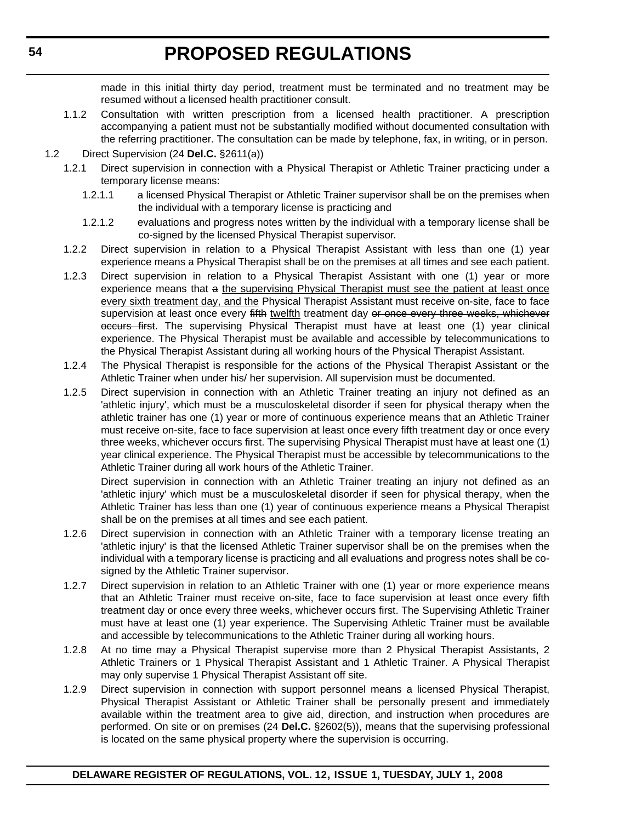made in this initial thirty day period, treatment must be terminated and no treatment may be resumed without a licensed health practitioner consult.

- 1.1.2 Consultation with written prescription from a licensed health practitioner. A prescription accompanying a patient must not be substantially modified without documented consultation with the referring practitioner. The consultation can be made by telephone, fax, in writing, or in person.
- 1.2 Direct Supervision (24 **Del.C.** §2611(a))
	- 1.2.1 Direct supervision in connection with a Physical Therapist or Athletic Trainer practicing under a temporary license means:
		- 1.2.1.1 a licensed Physical Therapist or Athletic Trainer supervisor shall be on the premises when the individual with a temporary license is practicing and
		- 1.2.1.2 evaluations and progress notes written by the individual with a temporary license shall be co-signed by the licensed Physical Therapist supervisor.
	- 1.2.2 Direct supervision in relation to a Physical Therapist Assistant with less than one (1) year experience means a Physical Therapist shall be on the premises at all times and see each patient.
	- 1.2.3 Direct supervision in relation to a Physical Therapist Assistant with one (1) year or more experience means that a the supervising Physical Therapist must see the patient at least once every sixth treatment day, and the Physical Therapist Assistant must receive on-site, face to face supervision at least once every fifth twelfth treatment day or once every three weeks, whichever occurs first. The supervising Physical Therapist must have at least one (1) year clinical experience. The Physical Therapist must be available and accessible by telecommunications to the Physical Therapist Assistant during all working hours of the Physical Therapist Assistant.
	- 1.2.4 The Physical Therapist is responsible for the actions of the Physical Therapist Assistant or the Athletic Trainer when under his/ her supervision. All supervision must be documented.
	- 1.2.5 Direct supervision in connection with an Athletic Trainer treating an injury not defined as an 'athletic injury', which must be a musculoskeletal disorder if seen for physical therapy when the athletic trainer has one (1) year or more of continuous experience means that an Athletic Trainer must receive on-site, face to face supervision at least once every fifth treatment day or once every three weeks, whichever occurs first. The supervising Physical Therapist must have at least one (1) year clinical experience. The Physical Therapist must be accessible by telecommunications to the Athletic Trainer during all work hours of the Athletic Trainer.

Direct supervision in connection with an Athletic Trainer treating an injury not defined as an 'athletic injury' which must be a musculoskeletal disorder if seen for physical therapy, when the Athletic Trainer has less than one (1) year of continuous experience means a Physical Therapist shall be on the premises at all times and see each patient.

- 1.2.6 Direct supervision in connection with an Athletic Trainer with a temporary license treating an 'athletic injury' is that the licensed Athletic Trainer supervisor shall be on the premises when the individual with a temporary license is practicing and all evaluations and progress notes shall be cosigned by the Athletic Trainer supervisor.
- 1.2.7 Direct supervision in relation to an Athletic Trainer with one (1) year or more experience means that an Athletic Trainer must receive on-site, face to face supervision at least once every fifth treatment day or once every three weeks, whichever occurs first. The Supervising Athletic Trainer must have at least one (1) year experience. The Supervising Athletic Trainer must be available and accessible by telecommunications to the Athletic Trainer during all working hours.
- 1.2.8 At no time may a Physical Therapist supervise more than 2 Physical Therapist Assistants, 2 Athletic Trainers or 1 Physical Therapist Assistant and 1 Athletic Trainer. A Physical Therapist may only supervise 1 Physical Therapist Assistant off site.
- 1.2.9 Direct supervision in connection with support personnel means a licensed Physical Therapist, Physical Therapist Assistant or Athletic Trainer shall be personally present and immediately available within the treatment area to give aid, direction, and instruction when procedures are performed. On site or on premises (24 **Del.C.** §2602(5)), means that the supervising professional is located on the same physical property where the supervision is occurring.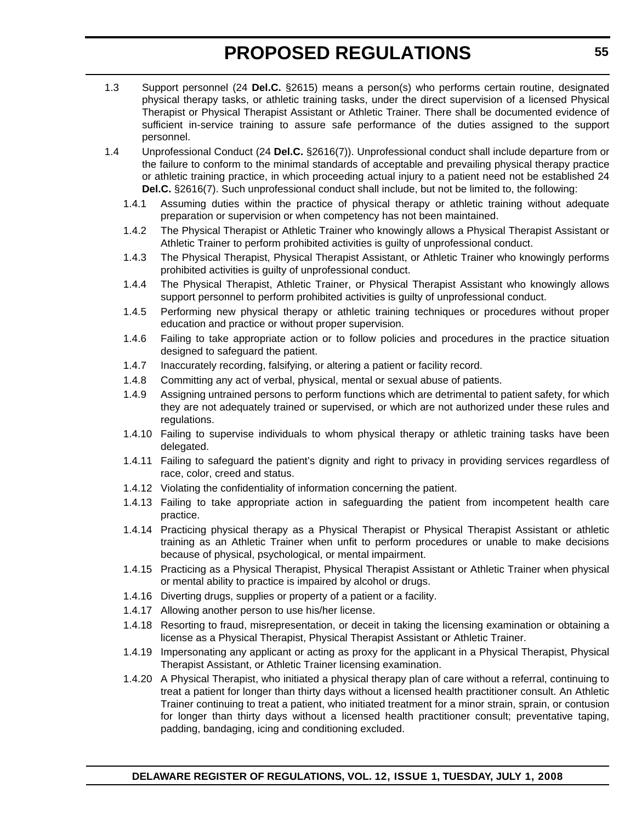- 1.3 Support personnel (24 **Del.C.** §2615) means a person(s) who performs certain routine, designated physical therapy tasks, or athletic training tasks, under the direct supervision of a licensed Physical Therapist or Physical Therapist Assistant or Athletic Trainer. There shall be documented evidence of sufficient in-service training to assure safe performance of the duties assigned to the support personnel.
- 1.4 Unprofessional Conduct (24 **Del.C.** §2616(7)). Unprofessional conduct shall include departure from or the failure to conform to the minimal standards of acceptable and prevailing physical therapy practice or athletic training practice, in which proceeding actual injury to a patient need not be established 24 **Del.C.** §2616(7). Such unprofessional conduct shall include, but not be limited to, the following:
	- 1.4.1 Assuming duties within the practice of physical therapy or athletic training without adequate preparation or supervision or when competency has not been maintained.
	- 1.4.2 The Physical Therapist or Athletic Trainer who knowingly allows a Physical Therapist Assistant or Athletic Trainer to perform prohibited activities is guilty of unprofessional conduct.
	- 1.4.3 The Physical Therapist, Physical Therapist Assistant, or Athletic Trainer who knowingly performs prohibited activities is guilty of unprofessional conduct.
	- 1.4.4 The Physical Therapist, Athletic Trainer, or Physical Therapist Assistant who knowingly allows support personnel to perform prohibited activities is guilty of unprofessional conduct.
	- 1.4.5 Performing new physical therapy or athletic training techniques or procedures without proper education and practice or without proper supervision.
	- 1.4.6 Failing to take appropriate action or to follow policies and procedures in the practice situation designed to safeguard the patient.
	- 1.4.7 Inaccurately recording, falsifying, or altering a patient or facility record.
	- 1.4.8 Committing any act of verbal, physical, mental or sexual abuse of patients.
	- 1.4.9 Assigning untrained persons to perform functions which are detrimental to patient safety, for which they are not adequately trained or supervised, or which are not authorized under these rules and regulations.
	- 1.4.10 Failing to supervise individuals to whom physical therapy or athletic training tasks have been delegated.
	- 1.4.11 Failing to safeguard the patient's dignity and right to privacy in providing services regardless of race, color, creed and status.
	- 1.4.12 Violating the confidentiality of information concerning the patient.
	- 1.4.13 Failing to take appropriate action in safeguarding the patient from incompetent health care practice.
	- 1.4.14 Practicing physical therapy as a Physical Therapist or Physical Therapist Assistant or athletic training as an Athletic Trainer when unfit to perform procedures or unable to make decisions because of physical, psychological, or mental impairment.
	- 1.4.15 Practicing as a Physical Therapist, Physical Therapist Assistant or Athletic Trainer when physical or mental ability to practice is impaired by alcohol or drugs.
	- 1.4.16 Diverting drugs, supplies or property of a patient or a facility.
	- 1.4.17 Allowing another person to use his/her license.
	- 1.4.18 Resorting to fraud, misrepresentation, or deceit in taking the licensing examination or obtaining a license as a Physical Therapist, Physical Therapist Assistant or Athletic Trainer.
	- 1.4.19 Impersonating any applicant or acting as proxy for the applicant in a Physical Therapist, Physical Therapist Assistant, or Athletic Trainer licensing examination.
	- 1.4.20 A Physical Therapist, who initiated a physical therapy plan of care without a referral, continuing to treat a patient for longer than thirty days without a licensed health practitioner consult. An Athletic Trainer continuing to treat a patient, who initiated treatment for a minor strain, sprain, or contusion for longer than thirty days without a licensed health practitioner consult; preventative taping, padding, bandaging, icing and conditioning excluded.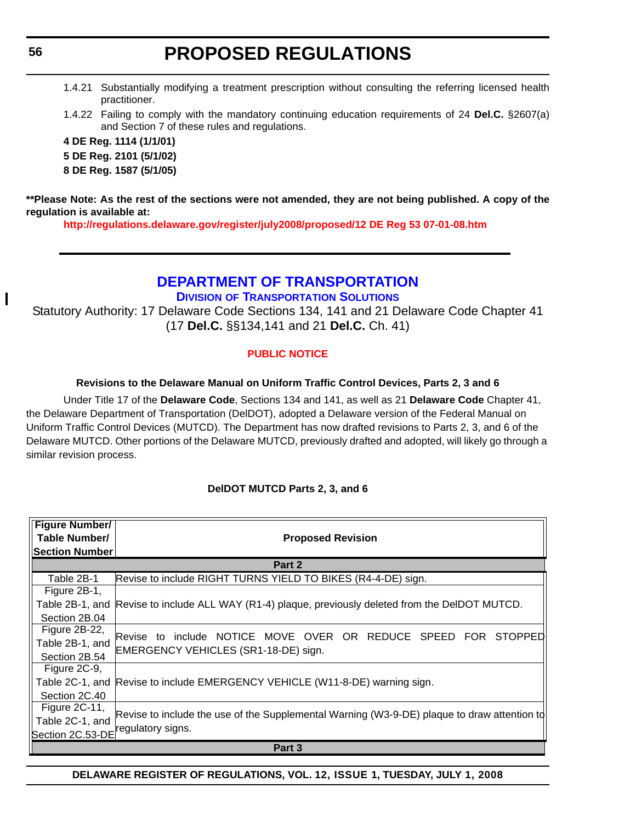- 1.4.21 Substantially modifying a treatment prescription without consulting the referring licensed health practitioner.
- 1.4.22 Failing to comply with the mandatory continuing education requirements of 24 **Del.C.** §2607(a) and Section 7 of these rules and regulations.

**4 DE Reg. 1114 (1/1/01)**

**5 DE Reg. 2101 (5/1/02)**

**8 DE Reg. 1587 (5/1/05)**

**\*\*Please Note: As the rest of the sections were not amended, they are not being published. A copy of the regulation is available at:**

**<http://regulations.delaware.gov/register/july2008/proposed/12 DE Reg 53 07-01-08.htm>**

# **[DEPARTMENT OF TRANSPORTATION](http://www.deldot.gov/index.shtml)**

**DIVISION [OF TRANSPORTATION SOLUTIONS](http://www.deldot.gov/home/divisions/)**

Statutory Authority: 17 Delaware Code Sections 134, 141 and 21 Delaware Code Chapter 41 (17 **Del.C.** §§134,141 and 21 **Del.C.** Ch. 41)

# **[PUBLIC NOTICE](#page-3-0)**

# **Revisions to the Delaware Manual on Uniform Traffic Control Devices, Parts 2, 3 and 6**

Under Title 17 of the **Delaware Code**, Sections 134 and 141, as well as 21 **Delaware Code** Chapter 41, the Delaware Department of Transportation (DelDOT), adopted a Delaware version of the Federal Manual on Uniform Traffic Control Devices (MUTCD). The Department has now drafted revisions to Parts 2, 3, and 6 of the Delaware MUTCD. Other portions of the Delaware MUTCD, previously drafted and adopted, will likely go through a similar revision process.

## **DelDOT MUTCD Parts 2, 3, and 6**

| <b>Figure Number/</b> |                                                                                             |  |
|-----------------------|---------------------------------------------------------------------------------------------|--|
| Table Number/         | <b>Proposed Revision</b>                                                                    |  |
|                       |                                                                                             |  |
| <b>Section Number</b> |                                                                                             |  |
|                       | Part 2                                                                                      |  |
| Table 2B-1            | Revise to include RIGHT TURNS YIELD TO BIKES (R4-4-DE) sign.                                |  |
| Figure 2B-1,          |                                                                                             |  |
| Table 2B-1, and       | Revise to include ALL WAY (R1-4) plaque, previously deleted from the DelDOT MUTCD.          |  |
| Section 2B.04         |                                                                                             |  |
| Figure 2B-22,         | Revise to include NOTICE MOVE OVER OR REDUCE SPEED FOR STOPPED                              |  |
| Table 2B-1, and       | EMERGENCY VEHICLES (SR1-18-DE) sign.                                                        |  |
| Section 2B.54         |                                                                                             |  |
| Figure 2C-9,          |                                                                                             |  |
| Table 2C-1, and       | Revise to include EMERGENCY VEHICLE (W11-8-DE) warning sign.                                |  |
| Section 2C.40         |                                                                                             |  |
| Figure 2C-11,         | Revise to include the use of the Supplemental Warning (W3-9-DE) plaque to draw attention to |  |
| Table 2C-1, and       |                                                                                             |  |
| Section 2C.53-DE      | regulatory signs.                                                                           |  |
| Part 3                |                                                                                             |  |

**DELAWARE REGISTER OF REGULATIONS, VOL. 12, ISSUE 1, TUESDAY, JULY 1, 2008**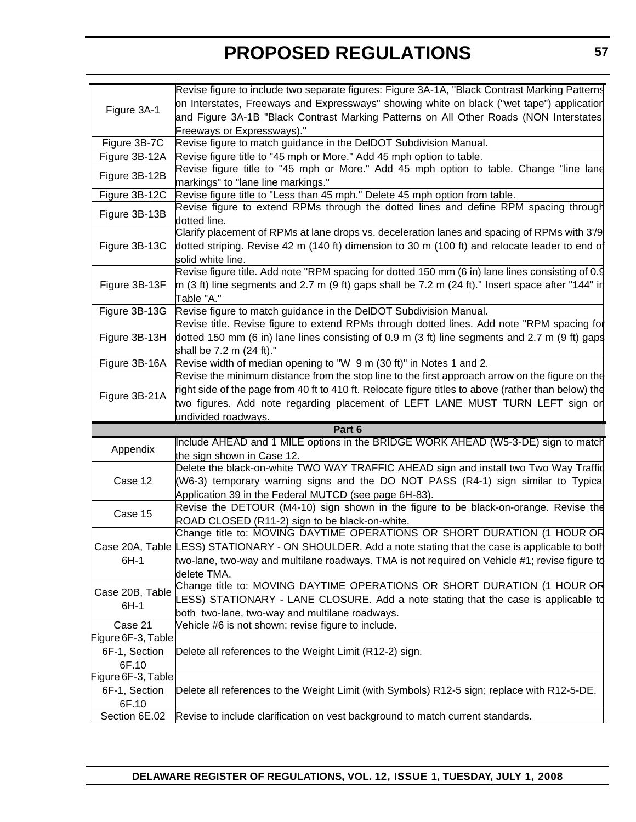|                        | Revise figure to include two separate figures: Figure 3A-1A, "Black Contrast Marking Patterns                                                                                                                                                   |
|------------------------|-------------------------------------------------------------------------------------------------------------------------------------------------------------------------------------------------------------------------------------------------|
| Figure 3A-1            | on Interstates, Freeways and Expressways" showing white on black ("wet tape") application                                                                                                                                                       |
|                        | and Figure 3A-1B "Black Contrast Marking Patterns on All Other Roads (NON Interstates)                                                                                                                                                          |
|                        | Freeways or Expressways)."                                                                                                                                                                                                                      |
| Figure 3B-7C           | Revise figure to match guidance in the DelDOT Subdivision Manual.                                                                                                                                                                               |
| Figure 3B-12A          | Revise figure title to "45 mph or More." Add 45 mph option to table.                                                                                                                                                                            |
|                        | Revise figure title to "45 mph or More." Add 45 mph option to table. Change "line lane                                                                                                                                                          |
| Figure 3B-12B          | markings" to "lane line markings."                                                                                                                                                                                                              |
| Figure 3B-12C          | Revise figure title to "Less than 45 mph." Delete 45 mph option from table.                                                                                                                                                                     |
| Figure 3B-13B          | Revise figure to extend RPMs through the dotted lines and define RPM spacing through                                                                                                                                                            |
|                        | dotted line.                                                                                                                                                                                                                                    |
|                        | Clarify placement of RPMs at lane drops vs. deceleration lanes and spacing of RPMs with 3'/9                                                                                                                                                    |
| Figure 3B-13C          | dotted striping. Revise 42 m (140 ft) dimension to 30 m (100 ft) and relocate leader to end of                                                                                                                                                  |
|                        | solid white line.                                                                                                                                                                                                                               |
|                        | Revise figure title. Add note "RPM spacing for dotted 150 mm (6 in) lane lines consisting of 0.9                                                                                                                                                |
| Figure 3B-13F          | m (3 ft) line segments and 2.7 m (9 ft) gaps shall be 7.2 m (24 ft)." Insert space after "144" in                                                                                                                                               |
|                        | Table "A."                                                                                                                                                                                                                                      |
| Figure 3B-13G          | Revise figure to match guidance in the DeIDOT Subdivision Manual.                                                                                                                                                                               |
|                        | Revise title. Revise figure to extend RPMs through dotted lines. Add note "RPM spacing for                                                                                                                                                      |
| Figure 3B-13H          | dotted 150 mm (6 in) lane lines consisting of 0.9 m (3 ft) line segments and 2.7 m (9 ft) gaps                                                                                                                                                  |
|                        | shall be 7.2 m (24 ft)."                                                                                                                                                                                                                        |
| Figure 3B-16A          | Revise width of median opening to "W 9 m (30 ft)" in Notes 1 and 2.                                                                                                                                                                             |
|                        | Revise the minimum distance from the stop line to the first approach arrow on the figure on the                                                                                                                                                 |
| Figure 3B-21A          | right side of the page from 40 ft to 410 ft. Relocate figure titles to above (rather than below) the                                                                                                                                            |
|                        | two figures. Add note regarding placement of LEFT LANE MUST TURN LEFT sign on                                                                                                                                                                   |
|                        | undivided roadways.                                                                                                                                                                                                                             |
|                        | Part 6                                                                                                                                                                                                                                          |
| Appendix               | Include AHEAD and 1 MILE options in the BRIDGE WORK AHEAD (W5-3-DE) sign to match                                                                                                                                                               |
|                        | the sign shown in Case 12.<br>Delete the black-on-white TWO WAY TRAFFIC AHEAD sign and install two Two Way Traffic                                                                                                                              |
|                        |                                                                                                                                                                                                                                                 |
| Case 12                | (W6-3) temporary warning signs and the DO NOT PASS (R4-1) sign similar to Typica                                                                                                                                                                |
|                        | Application 39 in the Federal MUTCD (see page 6H-83).                                                                                                                                                                                           |
| Case 15                | Revise the DETOUR (M4-10) sign shown in the figure to be black-on-orange. Revise the                                                                                                                                                            |
|                        | ROAD CLOSED (R11-2) sign to be black-on-white.<br>Change title to: MOVING DAYTIME OPERATIONS OR SHORT DURATION (1 HOUR OR                                                                                                                       |
|                        | Case 20A, Table LESS) STATIONARY - ON SHOULDER. Add a note stating that the case is applicable to both                                                                                                                                          |
| 6H-1                   | two-lane, two-way and multilane roadways. TMA is not required on Vehicle #1; revise figure to                                                                                                                                                   |
|                        | delete TMA.                                                                                                                                                                                                                                     |
|                        |                                                                                                                                                                                                                                                 |
|                        |                                                                                                                                                                                                                                                 |
| Case 20B, Table        |                                                                                                                                                                                                                                                 |
| $6H-1$                 |                                                                                                                                                                                                                                                 |
|                        | both two-lane, two-way and multilane roadways.                                                                                                                                                                                                  |
| Case 21                | Vehicle #6 is not shown; revise figure to include.                                                                                                                                                                                              |
| Figure 6F-3, Table     |                                                                                                                                                                                                                                                 |
| 6F-1, Section          | Delete all references to the Weight Limit (R12-2) sign.                                                                                                                                                                                         |
| 6F.10                  |                                                                                                                                                                                                                                                 |
| Figure 6F-3, Table     |                                                                                                                                                                                                                                                 |
| 6F-1, Section          | Delete all references to the Weight Limit (with Symbols) R12-5 sign; replace with R12-5-DE.                                                                                                                                                     |
| 6F.10<br>Section 6E.02 | Change title to: MOVING DAYTIME OPERATIONS OR SHORT DURATION (1 HOUR OR<br>LESS) STATIONARY - LANE CLOSURE. Add a note stating that the case is applicable to<br>Revise to include clarification on vest background to match current standards. |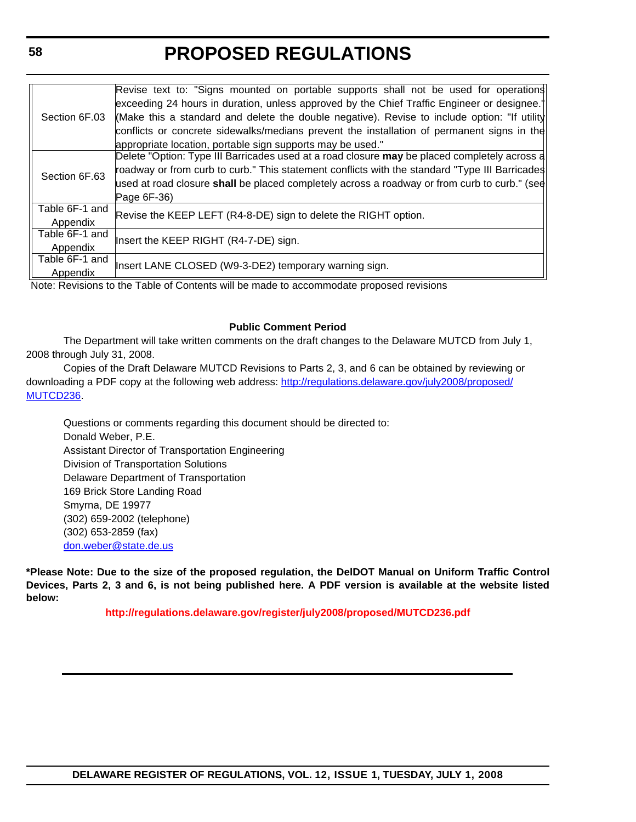|                | Revise text to: "Signs mounted on portable supports shall not be used for operations                       |  |
|----------------|------------------------------------------------------------------------------------------------------------|--|
|                | exceeding 24 hours in duration, unless approved by the Chief Traffic Engineer or designee.                 |  |
|                | Section 6F.03 (Make this a standard and delete the double negative). Revise to include option: "If utility |  |
|                | conflicts or concrete sidewalks/medians prevent the installation of permanent signs in the                 |  |
|                | appropriate location, portable sign supports may be used."                                                 |  |
|                | Delete "Option: Type III Barricades used at a road closure may be placed completely across a               |  |
|                | roadway or from curb to curb." This statement conflicts with the standard "Type III Barricades             |  |
| Section 6F.63  | used at road closure shall be placed completely across a roadway or from curb to curb." (see               |  |
|                | Page 6F-36)                                                                                                |  |
| Table 6F-1 and | Revise the KEEP LEFT (R4-8-DE) sign to delete the RIGHT option.                                            |  |
| Appendix       |                                                                                                            |  |
| Table 6F-1 and |                                                                                                            |  |
| Appendix       | Insert the KEEP RIGHT (R4-7-DE) sign.                                                                      |  |
| Table 6F-1 and | Insert LANE CLOSED (W9-3-DE2) temporary warning sign.                                                      |  |
| Appendix       |                                                                                                            |  |

Note: Revisions to the Table of Contents will be made to accommodate proposed revisions

#### **Public Comment Period**

The Department will take written comments on the draft changes to the Delaware MUTCD from July 1, 2008 through July 31, 2008.

Copies of the Draft Delaware MUTCD Revisions to Parts 2, 3, and 6 can be obtained by reviewing or downloading a PDF copy at the following web address: [http://regulations.delaware.gov/july2008/proposed/](http://www) [MUTCD236.](http://www)

Questions or comments regarding this document should be directed to: Donald Weber, P.E. Assistant Director of Transportation Engineering Division of Transportation Solutions Delaware Department of Transportation 169 Brick Store Landing Road Smyrna, DE 19977 (302) 659-2002 (telephone) (302) 653-2859 (fax) [don.weber@state.de.us](mailto:don.weber@state.de.us)

**\*Please Note: Due to the size of the proposed regulation, the DelDOT Manual on Uniform Traffic Control Devices, Parts 2, 3 and 6, is not being published here. A PDF version is available at the website listed below:**

**<http://regulations.delaware.gov/register/july2008/proposed/MUTCD236.pdf>**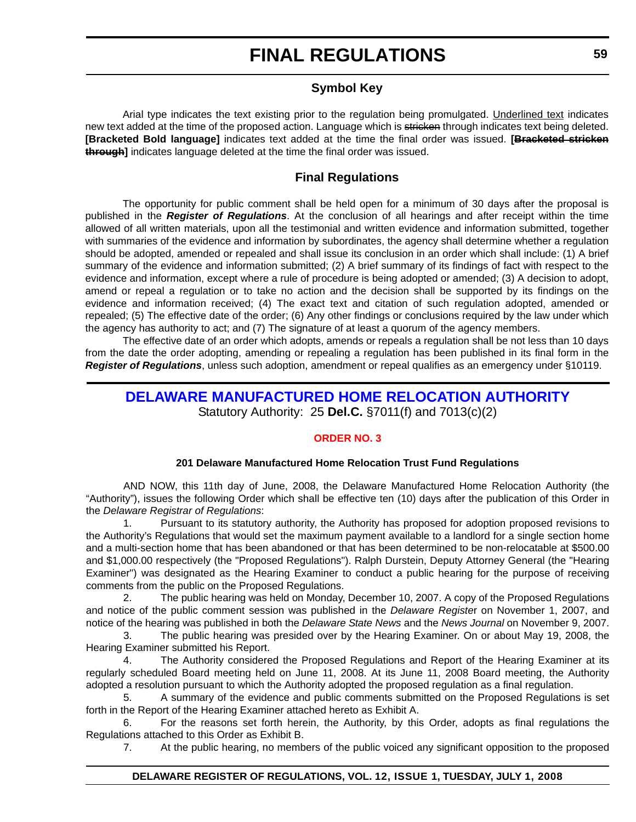# **Symbol Key**

Arial type indicates the text existing prior to the regulation being promulgated. Underlined text indicates new text added at the time of the proposed action. Language which is stricken through indicates text being deleted. **[Bracketed Bold language]** indicates text added at the time the final order was issued. **[Bracketed stricken through]** indicates language deleted at the time the final order was issued.

# **Final Regulations**

The opportunity for public comment shall be held open for a minimum of 30 days after the proposal is published in the *Register of Regulations*. At the conclusion of all hearings and after receipt within the time allowed of all written materials, upon all the testimonial and written evidence and information submitted, together with summaries of the evidence and information by subordinates, the agency shall determine whether a regulation should be adopted, amended or repealed and shall issue its conclusion in an order which shall include: (1) A brief summary of the evidence and information submitted; (2) A brief summary of its findings of fact with respect to the evidence and information, except where a rule of procedure is being adopted or amended; (3) A decision to adopt, amend or repeal a regulation or to take no action and the decision shall be supported by its findings on the evidence and information received; (4) The exact text and citation of such regulation adopted, amended or repealed; (5) The effective date of the order; (6) Any other findings or conclusions required by the law under which the agency has authority to act; and (7) The signature of at least a quorum of the agency members.

The effective date of an order which adopts, amends or repeals a regulation shall be not less than 10 days from the date the order adopting, amending or repealing a regulation has been published in its final form in the *Register of Regulations*, unless such adoption, amendment or repeal qualifies as an emergency under §10119.

# **[DELAWARE MANUFACTURED HOME RELOCATION AUTHORITY](http://demhra.delaware.gov/)** Statutory Authority: 25 **Del.C.** §7011(f) and 7013(c)(2)

## **[ORDER NO. 3](#page-3-0)**

#### **201 Delaware Manufactured Home Relocation Trust Fund Regulations**

AND NOW, this 11th day of June, 2008, the Delaware Manufactured Home Relocation Authority (the "Authority"), issues the following Order which shall be effective ten (10) days after the publication of this Order in the *Delaware Registrar of Regulations*:

1. Pursuant to its statutory authority, the Authority has proposed for adoption proposed revisions to the Authority's Regulations that would set the maximum payment available to a landlord for a single section home and a multi-section home that has been abandoned or that has been determined to be non-relocatable at \$500.00 and \$1,000.00 respectively (the "Proposed Regulations"). Ralph Durstein, Deputy Attorney General (the "Hearing Examiner") was designated as the Hearing Examiner to conduct a public hearing for the purpose of receiving comments from the public on the Proposed Regulations.

2. The public hearing was held on Monday, December 10, 2007. A copy of the Proposed Regulations and notice of the public comment session was published in the *Delaware Registe*r on November 1, 2007, and notice of the hearing was published in both the *Delaware State News* and the *News Journal* on November 9, 2007.

3. The public hearing was presided over by the Hearing Examiner. On or about May 19, 2008, the Hearing Examiner submitted his Report.

4. The Authority considered the Proposed Regulations and Report of the Hearing Examiner at its regularly scheduled Board meeting held on June 11, 2008. At its June 11, 2008 Board meeting, the Authority adopted a resolution pursuant to which the Authority adopted the proposed regulation as a final regulation.

5. A summary of the evidence and public comments submitted on the Proposed Regulations is set forth in the Report of the Hearing Examiner attached hereto as Exhibit A.

6. For the reasons set forth herein, the Authority, by this Order, adopts as final regulations the Regulations attached to this Order as Exhibit B.

7. At the public hearing, no members of the public voiced any significant opposition to the proposed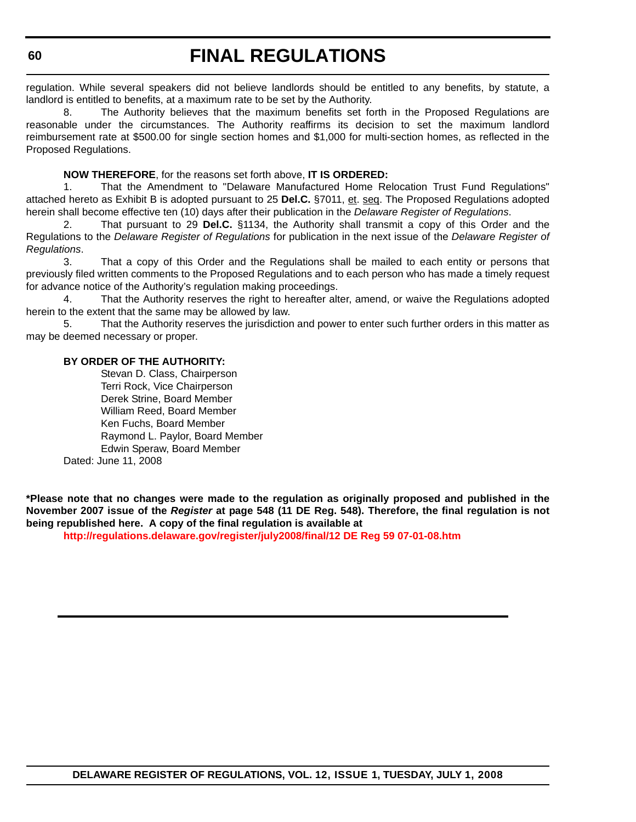regulation. While several speakers did not believe landlords should be entitled to any benefits, by statute, a landlord is entitled to benefits, at a maximum rate to be set by the Authority.

8. The Authority believes that the maximum benefits set forth in the Proposed Regulations are reasonable under the circumstances. The Authority reaffirms its decision to set the maximum landlord reimbursement rate at \$500.00 for single section homes and \$1,000 for multi-section homes, as reflected in the Proposed Regulations.

### **NOW THEREFORE**, for the reasons set forth above, **IT IS ORDERED:**

1. That the Amendment to "Delaware Manufactured Home Relocation Trust Fund Regulations" attached hereto as Exhibit B is adopted pursuant to 25 **Del.C.** §7011, et. seq. The Proposed Regulations adopted herein shall become effective ten (10) days after their publication in the *Delaware Register of Regulations*.

2. That pursuant to 29 **Del.C.** §1134, the Authority shall transmit a copy of this Order and the Regulations to the *Delaware Register of Regulations* for publication in the next issue of the *Delaware Register of Regulations*.

3. That a copy of this Order and the Regulations shall be mailed to each entity or persons that previously filed written comments to the Proposed Regulations and to each person who has made a timely request for advance notice of the Authority's regulation making proceedings.

4. That the Authority reserves the right to hereafter alter, amend, or waive the Regulations adopted herein to the extent that the same may be allowed by law.

5. That the Authority reserves the jurisdiction and power to enter such further orders in this matter as may be deemed necessary or proper.

#### **BY ORDER OF THE AUTHORITY:**

Stevan D. Class, Chairperson Terri Rock, Vice Chairperson Derek Strine, Board Member William Reed, Board Member Ken Fuchs, Board Member Raymond L. Paylor, Board Member Edwin Speraw, Board Member Dated: June 11, 2008

**\*Please note that no changes were made to the regulation as originally proposed and published in the November 2007 issue of the** *Register* **at page 548 (11 DE Reg. 548). Therefore, the final regulation is not being republished here. A copy of the final regulation is available at**

**<http://regulations.delaware.gov/register/july2008/final/12 DE Reg 59 07-01-08.htm>**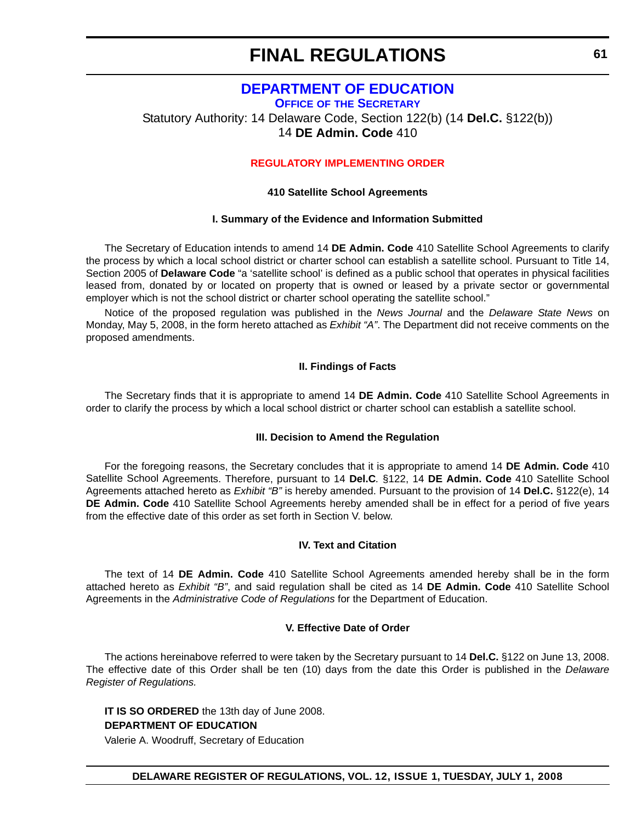# **[DEPARTMENT OF EDUCATION](http://www.doe.k12.de.us/)**

**OFFICE OF [THE SECRETARY](http://www.doe.k12.de.us/)** Statutory Authority: 14 Delaware Code, Section 122(b) (14 **Del.C.** §122(b)) 14 **DE Admin. Code** 410

## **[REGULATORY IMPLEMENTING ORDER](#page-3-0)**

#### **410 Satellite School Agreements**

#### **I. Summary of the Evidence and Information Submitted**

The Secretary of Education intends to amend 14 **DE Admin. Code** 410 Satellite School Agreements to clarify the process by which a local school district or charter school can establish a satellite school. Pursuant to Title 14, Section 2005 of **Delaware Code** "a 'satellite school' is defined as a public school that operates in physical facilities leased from, donated by or located on property that is owned or leased by a private sector or governmental employer which is not the school district or charter school operating the satellite school."

Notice of the proposed regulation was published in the *News Journal* and the *Delaware State News* on Monday, May 5, 2008, in the form hereto attached as *Exhibit "A"*. The Department did not receive comments on the proposed amendments.

#### **II. Findings of Facts**

The Secretary finds that it is appropriate to amend 14 **DE Admin. Code** 410 Satellite School Agreements in order to clarify the process by which a local school district or charter school can establish a satellite school.

#### **III. Decision to Amend the Regulation**

For the foregoing reasons, the Secretary concludes that it is appropriate to amend 14 **DE Admin. Code** 410 Satellite School Agreements. Therefore, pursuant to 14 **Del.C***.* §122, 14 **DE Admin. Code** 410 Satellite School Agreements attached hereto as *Exhibit "B"* is hereby amended. Pursuant to the provision of 14 **Del.C.** §122(e), 14 **DE Admin. Code** 410 Satellite School Agreements hereby amended shall be in effect for a period of five years from the effective date of this order as set forth in Section V. below.

#### **IV. Text and Citation**

The text of 14 **DE Admin. Code** 410 Satellite School Agreements amended hereby shall be in the form attached hereto as *Exhibit "B"*, and said regulation shall be cited as 14 **DE Admin. Code** 410 Satellite School Agreements in the *Administrative Code of Regulations* for the Department of Education.

### **V. Effective Date of Order**

The actions hereinabove referred to were taken by the Secretary pursuant to 14 **Del.C.** §122 on June 13, 2008. The effective date of this Order shall be ten (10) days from the date this Order is published in the *Delaware Register of Regulations.*

**IT IS SO ORDERED** the 13th day of June 2008.

## **DEPARTMENT OF EDUCATION**

Valerie A. Woodruff, Secretary of Education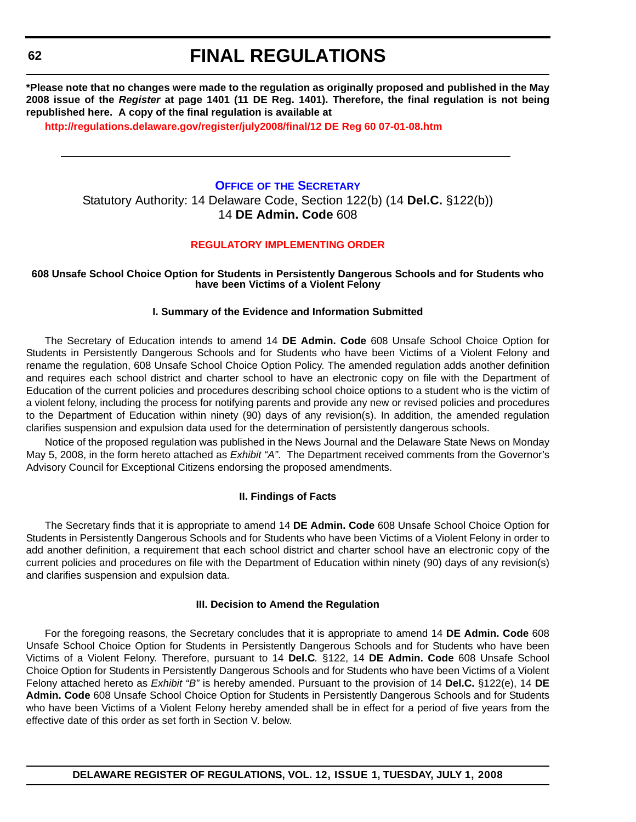**\*Please note that no changes were made to the regulation as originally proposed and published in the May 2008 issue of the** *Register* **at page 1401 (11 DE Reg. 1401). Therefore, the final regulation is not being republished here. A copy of the final regulation is available at**

**<http://regulations.delaware.gov/register/july2008/final/12 DE Reg 60 07-01-08.htm>**

#### **OFFICE OF [THE SECRETARY](http://www.doe.k12.de.us/)**

Statutory Authority: 14 Delaware Code, Section 122(b) (14 **Del.C.** §122(b)) 14 **DE Admin. Code** 608

### **[REGULATORY IMPLEMENTING ORDER](#page-3-0)**

#### **608 Unsafe School Choice Option for Students in Persistently Dangerous Schools and for Students who have been Victims of a Violent Felony**

#### **I. Summary of the Evidence and Information Submitted**

The Secretary of Education intends to amend 14 **DE Admin. Code** 608 Unsafe School Choice Option for Students in Persistently Dangerous Schools and for Students who have been Victims of a Violent Felony and rename the regulation, 608 Unsafe School Choice Option Policy. The amended regulation adds another definition and requires each school district and charter school to have an electronic copy on file with the Department of Education of the current policies and procedures describing school choice options to a student who is the victim of a violent felony, including the process for notifying parents and provide any new or revised policies and procedures to the Department of Education within ninety (90) days of any revision(s). In addition, the amended regulation clarifies suspension and expulsion data used for the determination of persistently dangerous schools.

Notice of the proposed regulation was published in the News Journal and the Delaware State News on Monday May 5, 2008, in the form hereto attached as *Exhibit "A"*. The Department received comments from the Governor's Advisory Council for Exceptional Citizens endorsing the proposed amendments.

#### **II. Findings of Facts**

The Secretary finds that it is appropriate to amend 14 **DE Admin. Code** 608 Unsafe School Choice Option for Students in Persistently Dangerous Schools and for Students who have been Victims of a Violent Felony in order to add another definition, a requirement that each school district and charter school have an electronic copy of the current policies and procedures on file with the Department of Education within ninety (90) days of any revision(s) and clarifies suspension and expulsion data.

#### **III. Decision to Amend the Regulation**

For the foregoing reasons, the Secretary concludes that it is appropriate to amend 14 **DE Admin. Code** 608 Unsafe School Choice Option for Students in Persistently Dangerous Schools and for Students who have been Victims of a Violent Felony. Therefore, pursuant to 14 **Del.C***.* §122, 14 **DE Admin. Code** 608 Unsafe School Choice Option for Students in Persistently Dangerous Schools and for Students who have been Victims of a Violent Felony attached hereto as *Exhibit "B"* is hereby amended. Pursuant to the provision of 14 **Del.C.** §122(e), 14 **DE Admin. Code** 608 Unsafe School Choice Option for Students in Persistently Dangerous Schools and for Students who have been Victims of a Violent Felony hereby amended shall be in effect for a period of five years from the effective date of this order as set forth in Section V. below.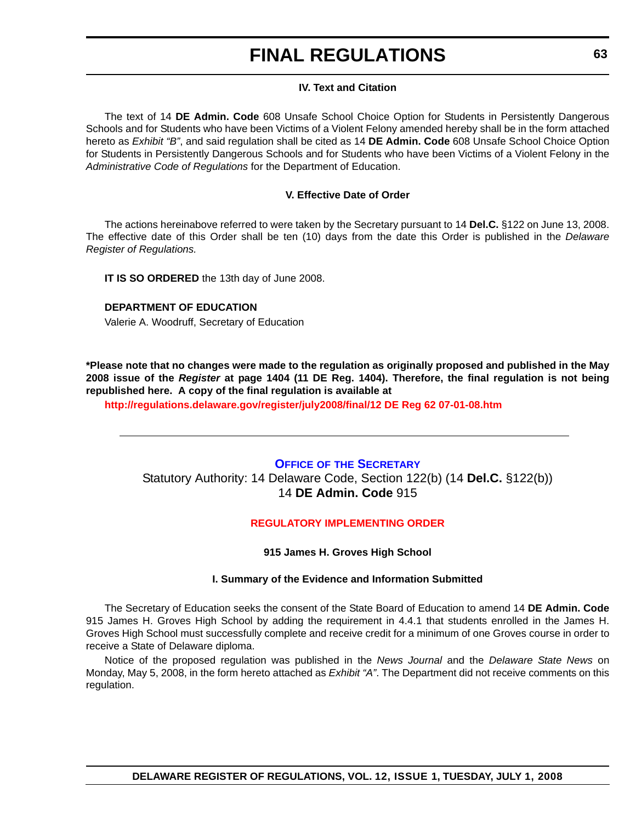## **IV. Text and Citation**

The text of 14 **DE Admin. Code** 608 Unsafe School Choice Option for Students in Persistently Dangerous Schools and for Students who have been Victims of a Violent Felony amended hereby shall be in the form attached hereto as *Exhibit "B"*, and said regulation shall be cited as 14 **DE Admin. Code** 608 Unsafe School Choice Option for Students in Persistently Dangerous Schools and for Students who have been Victims of a Violent Felony in the *Administrative Code of Regulations* for the Department of Education.

## **V. Effective Date of Order**

The actions hereinabove referred to were taken by the Secretary pursuant to 14 **Del.C.** §122 on June 13, 2008. The effective date of this Order shall be ten (10) days from the date this Order is published in the *Delaware Register of Regulations.*

**IT IS SO ORDERED** the 13th day of June 2008.

## **DEPARTMENT OF EDUCATION**

Valerie A. Woodruff, Secretary of Education

**\*Please note that no changes were made to the regulation as originally proposed and published in the May 2008 issue of the** *Register* **at page 1404 (11 DE Reg. 1404). Therefore, the final regulation is not being republished here. A copy of the final regulation is available at**

**<http://regulations.delaware.gov/register/july2008/final/12 DE Reg 62 07-01-08.htm>**

# **OFFICE OF [THE SECRETARY](http://www.doe.k12.de.us/)**

Statutory Authority: 14 Delaware Code, Section 122(b) (14 **Del.C.** §122(b)) 14 **DE Admin. Code** 915

## **[REGULATORY IMPLEMENTING ORDER](#page-3-0)**

## **915 James H. Groves High School**

## **I. Summary of the Evidence and Information Submitted**

The Secretary of Education seeks the consent of the State Board of Education to amend 14 **DE Admin. Code**  915 James H. Groves High School by adding the requirement in 4.4.1 that students enrolled in the James H. Groves High School must successfully complete and receive credit for a minimum of one Groves course in order to receive a State of Delaware diploma.

Notice of the proposed regulation was published in the *News Journal* and the *Delaware State News* on Monday, May 5, 2008, in the form hereto attached as *Exhibit "A"*. The Department did not receive comments on this regulation.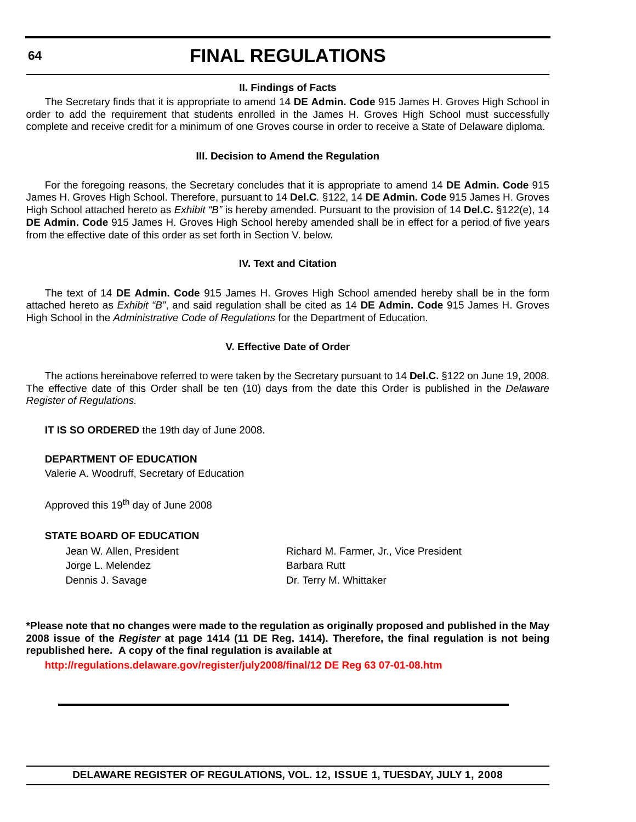#### **II. Findings of Facts**

The Secretary finds that it is appropriate to amend 14 **DE Admin. Code** 915 James H. Groves High School in order to add the requirement that students enrolled in the James H. Groves High School must successfully complete and receive credit for a minimum of one Groves course in order to receive a State of Delaware diploma.

#### **III. Decision to Amend the Regulation**

For the foregoing reasons, the Secretary concludes that it is appropriate to amend 14 **DE Admin. Code** 915 James H. Groves High School. Therefore, pursuant to 14 **Del.C***.* §122, 14 **DE Admin. Code** 915 James H. Groves High School attached hereto as *Exhibit "B"* is hereby amended. Pursuant to the provision of 14 **Del.C.** §122(e), 14 **DE Admin. Code** 915 James H. Groves High School hereby amended shall be in effect for a period of five years from the effective date of this order as set forth in Section V. below.

## **IV. Text and Citation**

The text of 14 **DE Admin. Code** 915 James H. Groves High School amended hereby shall be in the form attached hereto as *Exhibit "B"*, and said regulation shall be cited as 14 **DE Admin. Code** 915 James H. Groves High School in the *Administrative Code of Regulations* for the Department of Education.

## **V. Effective Date of Order**

The actions hereinabove referred to were taken by the Secretary pursuant to 14 **Del.C.** §122 on June 19, 2008. The effective date of this Order shall be ten (10) days from the date this Order is published in the *Delaware Register of Regulations.*

**IT IS SO ORDERED** the 19th day of June 2008.

## **DEPARTMENT OF EDUCATION**

Valerie A. Woodruff, Secretary of Education

Approved this 19<sup>th</sup> day of June 2008

## **STATE BOARD OF EDUCATION**

Jorge L. Melendez **Barbara Rutt** Dennis J. Savage **Dr. Terry M. Whittaker** 

Jean W. Allen, President **Richard M. Farmer, Jr., Vice President** 

**\*Please note that no changes were made to the regulation as originally proposed and published in the May 2008 issue of the** *Register* **at page 1414 (11 DE Reg. 1414). Therefore, the final regulation is not being republished here. A copy of the final regulation is available at**

**<http://regulations.delaware.gov/register/july2008/final/12 DE Reg 63 07-01-08.htm>**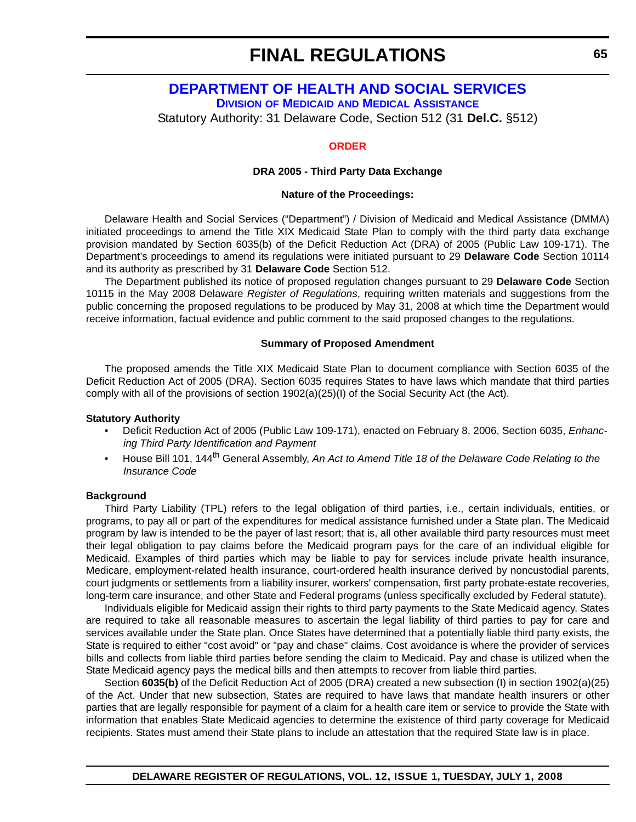# **[DEPARTMENT OF HEALTH AND SOCIAL SERVICES](http://www.dhss.delaware.gov/dhss/index.html) DIVISION OF MEDICAID [AND MEDICAL ASSISTANCE](http://www.dhss.delaware.gov/dhss/dmma/)**

Statutory Authority: 31 Delaware Code, Section 512 (31 **Del.C.** §512)

### **[ORDER](#page-3-0)**

#### **DRA 2005 - Third Party Data Exchange**

#### **Nature of the Proceedings:**

Delaware Health and Social Services ("Department") / Division of Medicaid and Medical Assistance (DMMA) initiated proceedings to amend the Title XIX Medicaid State Plan to comply with the third party data exchange provision mandated by Section 6035(b) of the Deficit Reduction Act (DRA) of 2005 (Public Law 109-171). The Department's proceedings to amend its regulations were initiated pursuant to 29 **Delaware Code** Section 10114 and its authority as prescribed by 31 **Delaware Code** Section 512.

The Department published its notice of proposed regulation changes pursuant to 29 **Delaware Code** Section 10115 in the May 2008 Delaware *Register of Regulations*, requiring written materials and suggestions from the public concerning the proposed regulations to be produced by May 31, 2008 at which time the Department would receive information, factual evidence and public comment to the said proposed changes to the regulations.

#### **Summary of Proposed Amendment**

The proposed amends the Title XIX Medicaid State Plan to document compliance with Section 6035 of the Deficit Reduction Act of 2005 (DRA). Section 6035 requires States to have laws which mandate that third parties comply with all of the provisions of section 1902(a)(25)(I) of the Social Security Act (the Act).

#### **Statutory Authority**

- Deficit Reduction Act of 2005 (Public Law 109-171), enacted on February 8, 2006, Section 6035, *Enhancing Third Party Identification and Payment*
- House Bill 101, 144th General Assembly, *An Act to Amend Title 18 of the Delaware Code Relating to the Insurance Code*

#### **Background**

Third Party Liability (TPL) refers to the legal obligation of third parties, i.e., certain individuals, entities, or programs, to pay all or part of the expenditures for medical assistance furnished under a State plan. The Medicaid program by law is intended to be the payer of last resort; that is, all other available third party resources must meet their legal obligation to pay claims before the Medicaid program pays for the care of an individual eligible for Medicaid. Examples of third parties which may be liable to pay for services include private health insurance, Medicare, employment-related health insurance, court-ordered health insurance derived by noncustodial parents, court judgments or settlements from a liability insurer, workers' compensation, first party probate-estate recoveries, long-term care insurance, and other State and Federal programs (unless specifically excluded by Federal statute).

Individuals eligible for Medicaid assign their rights to third party payments to the State Medicaid agency. States are required to take all reasonable measures to ascertain the legal liability of third parties to pay for care and services available under the State plan. Once States have determined that a potentially liable third party exists, the State is required to either "cost avoid" or "pay and chase" claims. Cost avoidance is where the provider of services bills and collects from liable third parties before sending the claim to Medicaid. Pay and chase is utilized when the State Medicaid agency pays the medical bills and then attempts to recover from liable third parties.

Section 6035(b) of the Deficit Reduction Act of 2005 (DRA) created a new subsection (I) in section 1902(a)(25) of the Act. Under that new subsection, States are required to have laws that mandate health insurers or other parties that are legally responsible for payment of a claim for a health care item or service to provide the State with information that enables State Medicaid agencies to determine the existence of third party coverage for Medicaid recipients. States must amend their State plans to include an attestation that the required State law is in place.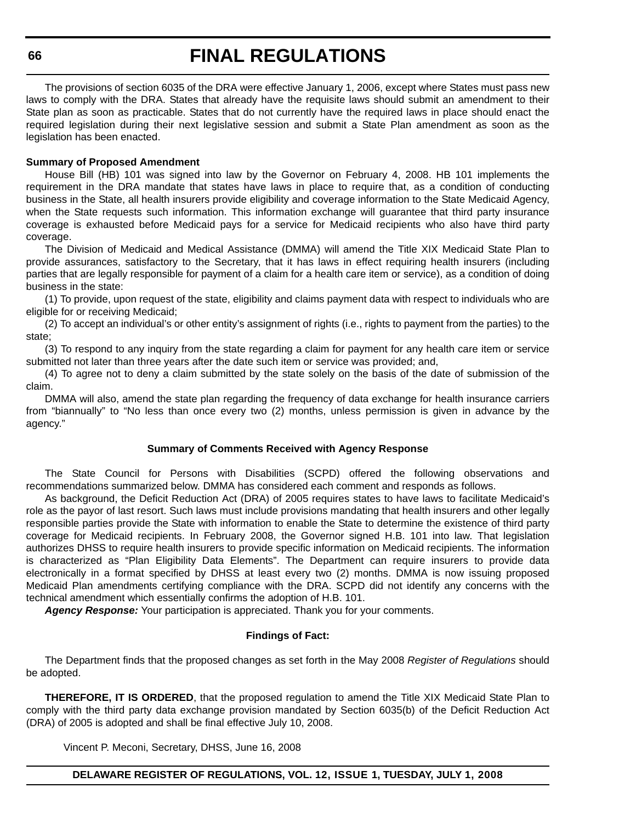The provisions of section 6035 of the DRA were effective January 1, 2006, except where States must pass new laws to comply with the DRA. States that already have the requisite laws should submit an amendment to their State plan as soon as practicable. States that do not currently have the required laws in place should enact the required legislation during their next legislative session and submit a State Plan amendment as soon as the legislation has been enacted.

#### **Summary of Proposed Amendment**

House Bill (HB) 101 was signed into law by the Governor on February 4, 2008. HB 101 implements the requirement in the DRA mandate that states have laws in place to require that, as a condition of conducting business in the State, all health insurers provide eligibility and coverage information to the State Medicaid Agency, when the State requests such information. This information exchange will guarantee that third party insurance coverage is exhausted before Medicaid pays for a service for Medicaid recipients who also have third party coverage.

The Division of Medicaid and Medical Assistance (DMMA) will amend the Title XIX Medicaid State Plan to provide assurances, satisfactory to the Secretary, that it has laws in effect requiring health insurers (including parties that are legally responsible for payment of a claim for a health care item or service), as a condition of doing business in the state:

(1) To provide, upon request of the state, eligibility and claims payment data with respect to individuals who are eligible for or receiving Medicaid;

(2) To accept an individual's or other entity's assignment of rights (i.e., rights to payment from the parties) to the state;

(3) To respond to any inquiry from the state regarding a claim for payment for any health care item or service submitted not later than three years after the date such item or service was provided; and,

(4) To agree not to deny a claim submitted by the state solely on the basis of the date of submission of the claim.

DMMA will also, amend the state plan regarding the frequency of data exchange for health insurance carriers from "biannually" to "No less than once every two (2) months, unless permission is given in advance by the agency."

#### **Summary of Comments Received with Agency Response**

The State Council for Persons with Disabilities (SCPD) offered the following observations and recommendations summarized below. DMMA has considered each comment and responds as follows.

As background, the Deficit Reduction Act (DRA) of 2005 requires states to have laws to facilitate Medicaid's role as the payor of last resort. Such laws must include provisions mandating that health insurers and other legally responsible parties provide the State with information to enable the State to determine the existence of third party coverage for Medicaid recipients. In February 2008, the Governor signed H.B. 101 into law. That legislation authorizes DHSS to require health insurers to provide specific information on Medicaid recipients. The information is characterized as "Plan Eligibility Data Elements". The Department can require insurers to provide data electronically in a format specified by DHSS at least every two (2) months. DMMA is now issuing proposed Medicaid Plan amendments certifying compliance with the DRA. SCPD did not identify any concerns with the technical amendment which essentially confirms the adoption of H.B. 101.

Agency Response: Your participation is appreciated. Thank you for your comments.

#### **Findings of Fact:**

The Department finds that the proposed changes as set forth in the May 2008 *Register of Regulations* should be adopted.

**THEREFORE, IT IS ORDERED**, that the proposed regulation to amend the Title XIX Medicaid State Plan to comply with the third party data exchange provision mandated by Section 6035(b) of the Deficit Reduction Act (DRA) of 2005 is adopted and shall be final effective July 10, 2008.

Vincent P. Meconi, Secretary, DHSS, June 16, 2008

#### **DELAWARE REGISTER OF REGULATIONS, VOL. 12, ISSUE 1, TUESDAY, JULY 1, 2008**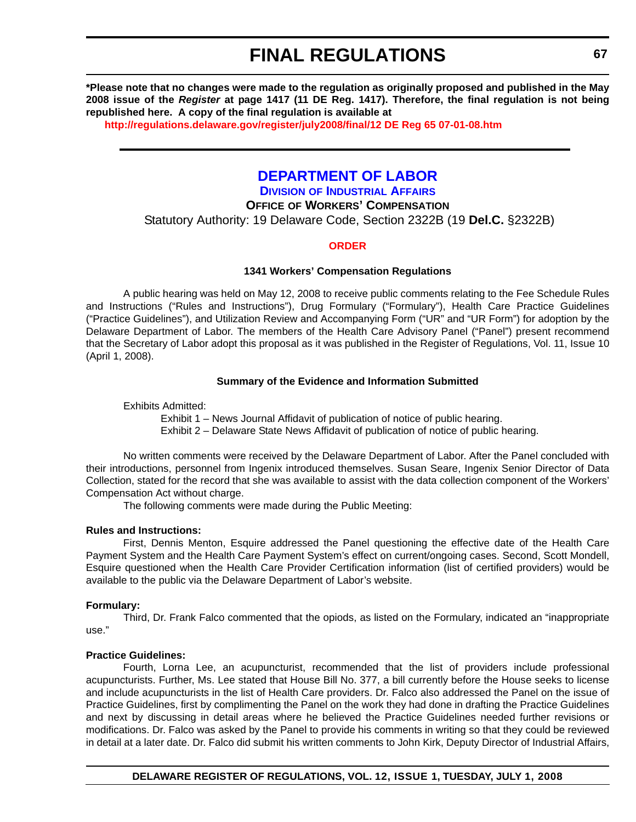**\*Please note that no changes were made to the regulation as originally proposed and published in the May 2008 issue of the** *Register* **at page 1417 (11 DE Reg. 1417). Therefore, the final regulation is not being republished here. A copy of the final regulation is available at**

**<http://regulations.delaware.gov/register/july2008/final/12 DE Reg 65 07-01-08.htm>**

# **[DEPARTMENT OF LABOR](http://www.delawareworks.com/divisionsDOL.shtml)**

**DIVISION [OF INDUSTRIAL AFFAIRS](http://www.delawareworks.com/industrialaffairs/welcome.shtml)**

**OFFICE OF WORKERS' COMPENSATION**

Statutory Authority: 19 Delaware Code, Section 2322B (19 **Del.C.** §2322B)

#### **[ORDER](#page-3-0)**

#### **1341 Workers' Compensation Regulations**

A public hearing was held on May 12, 2008 to receive public comments relating to the Fee Schedule Rules and Instructions ("Rules and Instructions"), Drug Formulary ("Formulary"), Health Care Practice Guidelines ("Practice Guidelines"), and Utilization Review and Accompanying Form ("UR" and "UR Form") for adoption by the Delaware Department of Labor. The members of the Health Care Advisory Panel ("Panel") present recommend that the Secretary of Labor adopt this proposal as it was published in the Register of Regulations, Vol. 11, Issue 10 (April 1, 2008).

#### **Summary of the Evidence and Information Submitted**

Exhibits Admitted:

Exhibit 1 – News Journal Affidavit of publication of notice of public hearing. Exhibit 2 – Delaware State News Affidavit of publication of notice of public hearing.

No written comments were received by the Delaware Department of Labor. After the Panel concluded with their introductions, personnel from Ingenix introduced themselves. Susan Seare, Ingenix Senior Director of Data Collection, stated for the record that she was available to assist with the data collection component of the Workers' Compensation Act without charge.

The following comments were made during the Public Meeting:

## **Rules and Instructions:**

First, Dennis Menton, Esquire addressed the Panel questioning the effective date of the Health Care Payment System and the Health Care Payment System's effect on current/ongoing cases. Second, Scott Mondell, Esquire questioned when the Health Care Provider Certification information (list of certified providers) would be available to the public via the Delaware Department of Labor's website.

#### **Formulary:**

Third, Dr. Frank Falco commented that the opiods, as listed on the Formulary, indicated an "inappropriate use."

#### **Practice Guidelines:**

Fourth, Lorna Lee, an acupuncturist, recommended that the list of providers include professional acupuncturists. Further, Ms. Lee stated that House Bill No. 377, a bill currently before the House seeks to license and include acupuncturists in the list of Health Care providers. Dr. Falco also addressed the Panel on the issue of Practice Guidelines, first by complimenting the Panel on the work they had done in drafting the Practice Guidelines and next by discussing in detail areas where he believed the Practice Guidelines needed further revisions or modifications. Dr. Falco was asked by the Panel to provide his comments in writing so that they could be reviewed in detail at a later date. Dr. Falco did submit his written comments to John Kirk, Deputy Director of Industrial Affairs,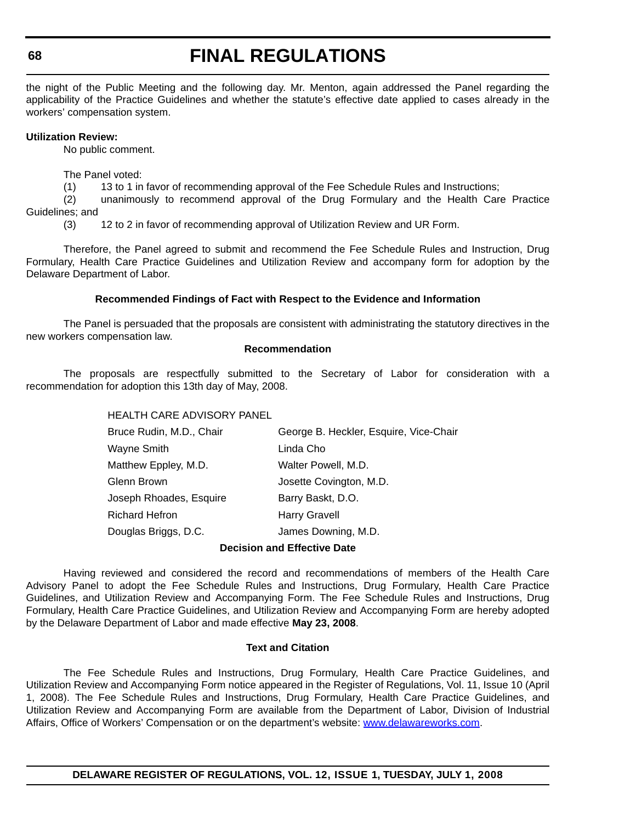the night of the Public Meeting and the following day. Mr. Menton, again addressed the Panel regarding the applicability of the Practice Guidelines and whether the statute's effective date applied to cases already in the workers' compensation system.

#### **Utilization Review:**

No public comment.

The Panel voted:

(1) 13 to 1 in favor of recommending approval of the Fee Schedule Rules and Instructions;

(2) unanimously to recommend approval of the Drug Formulary and the Health Care Practice Guidelines; and

(3) 12 to 2 in favor of recommending approval of Utilization Review and UR Form.

Therefore, the Panel agreed to submit and recommend the Fee Schedule Rules and Instruction, Drug Formulary, Health Care Practice Guidelines and Utilization Review and accompany form for adoption by the Delaware Department of Labor.

## **Recommended Findings of Fact with Respect to the Evidence and Information**

The Panel is persuaded that the proposals are consistent with administrating the statutory directives in the new workers compensation law.

#### **Recommendation**

The proposals are respectfully submitted to the Secretary of Labor for consideration with a recommendation for adoption this 13th day of May, 2008.

HEALTH CARE ADVISORY PANEL

| Bruce Rudin, M.D., Chair | George B. Heckler, Esquire, Vice-Chair |
|--------------------------|----------------------------------------|
| Wayne Smith              | Linda Cho                              |
| Matthew Eppley, M.D.     | Walter Powell, M.D.                    |
| Glenn Brown              | Josette Covington, M.D.                |
| Joseph Rhoades, Esquire  | Barry Baskt, D.O.                      |
| <b>Richard Hefron</b>    | <b>Harry Gravell</b>                   |
| Douglas Briggs, D.C.     | James Downing, M.D.                    |
|                          |                                        |

#### **Decision and Effective Date**

Having reviewed and considered the record and recommendations of members of the Health Care Advisory Panel to adopt the Fee Schedule Rules and Instructions, Drug Formulary, Health Care Practice Guidelines, and Utilization Review and Accompanying Form. The Fee Schedule Rules and Instructions, Drug Formulary, Health Care Practice Guidelines, and Utilization Review and Accompanying Form are hereby adopted by the Delaware Department of Labor and made effective **May 23, 2008**.

#### **Text and Citation**

The Fee Schedule Rules and Instructions, Drug Formulary, Health Care Practice Guidelines, and Utilization Review and Accompanying Form notice appeared in the Register of Regulations, Vol. 11, Issue 10 (April 1, 2008). The Fee Schedule Rules and Instructions, Drug Formulary, Health Care Practice Guidelines, and Utilization Review and Accompanying Form are available from the Department of Labor, Division of Industrial Affairs, Office of Workers' Compensation or on the department's website: [www.delawareworks.com](http://www.delawareworks.com/).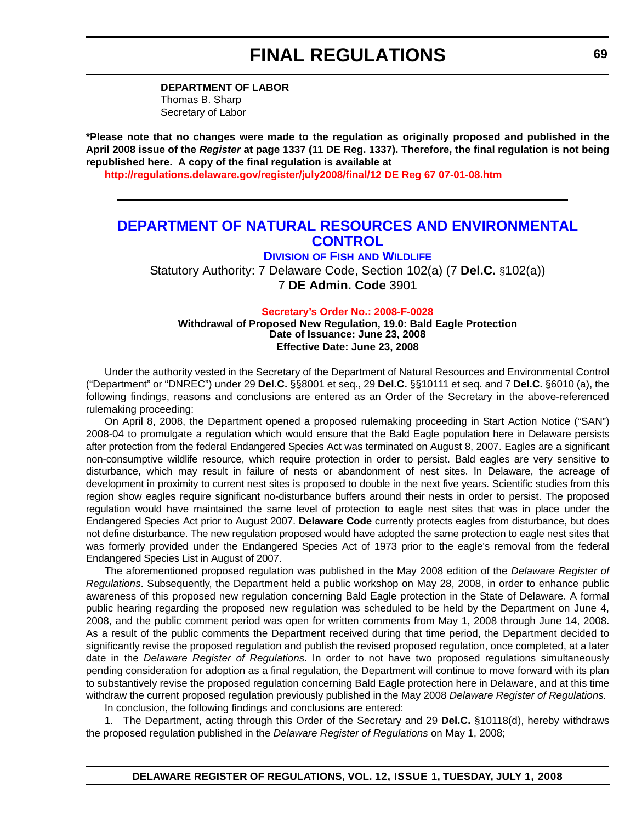**DEPARTMENT OF LABOR** Thomas B. Sharp Secretary of Labor

**\*Please note that no changes were made to the regulation as originally proposed and published in the April 2008 issue of the** *Register* **at page 1337 (11 DE Reg. 1337). Therefore, the final regulation is not being republished here. A copy of the final regulation is available at**

**<http://regulations.delaware.gov/register/july2008/final/12 DE Reg 67 07-01-08.htm>**

# **[DEPARTMENT OF NATURAL RESOURCES AND ENVIRONMENTAL](http://attorneygeneral.delaware.gov/)  [CONTROL](http://attorneygeneral.delaware.gov/)**

**DIVISION OF FISH [AND WILDLIFE](http://attorneygeneral.delaware.gov/office/fraud.shtml)**

Statutory Authority: 7 Delaware Code, Section 102(a) (7 **Del.C.** §102(a)) 7 **DE Admin. Code** 3901

**[Secretary's Order No.:](#page-4-0) 2008-F-0028**

**Withdrawal of Proposed New Regulation, 19.0: Bald Eagle Protection Date of Issuance: June 23, 2008 Effective Date: June 23, 2008**

Under the authority vested in the Secretary of the Department of Natural Resources and Environmental Control ("Department" or "DNREC") under 29 **Del.C.** §§8001 et seq., 29 **Del.C.** §§10111 et seq. and 7 **Del.C.** §6010 (a), the following findings, reasons and conclusions are entered as an Order of the Secretary in the above-referenced rulemaking proceeding:

On April 8, 2008, the Department opened a proposed rulemaking proceeding in Start Action Notice ("SAN") 2008-04 to promulgate a regulation which would ensure that the Bald Eagle population here in Delaware persists after protection from the federal Endangered Species Act was terminated on August 8, 2007. Eagles are a significant non-consumptive wildlife resource, which require protection in order to persist. Bald eagles are very sensitive to disturbance, which may result in failure of nests or abandonment of nest sites. In Delaware, the acreage of development in proximity to current nest sites is proposed to double in the next five years. Scientific studies from this region show eagles require significant no-disturbance buffers around their nests in order to persist. The proposed regulation would have maintained the same level of protection to eagle nest sites that was in place under the Endangered Species Act prior to August 2007. **Delaware Code** currently protects eagles from disturbance, but does not define disturbance. The new regulation proposed would have adopted the same protection to eagle nest sites that was formerly provided under the Endangered Species Act of 1973 prior to the eagle's removal from the federal Endangered Species List in August of 2007.

The aforementioned proposed regulation was published in the May 2008 edition of the *Delaware Register of Regulations*. Subsequently, the Department held a public workshop on May 28, 2008, in order to enhance public awareness of this proposed new regulation concerning Bald Eagle protection in the State of Delaware. A formal public hearing regarding the proposed new regulation was scheduled to be held by the Department on June 4, 2008, and the public comment period was open for written comments from May 1, 2008 through June 14, 2008. As a result of the public comments the Department received during that time period, the Department decided to significantly revise the proposed regulation and publish the revised proposed regulation, once completed, at a later date in the *Delaware Register of Regulations*. In order to not have two proposed regulations simultaneously pending consideration for adoption as a final regulation, the Department will continue to move forward with its plan to substantively revise the proposed regulation concerning Bald Eagle protection here in Delaware, and at this time withdraw the current proposed regulation previously published in the May 2008 *Delaware Register of Regulations.* 

In conclusion, the following findings and conclusions are entered:

1. The Department, acting through this Order of the Secretary and 29 **Del.C.** §10118(d), hereby withdraws the proposed regulation published in the *Delaware Register of Regulations* on May 1, 2008;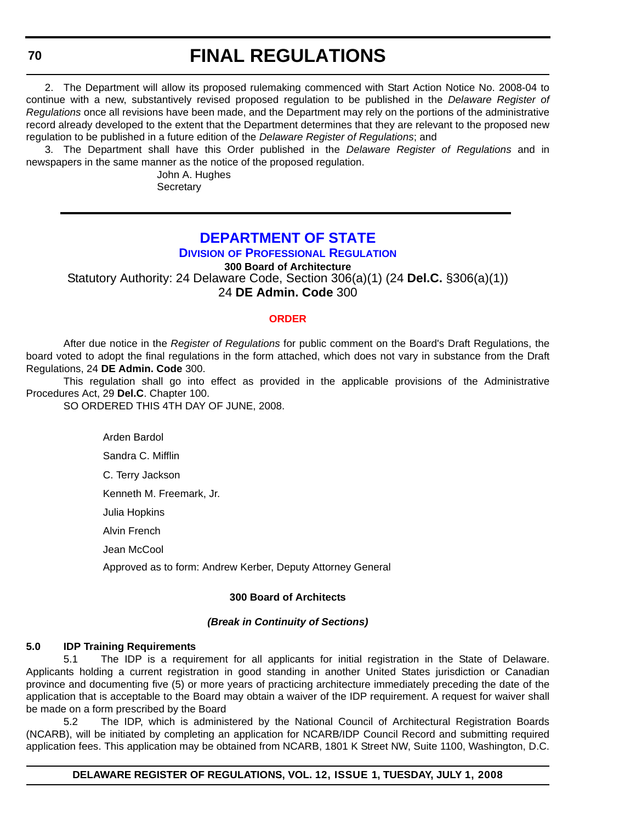**70**

# **FINAL REGULATIONS**

2. The Department will allow its proposed rulemaking commenced with Start Action Notice No. 2008-04 to continue with a new, substantively revised proposed regulation to be published in the *Delaware Register of Regulations* once all revisions have been made, and the Department may rely on the portions of the administrative record already developed to the extent that the Department determines that they are relevant to the proposed new regulation to be published in a future edition of the *Delaware Register of Regulations*; and

3. The Department shall have this Order published in the *Delaware Register of Regulations* and in newspapers in the same manner as the notice of the proposed regulation.

> John A. Hughes **Secretary**

# **[DEPARTMENT OF STATE](http://sos.delaware.gov/default.shtml)**

**DIVISION [OF PROFESSIONAL REGULATION](http://dpr.delaware.gov/default.shtml)**

**300 Board of Architecture**

Statutory Authority: 24 Delaware Code, Section 306(a)(1) (24 **Del.C.** §306(a)(1))

24 **DE Admin. Code** 300

#### **[ORDER](#page-4-0)**

After due notice in the *Register of Regulations* for public comment on the Board's Draft Regulations, the board voted to adopt the final regulations in the form attached, which does not vary in substance from the Draft Regulations, 24 **DE Admin. Code** 300.

This regulation shall go into effect as provided in the applicable provisions of the Administrative Procedures Act, 29 **Del.C**. Chapter 100.

SO ORDERED THIS 4TH DAY OF JUNE, 2008.

Arden Bardol Sandra C. Mifflin C. Terry Jackson Kenneth M. Freemark, Jr. Julia Hopkins Alvin French Jean McCool Approved as to form: Andrew Kerber, Deputy Attorney General

## **300 Board of Architects**

## *(Break in Continuity of Sections)*

# **5.0 IDP Training Requirements**

5.1 The IDP is a requirement for all applicants for initial registration in the State of Delaware. Applicants holding a current registration in good standing in another United States jurisdiction or Canadian province and documenting five (5) or more years of practicing architecture immediately preceding the date of the application that is acceptable to the Board may obtain a waiver of the IDP requirement. A request for waiver shall be made on a form prescribed by the Board

5.2 The IDP, which is administered by the National Council of Architectural Registration Boards (NCARB), will be initiated by completing an application for NCARB/IDP Council Record and submitting required application fees. This application may be obtained from NCARB, 1801 K Street NW, Suite 1100, Washington, D.C.

## **DELAWARE REGISTER OF REGULATIONS, VOL. 12, ISSUE 1, TUESDAY, JULY 1, 2008**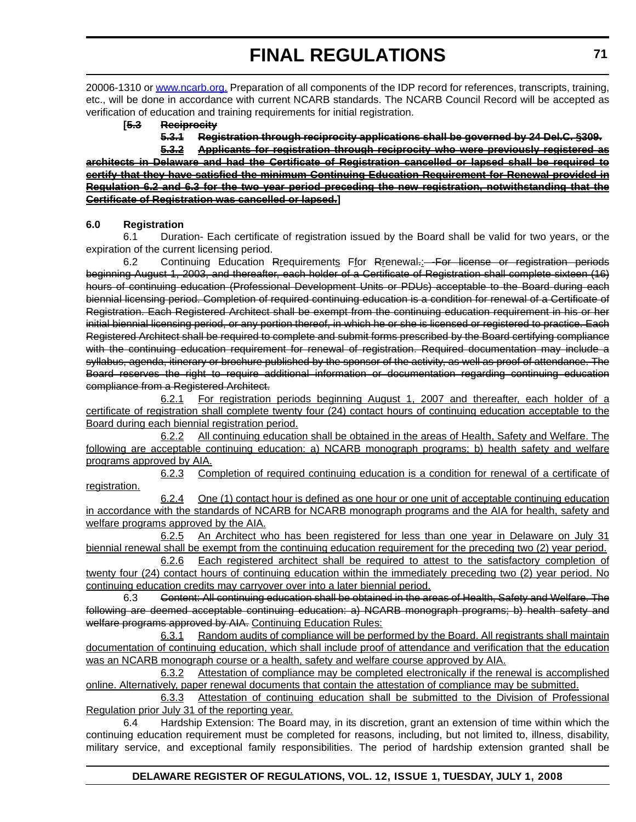20006-1310 or www.ncarb.org. Preparation of all components of the IDP record for references, transcripts, training, etc., will be done in accordance with current NCARB standards. The NCARB Council Record will be accepted as verification of education and training requirements for initial registration.

#### **[5.3 Reciprocity**

**5.3.1 Registration through reciprocity applications shall be governed by 24 Del.C. §309.**

**5.3.2 Applicants for registration through reciprocity who were previously registered as architects in Delaware and had the Certificate of Registration cancelled or lapsed shall be required to certify that they have satisfied the minimum Continuing Education Requirement for Renewal provided in Regulation 6.2 and 6.3 for the two year period preceding the new registration, notwithstanding that the Certificate of Registration was cancelled or lapsed.]**

## **6.0 Registration**

6.1 Duration- Each certificate of registration issued by the Board shall be valid for two years, or the expiration of the current licensing period.

6.2 Continuing Education Rrequirements Fror Rrenewal.: For license or registration periods beginning August 1, 2003, and thereafter, each holder of a Certificate of Registration shall complete sixteen (16) hours of continuing education (Professional Development Units or PDUs) acceptable to the Board during each biennial licensing period. Completion of required continuing education is a condition for renewal of a Certificate of Registration. Each Registered Architect shall be exempt from the continuing education requirement in his or her initial biennial licensing period, or any portion thereof, in which he or she is licensed or registered to practice. Each Registered Architect shall be required to complete and submit forms prescribed by the Board certifying compliance with the continuing education requirement for renewal of registration. Required documentation may include a syllabus, agenda, itinerary or brochure published by the sponsor of the activity, as well as proof of attendance. The Board reserves the right to require additional information or documentation regarding continuing education compliance from a Registered Architect.

6.2.1 For registration periods beginning August 1, 2007 and thereafter, each holder of a certificate of registration shall complete twenty four (24) contact hours of continuing education acceptable to the Board during each biennial registration period.

6.2.2 All continuing education shall be obtained in the areas of Health, Safety and Welfare. The following are acceptable continuing education: a) NCARB monograph programs; b) health safety and welfare programs approved by AIA.

6.2.3 Completion of required continuing education is a condition for renewal of a certificate of registration.

6.2.4 One (1) contact hour is defined as one hour or one unit of acceptable continuing education in accordance with the standards of NCARB for NCARB monograph programs and the AIA for health, safety and welfare programs approved by the AIA.

6.2.5 An Architect who has been registered for less than one year in Delaware on July 31 biennial renewal shall be exempt from the continuing education requirement for the preceding two (2) year period.

6.2.6 Each registered architect shall be required to attest to the satisfactory completion of twenty four (24) contact hours of continuing education within the immediately preceding two (2) year period. No continuing education credits may carryover over into a later biennial period.

6.3 Content: All continuing education shall be obtained in the areas of Health, Safety and Welfare. The following are deemed acceptable continuing education: a) NCARB monograph programs; b) health safety and welfare programs approved by AIA. Continuing Education Rules:

6.3.1 Random audits of compliance will be performed by the Board. All registrants shall maintain documentation of continuing education, which shall include proof of attendance and verification that the education was an NCARB monograph course or a health, safety and welfare course approved by AIA.

6.3.2 Attestation of compliance may be completed electronically if the renewal is accomplished online. Alternatively, paper renewal documents that contain the attestation of compliance may be submitted.

6.3.3 Attestation of continuing education shall be submitted to the Division of Professional Regulation prior July 31 of the reporting year.

6.4 Hardship Extension: The Board may, in its discretion, grant an extension of time within which the continuing education requirement must be completed for reasons, including, but not limited to, illness, disability, military service, and exceptional family responsibilities. The period of hardship extension granted shall be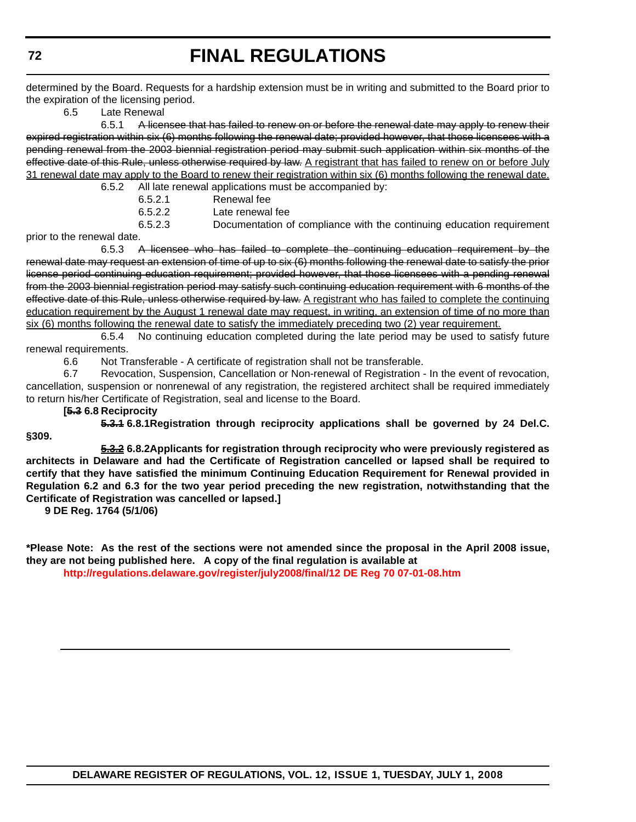determined by the Board. Requests for a hardship extension must be in writing and submitted to the Board prior to the expiration of the licensing period.

6.5 Late Renewal

6.5.1 A licensee that has failed to renew on or before the renewal date may apply to renew their expired registration within six (6) months following the renewal date; provided however, that those licensees with a pending renewal from the 2003 biennial registration period may submit such application within six months of the effective date of this Rule, unless otherwise required by law. A registrant that has failed to renew on or before July 31 renewal date may apply to the Board to renew their registration within six (6) months following the renewal date.

| 6.5.2 |         | All late renewal applications must be accompanied by:                 |
|-------|---------|-----------------------------------------------------------------------|
|       | 6.5.2.1 | Renewal fee                                                           |
|       | 6.5.2.2 | Late renewal fee                                                      |
|       | 6.5.2.3 | Documentation of compliance with the continuing education requirement |

prior to the renewal date.

6.5.3 A licensee who has failed to complete the continuing education requirement by the renewal date may request an extension of time of up to six (6) months following the renewal date to satisfy the prior license period continuing education requirement; provided however, that those licensees with a pending renewal from the 2003 biennial registration period may satisfy such continuing education requirement with 6 months of the effective date of this Rule, unless otherwise required by law. A registrant who has failed to complete the continuing education requirement by the August 1 renewal date may request, in writing, an extension of time of no more than six (6) months following the renewal date to satisfy the immediately preceding two (2) year requirement.

6.5.4 No continuing education completed during the late period may be used to satisfy future renewal requirements.

6.6 Not Transferable - A certificate of registration shall not be transferable.

6.7 Revocation, Suspension, Cancellation or Non-renewal of Registration - In the event of revocation, cancellation, suspension or nonrenewal of any registration, the registered architect shall be required immediately to return his/her Certificate of Registration, seal and license to the Board.

### **[5.3 6.8 Reciprocity**

**§309.**

**5.3.1 6.8.1Registration through reciprocity applications shall be governed by 24 Del.C.** 

**5.3.2 6.8.2Applicants for registration through reciprocity who were previously registered as architects in Delaware and had the Certificate of Registration cancelled or lapsed shall be required to certify that they have satisfied the minimum Continuing Education Requirement for Renewal provided in Regulation 6.2 and 6.3 for the two year period preceding the new registration, notwithstanding that the Certificate of Registration was cancelled or lapsed.]**

**9 DE Reg. 1764 (5/1/06)**

**\*Please Note: As the rest of the sections were not amended since the proposal in the April 2008 issue, they are not being published here. A copy of the final regulation is available at**

**<http://regulations.delaware.gov/register/july2008/final/12 DE Reg 70 07-01-08.htm>**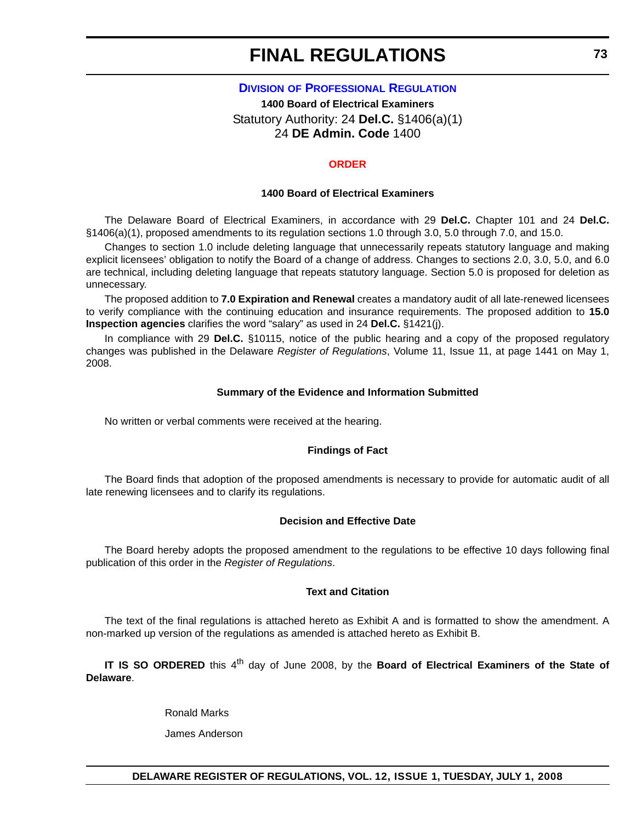#### **DIVISION [OF PROFESSIONAL REGULATION](http://dpr.delaware.gov/default.shtml)**

**1400 Board of Electrical Examiners** Statutory Authority: 24 **Del.C.** §1406(a)(1) 24 **DE Admin. Code** 1400

#### **[ORDER](#page-4-0)**

#### **1400 Board of Electrical Examiners**

The Delaware Board of Electrical Examiners, in accordance with 29 **Del.C.** Chapter 101 and 24 **Del.C.**  §1406(a)(1), proposed amendments to its regulation sections 1.0 through 3.0, 5.0 through 7.0, and 15.0.

Changes to section 1.0 include deleting language that unnecessarily repeats statutory language and making explicit licensees' obligation to notify the Board of a change of address. Changes to sections 2.0, 3.0, 5.0, and 6.0 are technical, including deleting language that repeats statutory language. Section 5.0 is proposed for deletion as unnecessary.

The proposed addition to **7.0 Expiration and Renewal** creates a mandatory audit of all late-renewed licensees to verify compliance with the continuing education and insurance requirements. The proposed addition to **15.0 Inspection agencies** clarifies the word "salary" as used in 24 **Del.C.** §1421(j).

In compliance with 29 **Del.C.** §10115, notice of the public hearing and a copy of the proposed regulatory changes was published in the Delaware *Register of Regulations*, Volume 11, Issue 11, at page 1441 on May 1, 2008.

#### **Summary of the Evidence and Information Submitted**

No written or verbal comments were received at the hearing.

#### **Findings of Fact**

The Board finds that adoption of the proposed amendments is necessary to provide for automatic audit of all late renewing licensees and to clarify its regulations.

#### **Decision and Effective Date**

The Board hereby adopts the proposed amendment to the regulations to be effective 10 days following final publication of this order in the *Register of Regulations*.

#### **Text and Citation**

The text of the final regulations is attached hereto as Exhibit A and is formatted to show the amendment. A non-marked up version of the regulations as amended is attached hereto as Exhibit B.

IT IS SO ORDERED this 4<sup>th</sup> day of June 2008, by the Board of Electrical Examiners of the State of **Delaware**.

Ronald Marks

James Anderson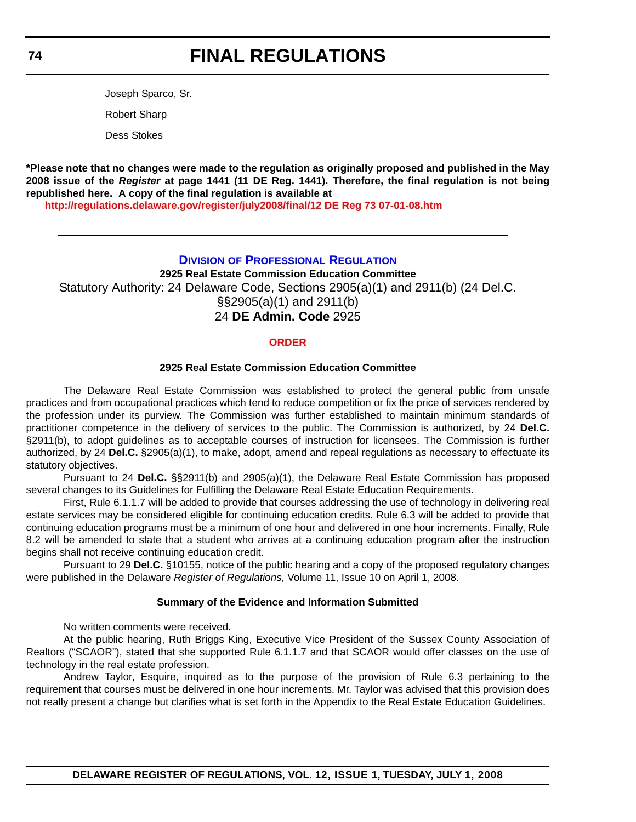#### **74**

# **FINAL REGULATIONS**

Joseph Sparco, Sr.

Robert Sharp

Dess Stokes

**\*Please note that no changes were made to the regulation as originally proposed and published in the May 2008 issue of the** *Register* **at page 1441 (11 DE Reg. 1441). Therefore, the final regulation is not being republished here. A copy of the final regulation is available at**

**<http://regulations.delaware.gov/register/july2008/final/12 DE Reg 73 07-01-08.htm>**

### **DIVISION [OF PROFESSIONAL REGULATION](http://dpr.delaware.gov/default.shtml)**

**2925 Real Estate Commission Education Committee** Statutory Authority: 24 Delaware Code, Sections 2905(a)(1) and 2911(b) (24 Del.C. §§2905(a)(1) and 2911(b) 24 **DE Admin. Code** 2925

#### **[ORDER](#page-4-0)**

#### **2925 Real Estate Commission Education Committee**

The Delaware Real Estate Commission was established to protect the general public from unsafe practices and from occupational practices which tend to reduce competition or fix the price of services rendered by the profession under its purview. The Commission was further established to maintain minimum standards of practitioner competence in the delivery of services to the public. The Commission is authorized, by 24 **Del.C.**  §2911(b), to adopt guidelines as to acceptable courses of instruction for licensees. The Commission is further authorized, by 24 **Del.C.** §2905(a)(1), to make, adopt, amend and repeal regulations as necessary to effectuate its statutory objectives.

Pursuant to 24 **Del.C.** §§2911(b) and 2905(a)(1), the Delaware Real Estate Commission has proposed several changes to its Guidelines for Fulfilling the Delaware Real Estate Education Requirements.

First, Rule 6.1.1.7 will be added to provide that courses addressing the use of technology in delivering real estate services may be considered eligible for continuing education credits. Rule 6.3 will be added to provide that continuing education programs must be a minimum of one hour and delivered in one hour increments. Finally, Rule 8.2 will be amended to state that a student who arrives at a continuing education program after the instruction begins shall not receive continuing education credit.

Pursuant to 29 **Del.C.** §10155, notice of the public hearing and a copy of the proposed regulatory changes were published in the Delaware *Register of Regulations,* Volume 11, Issue 10 on April 1, 2008.

#### **Summary of the Evidence and Information Submitted**

No written comments were received.

At the public hearing, Ruth Briggs King, Executive Vice President of the Sussex County Association of Realtors ("SCAOR"), stated that she supported Rule 6.1.1.7 and that SCAOR would offer classes on the use of technology in the real estate profession.

Andrew Taylor, Esquire, inquired as to the purpose of the provision of Rule 6.3 pertaining to the requirement that courses must be delivered in one hour increments. Mr. Taylor was advised that this provision does not really present a change but clarifies what is set forth in the Appendix to the Real Estate Education Guidelines.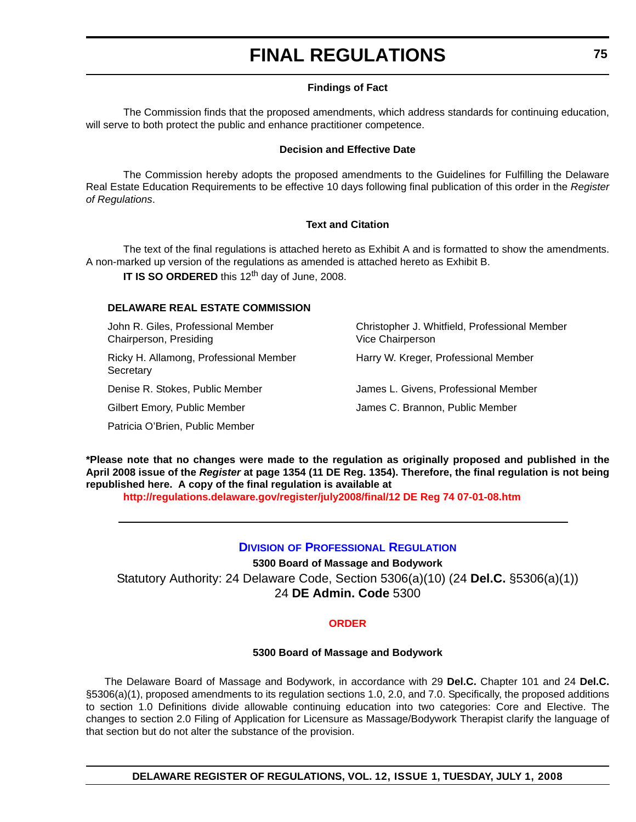#### **Findings of Fact**

The Commission finds that the proposed amendments, which address standards for continuing education, will serve to both protect the public and enhance practitioner competence.

#### **Decision and Effective Date**

The Commission hereby adopts the proposed amendments to the Guidelines for Fulfilling the Delaware Real Estate Education Requirements to be effective 10 days following final publication of this order in the *Register of Regulations*.

#### **Text and Citation**

The text of the final regulations is attached hereto as Exhibit A and is formatted to show the amendments. A non-marked up version of the regulations as amended is attached hereto as Exhibit B.

**IT IS SO ORDERED** this 12<sup>th</sup> day of June, 2008.

#### **DELAWARE REAL ESTATE COMMISSION**

| John R. Giles, Professional Member<br>Chairperson, Presiding | Christopher J. Whitfield, Professional Member<br>Vice Chairperson |
|--------------------------------------------------------------|-------------------------------------------------------------------|
| Ricky H. Allamong, Professional Member<br>Secretary          | Harry W. Kreger, Professional Member                              |
| Denise R. Stokes, Public Member                              | James L. Givens, Professional Member                              |
| Gilbert Emory, Public Member                                 | James C. Brannon, Public Member                                   |
| Patricia O'Brien, Public Member                              |                                                                   |

**\*Please note that no changes were made to the regulation as originally proposed and published in the April 2008 issue of the** *Register* **at page 1354 (11 DE Reg. 1354). Therefore, the final regulation is not being republished here. A copy of the final regulation is available at**

**<http://regulations.delaware.gov/register/july2008/final/12 DE Reg 74 07-01-08.htm>**

### **DIVISION [OF PROFESSIONAL REGULATION](http://dpr.delaware.gov/default.shtml)**

**5300 Board of Massage and Bodywork** Statutory Authority: 24 Delaware Code, Section 5306(a)(10) (24 **Del.C.** §5306(a)(1)) 24 **DE Admin. Code** 5300

#### **[ORDER](#page-4-0)**

#### **5300 Board of Massage and Bodywork**

The Delaware Board of Massage and Bodywork, in accordance with 29 **Del.C.** Chapter 101 and 24 **Del.C.** §5306(a)(1), proposed amendments to its regulation sections 1.0, 2.0, and 7.0. Specifically, the proposed additions to section 1.0 Definitions divide allowable continuing education into two categories: Core and Elective. The changes to section 2.0 Filing of Application for Licensure as Massage/Bodywork Therapist clarify the language of that section but do not alter the substance of the provision.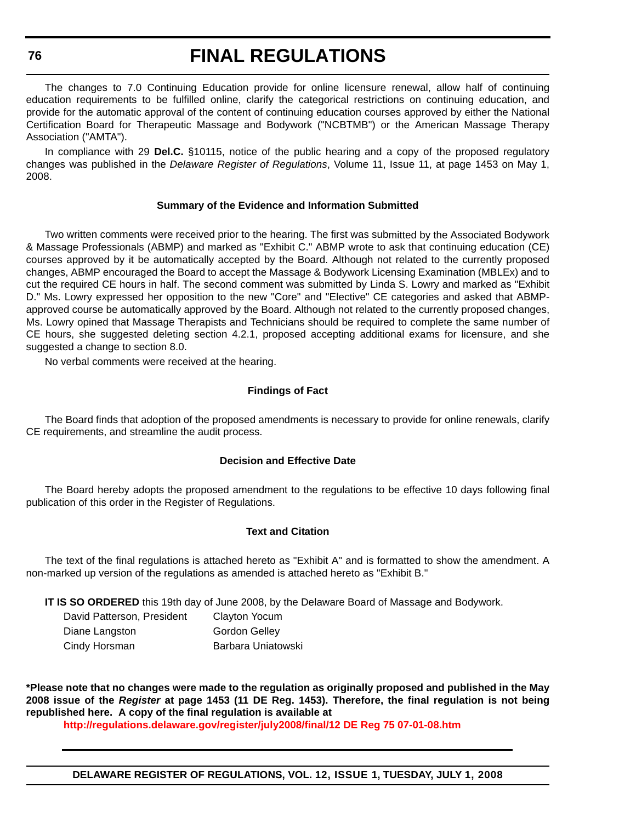**76**

# **FINAL REGULATIONS**

The changes to 7.0 Continuing Education provide for online licensure renewal, allow half of continuing education requirements to be fulfilled online, clarify the categorical restrictions on continuing education, and provide for the automatic approval of the content of continuing education courses approved by either the National Certification Board for Therapeutic Massage and Bodywork ("NCBTMB") or the American Massage Therapy Association ("AMTA").

In compliance with 29 **Del.C.** §10115, notice of the public hearing and a copy of the proposed regulatory changes was published in the *Delaware Register of Regulations*, Volume 11, Issue 11, at page 1453 on May 1, 2008.

#### **Summary of the Evidence and Information Submitted**

Two written comments were received prior to the hearing. The first was submitted by the Associated Bodywork & Massage Professionals (ABMP) and marked as "Exhibit C." ABMP wrote to ask that continuing education (CE) courses approved by it be automatically accepted by the Board. Although not related to the currently proposed changes, ABMP encouraged the Board to accept the Massage & Bodywork Licensing Examination (MBLEx) and to cut the required CE hours in half. The second comment was submitted by Linda S. Lowry and marked as "Exhibit D." Ms. Lowry expressed her opposition to the new "Core" and "Elective" CE categories and asked that ABMPapproved course be automatically approved by the Board. Although not related to the currently proposed changes, Ms. Lowry opined that Massage Therapists and Technicians should be required to complete the same number of CE hours, she suggested deleting section 4.2.1, proposed accepting additional exams for licensure, and she suggested a change to section 8.0.

No verbal comments were received at the hearing.

#### **Findings of Fact**

The Board finds that adoption of the proposed amendments is necessary to provide for online renewals, clarify CE requirements, and streamline the audit process.

#### **Decision and Effective Date**

The Board hereby adopts the proposed amendment to the regulations to be effective 10 days following final publication of this order in the Register of Regulations.

#### **Text and Citation**

The text of the final regulations is attached hereto as "Exhibit A" and is formatted to show the amendment. A non-marked up version of the regulations as amended is attached hereto as "Exhibit B."

**IT IS SO ORDERED** this 19th day of June 2008, by the Delaware Board of Massage and Bodywork.

| David Patterson, President | <b>Clayton Yocum</b> |
|----------------------------|----------------------|
| Diane Langston             | Gordon Gelley        |
| Cindy Horsman              | Barbara Uniatowski   |

**\*Please note that no changes were made to the regulation as originally proposed and published in the May 2008 issue of the** *Register* **at page 1453 (11 DE Reg. 1453). Therefore, the final regulation is not being republished here. A copy of the final regulation is available at**

**<http://regulations.delaware.gov/register/july2008/final/12 DE Reg 75 07-01-08.htm>**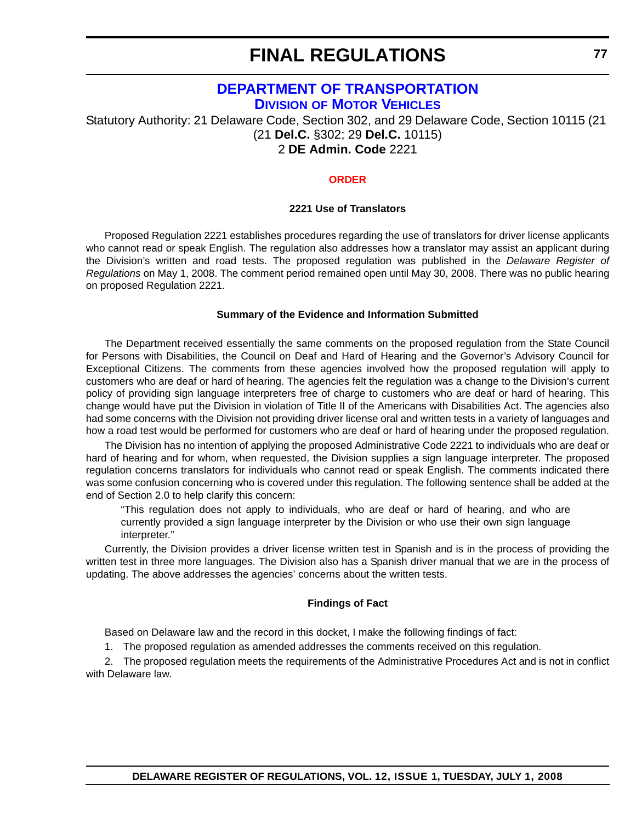# **[DEPARTMENT OF TRANSPORTATION](http://www.dmv.de.gov/) DIVISION [OF MOTOR VEHICLES](http://www.dmv.de.gov/)**

Statutory Authority: 21 Delaware Code, Section 302, and 29 Delaware Code, Section 10115 (21 (21 **Del.C.** §302; 29 **Del.C.** 10115) 2 **DE Admin. Code** 2221

#### **[ORDER](#page-4-0)**

#### **2221 Use of Translators**

Proposed Regulation 2221 establishes procedures regarding the use of translators for driver license applicants who cannot read or speak English. The regulation also addresses how a translator may assist an applicant during the Division's written and road tests. The proposed regulation was published in the *Delaware Register of Regulations* on May 1, 2008. The comment period remained open until May 30, 2008. There was no public hearing on proposed Regulation 2221.

#### **Summary of the Evidence and Information Submitted**

The Department received essentially the same comments on the proposed regulation from the State Council for Persons with Disabilities, the Council on Deaf and Hard of Hearing and the Governor's Advisory Council for Exceptional Citizens. The comments from these agencies involved how the proposed regulation will apply to customers who are deaf or hard of hearing. The agencies felt the regulation was a change to the Division's current policy of providing sign language interpreters free of charge to customers who are deaf or hard of hearing. This change would have put the Division in violation of Title II of the Americans with Disabilities Act. The agencies also had some concerns with the Division not providing driver license oral and written tests in a variety of languages and how a road test would be performed for customers who are deaf or hard of hearing under the proposed regulation.

The Division has no intention of applying the proposed Administrative Code 2221 to individuals who are deaf or hard of hearing and for whom, when requested, the Division supplies a sign language interpreter. The proposed regulation concerns translators for individuals who cannot read or speak English. The comments indicated there was some confusion concerning who is covered under this regulation. The following sentence shall be added at the end of Section 2.0 to help clarify this concern:

"This regulation does not apply to individuals, who are deaf or hard of hearing, and who are currently provided a sign language interpreter by the Division or who use their own sign language interpreter."

Currently, the Division provides a driver license written test in Spanish and is in the process of providing the written test in three more languages. The Division also has a Spanish driver manual that we are in the process of updating. The above addresses the agencies' concerns about the written tests.

#### **Findings of Fact**

Based on Delaware law and the record in this docket, I make the following findings of fact:

1. The proposed regulation as amended addresses the comments received on this regulation.

2. The proposed regulation meets the requirements of the Administrative Procedures Act and is not in conflict with Delaware law.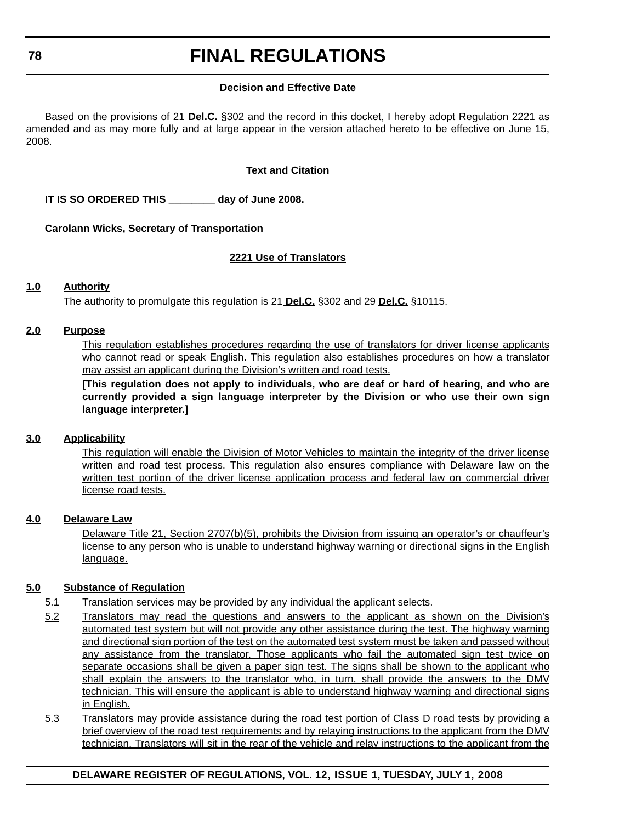#### **Decision and Effective Date**

Based on the provisions of 21 **Del.C.** §302 and the record in this docket, I hereby adopt Regulation 2221 as amended and as may more fully and at large appear in the version attached hereto to be effective on June 15, 2008.

#### **Text and Citation**

**IT IS SO ORDERED THIS \_\_\_\_\_\_\_\_ day of June 2008.**

**Carolann Wicks, Secretary of Transportation**

### **2221 Use of Translators**

#### **1.0 Authority**

The authority to promulgate this regulation is 21 **Del.C.** §302 and 29 **Del.C.** §10115.

#### **2.0 Purpose**

This regulation establishes procedures regarding the use of translators for driver license applicants who cannot read or speak English. This regulation also establishes procedures on how a translator may assist an applicant during the Division's written and road tests.

**[This regulation does not apply to individuals, who are deaf or hard of hearing, and who are currently provided a sign language interpreter by the Division or who use their own sign language interpreter.]**

#### **3.0 Applicability**

This regulation will enable the Division of Motor Vehicles to maintain the integrity of the driver license written and road test process. This regulation also ensures compliance with Delaware law on the written test portion of the driver license application process and federal law on commercial driver license road tests.

### **4.0 Delaware Law**

Delaware Title 21, Section 2707(b)(5), prohibits the Division from issuing an operator's or chauffeur's license to any person who is unable to understand highway warning or directional signs in the English language.

### **5.0 Substance of Regulation**

- 5.1 Translation services may be provided by any individual the applicant selects.
- 5.2 Translators may read the questions and answers to the applicant as shown on the Division's automated test system but will not provide any other assistance during the test. The highway warning and directional sign portion of the test on the automated test system must be taken and passed without any assistance from the translator. Those applicants who fail the automated sign test twice on separate occasions shall be given a paper sign test. The signs shall be shown to the applicant who shall explain the answers to the translator who, in turn, shall provide the answers to the DMV technician. This will ensure the applicant is able to understand highway warning and directional signs in English.
- 5.3 Translators may provide assistance during the road test portion of Class D road tests by providing a brief overview of the road test requirements and by relaying instructions to the applicant from the DMV technician. Translators will sit in the rear of the vehicle and relay instructions to the applicant from the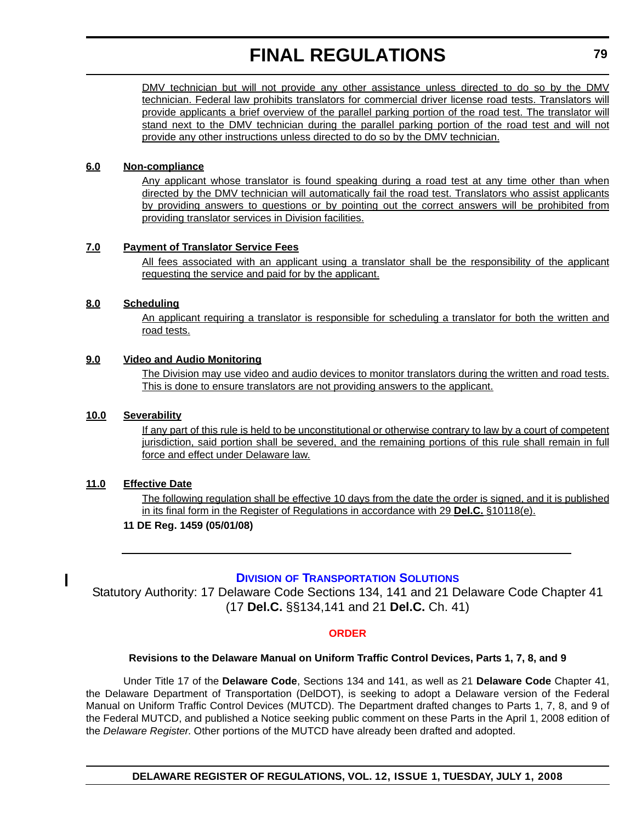DMV technician but will not provide any other assistance unless directed to do so by the DMV technician. Federal law prohibits translators for commercial driver license road tests. Translators will provide applicants a brief overview of the parallel parking portion of the road test. The translator will stand next to the DMV technician during the parallel parking portion of the road test and will not provide any other instructions unless directed to do so by the DMV technician.

#### **6.0 Non-compliance**

Any applicant whose translator is found speaking during a road test at any time other than when directed by the DMV technician will automatically fail the road test. Translators who assist applicants by providing answers to questions or by pointing out the correct answers will be prohibited from providing translator services in Division facilities.

#### **7.0 Payment of Translator Service Fees**

All fees associated with an applicant using a translator shall be the responsibility of the applicant requesting the service and paid for by the applicant.

#### **8.0 Scheduling**

An applicant requiring a translator is responsible for scheduling a translator for both the written and road tests.

#### **9.0 Video and Audio Monitoring**

The Division may use video and audio devices to monitor translators during the written and road tests. This is done to ensure translators are not providing answers to the applicant.

#### **10.0 Severability**

If any part of this rule is held to be unconstitutional or otherwise contrary to law by a court of competent jurisdiction, said portion shall be severed, and the remaining portions of this rule shall remain in full force and effect under Delaware law.

#### **11.0 Effective Date**

The following regulation shall be effective 10 days from the date the order is signed, and it is published in its final form in the Register of Regulations in accordance with 29 **Del.C.** §10118(e).

#### **11 DE Reg. 1459 (05/01/08)**

#### **DIVISION [OF TRANSPORTATION SOLUTIONS](http://www.deldot.gov/home/divisions/)**

Statutory Authority: 17 Delaware Code Sections 134, 141 and 21 Delaware Code Chapter 41 (17 **Del.C.** §§134,141 and 21 **Del.C.** Ch. 41)

#### **[ORDER](#page-4-0)**

#### **Revisions to the Delaware Manual on Uniform Traffic Control Devices, Parts 1, 7, 8, and 9**

Under Title 17 of the **Delaware Code**, Sections 134 and 141, as well as 21 **Delaware Code** Chapter 41, the Delaware Department of Transportation (DelDOT), is seeking to adopt a Delaware version of the Federal Manual on Uniform Traffic Control Devices (MUTCD). The Department drafted changes to Parts 1, 7, 8, and 9 of the Federal MUTCD, and published a Notice seeking public comment on these Parts in the April 1, 2008 edition of the *Delaware Register*. Other portions of the MUTCD have already been drafted and adopted.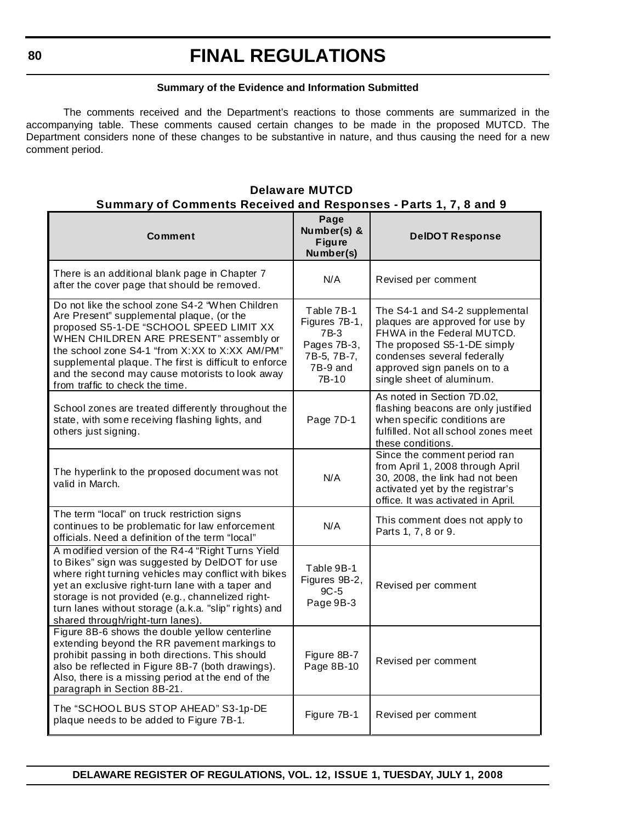#### **Summary of the Evidence and Information Submitted**

The comments received and the Department's reactions to those comments are summarized in the accompanying table. These comments caused certain changes to be made in the proposed MUTCD. The Department considers none of these changes to be substantive in nature, and thus causing the need for a new comment period.

### **Delaware MUTCD Summary of Comments Received and Responses - Parts 1, 7, 8 and 9**

| Comment                                                                                                                                                                                                                                                                                                                                                                              | Page<br>Number(s) &<br><b>Figure</b><br>Number(s)                                        | <b>DeIDOT Response</b>                                                                                                                                                                                                     |  |
|--------------------------------------------------------------------------------------------------------------------------------------------------------------------------------------------------------------------------------------------------------------------------------------------------------------------------------------------------------------------------------------|------------------------------------------------------------------------------------------|----------------------------------------------------------------------------------------------------------------------------------------------------------------------------------------------------------------------------|--|
| There is an additional blank page in Chapter 7<br>after the cover page that should be removed.                                                                                                                                                                                                                                                                                       | N/A                                                                                      | Revised per comment                                                                                                                                                                                                        |  |
| Do not like the school zone S4-2 "When Children"<br>Are Present" supplemental plaque, (or the<br>proposed S5-1-DE "SCHOOL SPEED LIMIT XX<br>WHEN CHILDREN ARE PRESENT" assembly or<br>the school zone S4-1 "from X:XX to X:XX AM/PM"<br>supplemental plaque. The first is difficult to enforce<br>and the second may cause motorists to look away<br>from traffic to check the time. | Table 7B-1<br>Figures 7B-1,<br>$7B-3$<br>Pages 7B-3,<br>7B-5, 7B-7,<br>7B-9 and<br>7B-10 | The S4-1 and S4-2 supplemental<br>plaques are approved for use by<br>FHWA in the Federal MUTCD.<br>The proposed S5-1-DE simply<br>condenses several federally<br>approved sign panels on to a<br>single sheet of aluminum. |  |
| School zones are treated differently throughout the<br>state, with some receiving flashing lights, and<br>others just signing.                                                                                                                                                                                                                                                       | Page 7D-1                                                                                | As noted in Section 7D.02,<br>flashing beacons are only justified<br>when specific conditions are<br>fulfilled. Not all school zones meet<br>these conditions.                                                             |  |
| The hyperlink to the proposed document was not<br>valid in March.                                                                                                                                                                                                                                                                                                                    | N/A                                                                                      | Since the comment period ran<br>from April 1, 2008 through April<br>30, 2008, the link had not been<br>activated yet by the registrar's<br>office. It was activated in April.                                              |  |
| The term "local" on truck restriction signs<br>continues to be problematic for law enforcement<br>officials. Need a definition of the term "local"                                                                                                                                                                                                                                   | N/A                                                                                      | This comment does not apply to<br>Parts 1, 7, 8 or 9.                                                                                                                                                                      |  |
| A modified version of the R4-4 "Right Turns Yield<br>to Bikes" sign was suggested by DelDOT for use<br>where right turning vehicles may conflict with bikes<br>yet an exclusive right-turn lane with a taper and<br>storage is not provided (e.g., channelized right-<br>turn lanes without storage (a.k.a. "slip" rights) and<br>shared through/right-turn lanes).                  | Table 9B-1<br>Figures 9B-2,<br>$9C-5$<br>Page 9B-3                                       | Revised per comment                                                                                                                                                                                                        |  |
| Figure 8B-6 shows the double yellow centerline<br>extending beyond the RR pavement markings to<br>prohibit passing in both directions. This should<br>also be reflected in Figure 8B-7 (both drawings).<br>Also, there is a missing period at the end of the<br>paragraph in Section 8B-21.                                                                                          | Figure 8B-7<br>Page 8B-10                                                                | Revised per comment                                                                                                                                                                                                        |  |
| The "SCHOOL BUS STOP AHEAD" S3-1p-DE<br>plaque needs to be added to Figure 7B-1.                                                                                                                                                                                                                                                                                                     | Figure 7B-1                                                                              | Revised per comment                                                                                                                                                                                                        |  |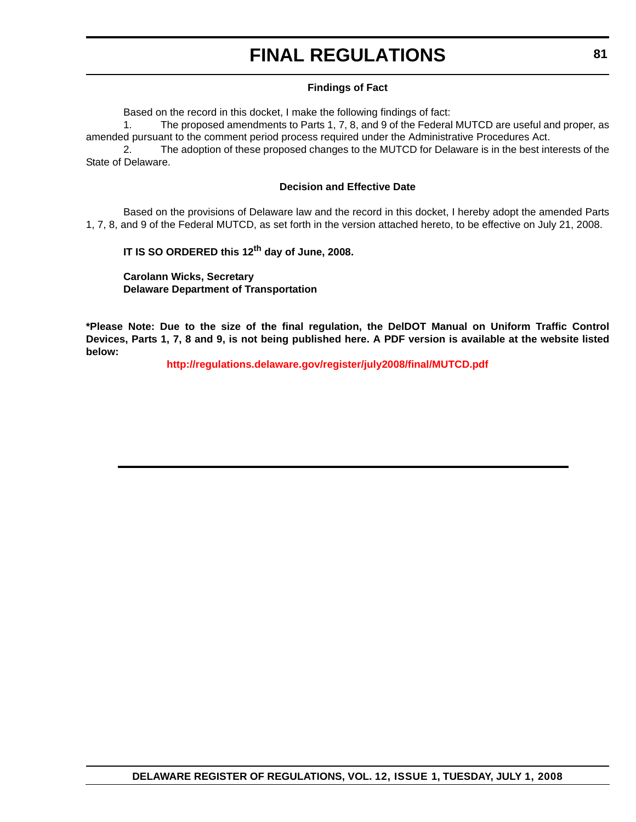#### **Findings of Fact**

Based on the record in this docket, I make the following findings of fact:

1. The proposed amendments to Parts 1, 7, 8, and 9 of the Federal MUTCD are useful and proper, as amended pursuant to the comment period process required under the Administrative Procedures Act.

2. The adoption of these proposed changes to the MUTCD for Delaware is in the best interests of the State of Delaware.

#### **Decision and Effective Date**

Based on the provisions of Delaware law and the record in this docket, I hereby adopt the amended Parts 1, 7, 8, and 9 of the Federal MUTCD, as set forth in the version attached hereto, to be effective on July 21, 2008.

**IT IS SO ORDERED this 12th day of June, 2008.**

**Carolann Wicks, Secretary Delaware Department of Transportation**

**\*Please Note: Due to the size of the final regulation, the DelDOT Manual on Uniform Traffic Control Devices, Parts 1, 7, 8 and 9, is not being published here. A PDF version is available at the website listed below:**

**<http://regulations.delaware.gov/register/july2008/final/MUTCD.pdf>**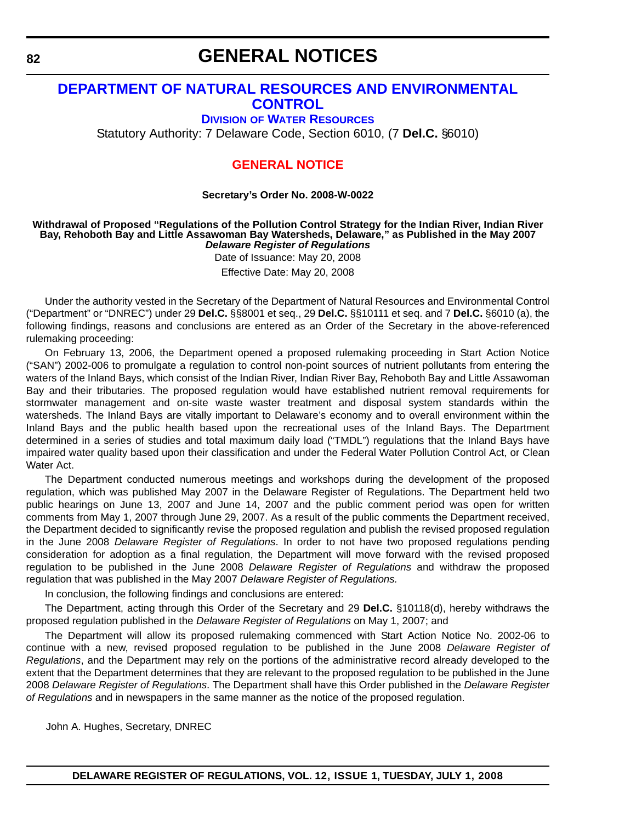# **GENERAL NOTICES**

## **[DEPARTMENT OF NATURAL RESOURCES AND ENVIRONMENTAL](http://www.dnrec.delaware.gov/Pages/default.aspx)  CONTROL**

**DIVISION [OF WATER RESOURCES](http://www.dnrec.state.de.us/water2000/index.asp)**

Statutory Authority: 7 Delaware Code, Section 6010, (7 **Del.C.** §6010)

## **[GENERAL NOTICE](#page-4-0)**

#### **Secretary's Order No. 2008-W-0022**

#### **Withdrawal of Proposed "Regulations of the Pollution Control Strategy for the Indian River, Indian River Bay, Rehoboth Bay and Little Assawoman Bay Watersheds, Delaware," as Published in the May 2007**  *Delaware Register of Regulations*

Date of Issuance: May 20, 2008 Effective Date: May 20, 2008

Under the authority vested in the Secretary of the Department of Natural Resources and Environmental Control ("Department" or "DNREC") under 29 **Del.C.** §§8001 et seq., 29 **Del.C.** §§10111 et seq. and 7 **Del.C.** §6010 (a), the following findings, reasons and conclusions are entered as an Order of the Secretary in the above-referenced rulemaking proceeding:

On February 13, 2006, the Department opened a proposed rulemaking proceeding in Start Action Notice ("SAN") 2002-006 to promulgate a regulation to control non-point sources of nutrient pollutants from entering the waters of the Inland Bays, which consist of the Indian River, Indian River Bay, Rehoboth Bay and Little Assawoman Bay and their tributaries. The proposed regulation would have established nutrient removal requirements for stormwater management and on-site waste waster treatment and disposal system standards within the watersheds. The Inland Bays are vitally important to Delaware's economy and to overall environment within the Inland Bays and the public health based upon the recreational uses of the Inland Bays. The Department determined in a series of studies and total maximum daily load ("TMDL") regulations that the Inland Bays have impaired water quality based upon their classification and under the Federal Water Pollution Control Act, or Clean Water Act.

The Department conducted numerous meetings and workshops during the development of the proposed regulation, which was published May 2007 in the Delaware Register of Regulations. The Department held two public hearings on June 13, 2007 and June 14, 2007 and the public comment period was open for written comments from May 1, 2007 through June 29, 2007. As a result of the public comments the Department received, the Department decided to significantly revise the proposed regulation and publish the revised proposed regulation in the June 2008 *Delaware Register of Regulations*. In order to not have two proposed regulations pending consideration for adoption as a final regulation, the Department will move forward with the revised proposed regulation to be published in the June 2008 *Delaware Register of Regulations* and withdraw the proposed regulation that was published in the May 2007 *Delaware Register of Regulations.* 

In conclusion, the following findings and conclusions are entered:

The Department, acting through this Order of the Secretary and 29 **Del.C.** §10118(d), hereby withdraws the proposed regulation published in the *Delaware Register of Regulations* on May 1, 2007; and

The Department will allow its proposed rulemaking commenced with Start Action Notice No. 2002-06 to continue with a new, revised proposed regulation to be published in the June 2008 *Delaware Register of Regulations*, and the Department may rely on the portions of the administrative record already developed to the extent that the Department determines that they are relevant to the proposed regulation to be published in the June 2008 *Delaware Register of Regulations*. The Department shall have this Order published in the *Delaware Register of Regulations* and in newspapers in the same manner as the notice of the proposed regulation.

John A. Hughes, Secretary, DNREC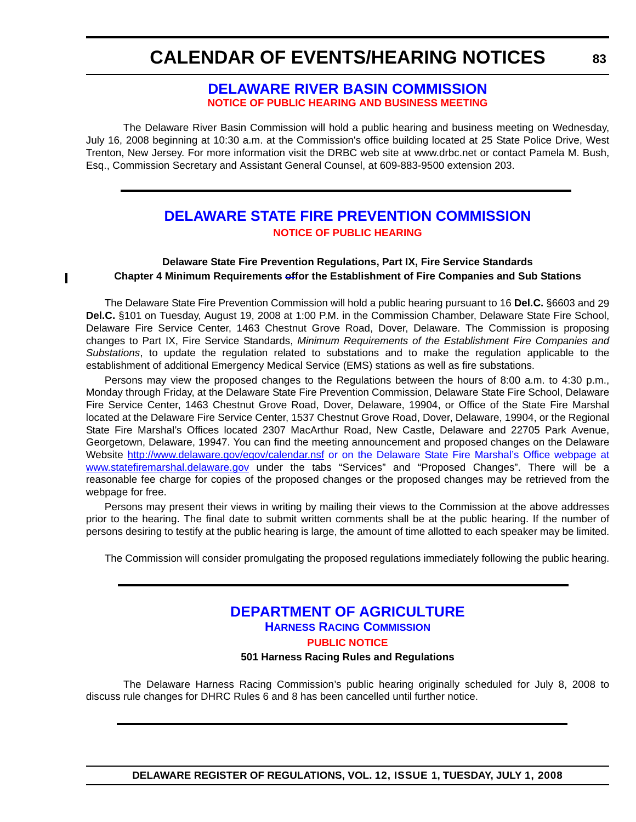### **[DELAWARE RIVER BASIN COMMISSION](http://www.nj.gov/drbc/) [NOTICE OF PUBLIC HEARING AND BUSINESS MEETING](#page-4-0)**

The Delaware River Basin Commission will hold a public hearing and business meeting on Wednesday, July 16, 2008 beginning at 10:30 a.m. at the Commission's office building located at 25 State Police Drive, West Trenton, New Jersey. For more information visit the DRBC web site at www.drbc.net or contact Pamela M. Bush, Esq., Commission Secretary and Assistant General Counsel, at 609-883-9500 extension 203.

# **[DELAWARE STATE FIRE PREVENTION COMMISSION](http://statefirecommission.delaware.gov/) [NOTICE OF PUBLIC HEARING](#page-4-0)**

#### **Delaware State Fire Prevention Regulations, Part IX, Fire Service Standards Chapter 4 Minimum Requirements offor the Establishment of Fire Companies and Sub Stations**

The Delaware State Fire Prevention Commission will hold a public hearing pursuant to 16 **Del.C.** §6603 and 29 **Del.C.** §101 on Tuesday, August 19, 2008 at 1:00 P.M. in the Commission Chamber, Delaware State Fire School, Delaware Fire Service Center, 1463 Chestnut Grove Road, Dover, Delaware. The Commission is proposing changes to Part IX, Fire Service Standards, *Minimum Requirements of the Establishment Fire Companies and Substations*, to update the regulation related to substations and to make the regulation applicable to the establishment of additional Emergency Medical Service (EMS) stations as well as fire substations.

Persons may view the proposed changes to the Regulations between the hours of 8:00 a.m. to 4:30 p.m., Monday through Friday, at the Delaware State Fire Prevention Commission, Delaware State Fire School, Delaware Fire Service Center, 1463 Chestnut Grove Road, Dover, Delaware, 19904, or Office of the State Fire Marshal located at the Delaware Fire Service Center, 1537 Chestnut Grove Road, Dover, Delaware, 19904, or the Regional State Fire Marshal's Offices located 2307 MacArthur Road, New Castle, Delaware and 22705 Park Avenue, Georgetown, Delaware, 19947. You can find the meeting announcement and proposed changes on the Delaware Website http://www.delaware.gov/egov/calendar.nsf or on the Delaware State Fire Marshal's Office webpage at www.statefiremarshal.delaware.gov under the tabs "Services" and "Proposed Changes". There will be a reasonable fee charge for copies of the proposed changes or the proposed changes may be retrieved from the webpage for free.

Persons may present their views in writing by mailing their views to the Commission at the above addresses prior to the hearing. The final date to submit written comments shall be at the public hearing. If the number of persons desiring to testify at the public hearing is large, the amount of time allotted to each speaker may be limited.

The Commission will consider promulgating the proposed regulations immediately following the public hearing.

### **[DEPARTMENT OF AGRICULTURE](http://dda.delaware.gov/default.shtml) [HARNESS RACING COMMISSION](http://dda.delaware.gov/harness/index.shtml) [PUBLIC NOTICE](#page-4-0)**

**501 Harness Racing Rules and Regulations**

The Delaware Harness Racing Commission's public hearing originally scheduled for July 8, 2008 to discuss rule changes for DHRC Rules 6 and 8 has been cancelled until further notice.

**DELAWARE REGISTER OF REGULATIONS, VOL. 12, ISSUE 1, TUESDAY, JULY 1, 2008**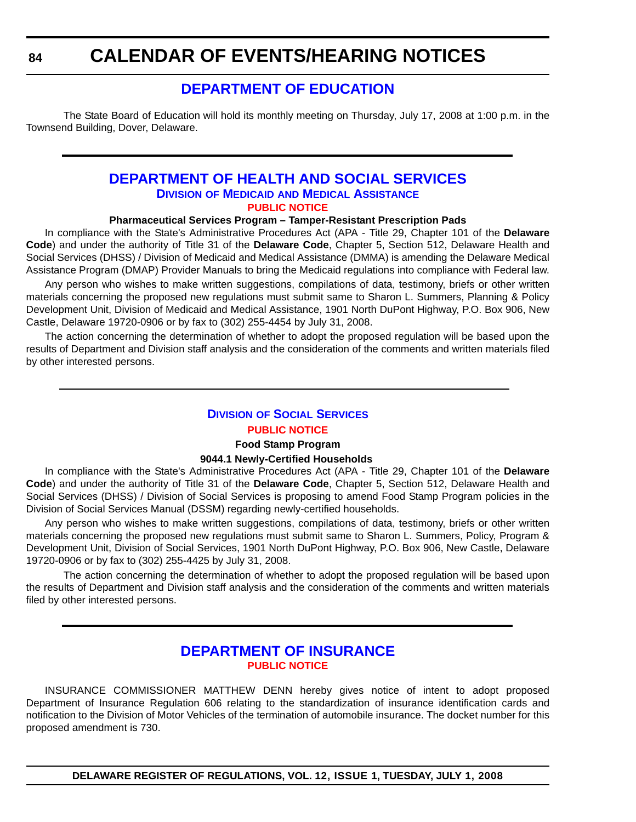# **[DEPARTMENT OF EDUCATION](http://www.doe.k12.de.us/)**

The State Board of Education will hold its monthly meeting on Thursday, July 17, 2008 at 1:00 p.m. in the Townsend Building, Dover, Delaware.

# **[DEPARTMENT OF HEALTH AND SOCIAL SERVICES](http://www.dhss.delaware.gov/dhss/index.html) DIVISION OF MEDICAID [AND MEDICAL ASSISTANCE](http://www.dhss.delaware.gov/dhss/dmma/) [PUBLIC NOTICE](#page-4-0)**

### **Pharmaceutical Services Program – Tamper-Resistant Prescription Pads**

In compliance with the State's Administrative Procedures Act (APA - Title 29, Chapter 101 of the **Delaware Code**) and under the authority of Title 31 of the **Delaware Code**, Chapter 5, Section 512, Delaware Health and Social Services (DHSS) / Division of Medicaid and Medical Assistance (DMMA) is amending the Delaware Medical Assistance Program (DMAP) Provider Manuals to bring the Medicaid regulations into compliance with Federal law.

Any person who wishes to make written suggestions, compilations of data, testimony, briefs or other written materials concerning the proposed new regulations must submit same to Sharon L. Summers, Planning & Policy Development Unit, Division of Medicaid and Medical Assistance, 1901 North DuPont Highway, P.O. Box 906, New Castle, Delaware 19720-0906 or by fax to (302) 255-4454 by July 31, 2008.

The action concerning the determination of whether to adopt the proposed regulation will be based upon the results of Department and Division staff analysis and the consideration of the comments and written materials filed by other interested persons.

# **DIVISION [OF SOCIAL SERVICES](http://www.dhss.delaware.gov/dhss/dmma/)**

### **[PUBLIC NOTICE](#page-4-0)**

# **Food Stamp Program**

### **9044.1 Newly-Certified Households**

In compliance with the State's Administrative Procedures Act (APA - Title 29, Chapter 101 of the **Delaware Code**) and under the authority of Title 31 of the **Delaware Code**, Chapter 5, Section 512, Delaware Health and Social Services (DHSS) / Division of Social Services is proposing to amend Food Stamp Program policies in the Division of Social Services Manual (DSSM) regarding newly-certified households.

Any person who wishes to make written suggestions, compilations of data, testimony, briefs or other written materials concerning the proposed new regulations must submit same to Sharon L. Summers, Policy, Program & Development Unit, Division of Social Services, 1901 North DuPont Highway, P.O. Box 906, New Castle, Delaware 19720-0906 or by fax to (302) 255-4425 by July 31, 2008.

The action concerning the determination of whether to adopt the proposed regulation will be based upon the results of Department and Division staff analysis and the consideration of the comments and written materials filed by other interested persons.

# **[DEPARTMENT OF INSURANCE](http://www.delawareinsurance.gov/) [PUBLIC NOTICE](#page-4-0)**

INSURANCE COMMISSIONER MATTHEW DENN hereby gives notice of intent to adopt proposed Department of Insurance Regulation 606 relating to the standardization of insurance identification cards and notification to the Division of Motor Vehicles of the termination of automobile insurance. The docket number for this proposed amendment is 730.

**DELAWARE REGISTER OF REGULATIONS, VOL. 12, ISSUE 1, TUESDAY, JULY 1, 2008**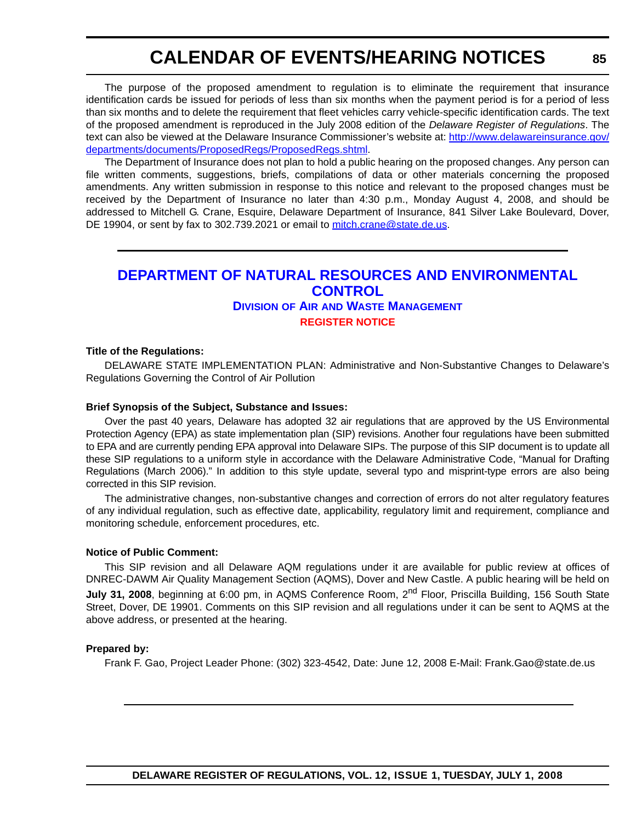The purpose of the proposed amendment to regulation is to eliminate the requirement that insurance identification cards be issued for periods of less than six months when the payment period is for a period of less than six months and to delete the requirement that fleet vehicles carry vehicle-specific identification cards. The text of the proposed amendment is reproduced in the July 2008 edition of the *Delaware Register of Regulations*. The text can also be viewed at the Delaware Insurance Commissioner's website at: [http://www.delawareinsurance.gov/](http://www.delawareinsurance.gov/departments/documents/ProposedRegs/ProposedRegs.shtml) [departments/documents/ProposedRegs/ProposedRegs.shtml](http://www.delawareinsurance.gov/departments/documents/ProposedRegs/ProposedRegs.shtml).

The Department of Insurance does not plan to hold a public hearing on the proposed changes. Any person can file written comments, suggestions, briefs, compilations of data or other materials concerning the proposed amendments. Any written submission in response to this notice and relevant to the proposed changes must be received by the Department of Insurance no later than 4:30 p.m., Monday August 4, 2008, and should be addressed to Mitchell G. Crane, Esquire, Delaware Department of Insurance, 841 Silver Lake Boulevard, Dover, DE 19904, or sent by fax to 302.739.2021 or email to [mitch.crane@state.de.us.](mailto:mitch.crane@state.de.us)

## **[DEPARTMENT OF NATURAL RESOURCES AND ENVIRONMENTAL](http://www.awm.delaware.gov/)  CONTROL**

### **DIVISION OF AIR [AND WASTE MANAGEMENT](http://www.awm.delaware.gov/) [REGISTER NOTICE](#page-4-0)**

#### **Title of the Regulations:**

DELAWARE STATE IMPLEMENTATION PLAN: Administrative and Non-Substantive Changes to Delaware's Regulations Governing the Control of Air Pollution

#### **Brief Synopsis of the Subject, Substance and Issues:**

Over the past 40 years, Delaware has adopted 32 air regulations that are approved by the US Environmental Protection Agency (EPA) as state implementation plan (SIP) revisions. Another four regulations have been submitted to EPA and are currently pending EPA approval into Delaware SIPs. The purpose of this SIP document is to update all these SIP regulations to a uniform style in accordance with the Delaware Administrative Code, "Manual for Drafting Regulations (March 2006)." In addition to this style update, several typo and misprint-type errors are also being corrected in this SIP revision.

The administrative changes, non-substantive changes and correction of errors do not alter regulatory features of any individual regulation, such as effective date, applicability, regulatory limit and requirement, compliance and monitoring schedule, enforcement procedures, etc.

#### **Notice of Public Comment:**

This SIP revision and all Delaware AQM regulations under it are available for public review at offices of DNREC-DAWM Air Quality Management Section (AQMS), Dover and New Castle. A public hearing will be held on **July 31, 2008**, beginning at 6:00 pm, in AQMS Conference Room, 2<sup>nd</sup> Floor, Priscilla Building, 156 South State Street, Dover, DE 19901. Comments on this SIP revision and all regulations under it can be sent to AQMS at the above address, or presented at the hearing.

#### **Prepared by:**

Frank F. Gao, Project Leader Phone: (302) 323-4542, Date: June 12, 2008 E-Mail: Frank.Gao@state.de.us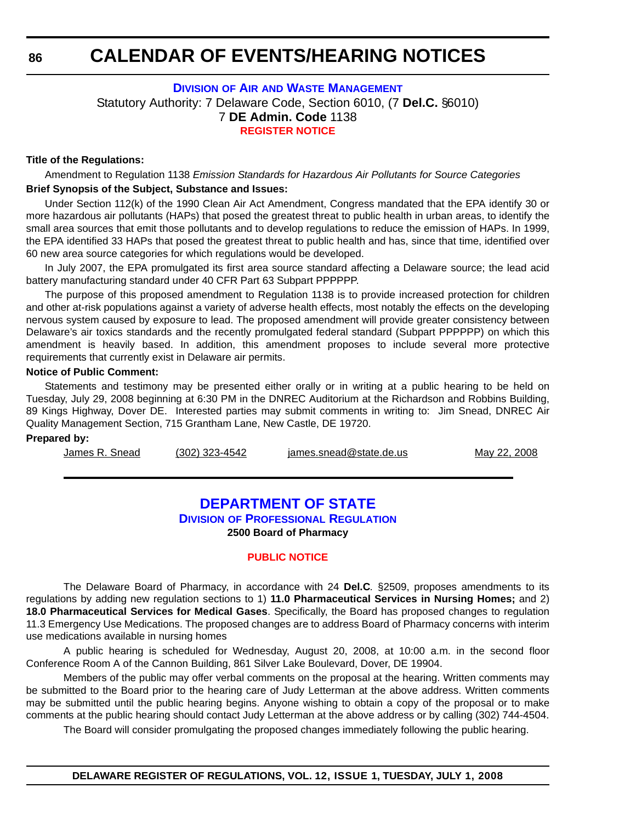### **DIVISION OF AIR [AND WASTE MANAGEMENT](http://www.awm.delaware.gov/Pages/default.aspx)** Statutory Authority: 7 Delaware Code, Section 6010, (7 **Del.C.** §6010) 7 **DE Admin. Code** 1138 **[REGISTER NOTICE](#page-4-0)**

#### **Title of the Regulations:**

Amendment to Regulation 1138 *Emission Standards for Hazardous Air Pollutants for Source Categories* **Brief Synopsis of the Subject, Substance and Issues:**

Under Section 112(k) of the 1990 Clean Air Act Amendment, Congress mandated that the EPA identify 30 or more hazardous air pollutants (HAPs) that posed the greatest threat to public health in urban areas, to identify the small area sources that emit those pollutants and to develop regulations to reduce the emission of HAPs. In 1999, the EPA identified 33 HAPs that posed the greatest threat to public health and has, since that time, identified over 60 new area source categories for which regulations would be developed.

In July 2007, the EPA promulgated its first area source standard affecting a Delaware source; the lead acid battery manufacturing standard under 40 CFR Part 63 Subpart PPPPPP.

The purpose of this proposed amendment to Regulation 1138 is to provide increased protection for children and other at-risk populations against a variety of adverse health effects, most notably the effects on the developing nervous system caused by exposure to lead. The proposed amendment will provide greater consistency between Delaware's air toxics standards and the recently promulgated federal standard (Subpart PPPPPP) on which this amendment is heavily based. In addition, this amendment proposes to include several more protective requirements that currently exist in Delaware air permits.

#### **Notice of Public Comment:**

Statements and testimony may be presented either orally or in writing at a public hearing to be held on Tuesday, July 29, 2008 beginning at 6:30 PM in the DNREC Auditorium at the Richardson and Robbins Building, 89 Kings Highway, Dover DE. Interested parties may submit comments in writing to: Jim Snead, DNREC Air Quality Management Section, 715 Grantham Lane, New Castle, DE 19720.

#### **Prepared by:**

| James R. Snead | (302) 323-4542 | iames.snead@state.de.us | May 22, 2008 |
|----------------|----------------|-------------------------|--------------|
|----------------|----------------|-------------------------|--------------|

### **[DEPARTMENT OF STATE](http://sos.delaware.gov/default.shtml) DIVISION [OF PROFESSIONAL REGULATION](http://dpr.delaware.gov/default.shtml) 2500 Board of Pharmacy**

#### **[PUBLIC NOTICE](#page-4-0)**

The Delaware Board of Pharmacy, in accordance with 24 **Del.C***.* §2509, proposes amendments to its regulations by adding new regulation sections to 1) **11.0 Pharmaceutical Services in Nursing Homes;** and 2) **18.0 Pharmaceutical Services for Medical Gases**. Specifically, the Board has proposed changes to regulation 11.3 Emergency Use Medications. The proposed changes are to address Board of Pharmacy concerns with interim use medications available in nursing homes

A public hearing is scheduled for Wednesday, August 20, 2008, at 10:00 a.m. in the second floor Conference Room A of the Cannon Building, 861 Silver Lake Boulevard, Dover, DE 19904.

Members of the public may offer verbal comments on the proposal at the hearing. Written comments may be submitted to the Board prior to the hearing care of Judy Letterman at the above address. Written comments may be submitted until the public hearing begins. Anyone wishing to obtain a copy of the proposal or to make comments at the public hearing should contact Judy Letterman at the above address or by calling (302) 744-4504.

The Board will consider promulgating the proposed changes immediately following the public hearing.